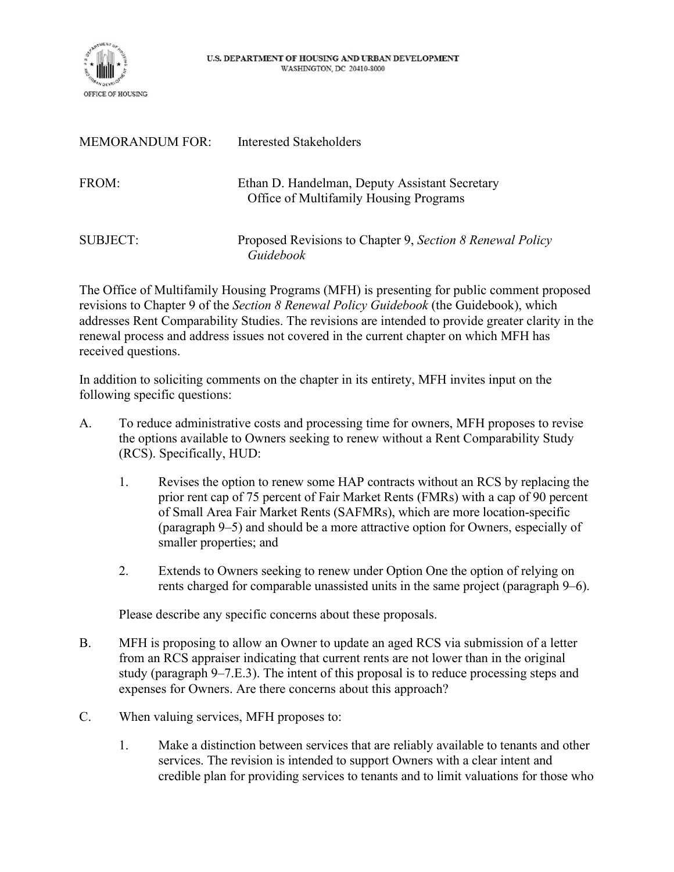

| <b>MEMORANDUM FOR:</b> | Interested Stakeholders                                                                  |
|------------------------|------------------------------------------------------------------------------------------|
| FROM:                  | Ethan D. Handelman, Deputy Assistant Secretary<br>Office of Multifamily Housing Programs |
| SUBJECT:               | Proposed Revisions to Chapter 9, Section 8 Renewal Policy<br>Guidebook                   |

The Office of Multifamily Housing Programs (MFH) is presenting for public comment proposed revisions to Chapter 9 of the *Section 8 Renewal Policy Guidebook* (the Guidebook), which addresses Rent Comparability Studies. The revisions are intended to provide greater clarity in the renewal process and address issues not covered in the current chapter on which MFH has received questions.

In addition to soliciting comments on the chapter in its entirety, MFH invites input on the following specific questions:

- A. To reduce administrative costs and processing time for owners, MFH proposes to revise the options available to Owners seeking to renew without a Rent Comparability Study (RCS). Specifically, HUD:
	- 1. Revises the option to renew some HAP contracts without an RCS by replacing the prior rent cap of 75 percent of Fair Market Rents (FMRs) with a cap of 90 percent of Small Area Fair Market Rents (SAFMRs), which are more location-specific (paragraph 9–5) and should be a more attractive option for Owners, especially of smaller properties; and
	- 2. Extends to Owners seeking to renew under Option One the option of relying on rents charged for comparable unassisted units in the same project (paragraph 9–6).

Please describe any specific concerns about these proposals.

- B. MFH is proposing to allow an Owner to update an aged RCS via submission of a letter from an RCS appraiser indicating that current rents are not lower than in the original study (paragraph 9–7.E.3). The intent of this proposal is to reduce processing steps and expenses for Owners. Are there concerns about this approach?
- C. When valuing services, MFH proposes to:
	- 1. Make a distinction between services that are reliably available to tenants and other services. The revision is intended to support Owners with a clear intent and credible plan for providing services to tenants and to limit valuations for those who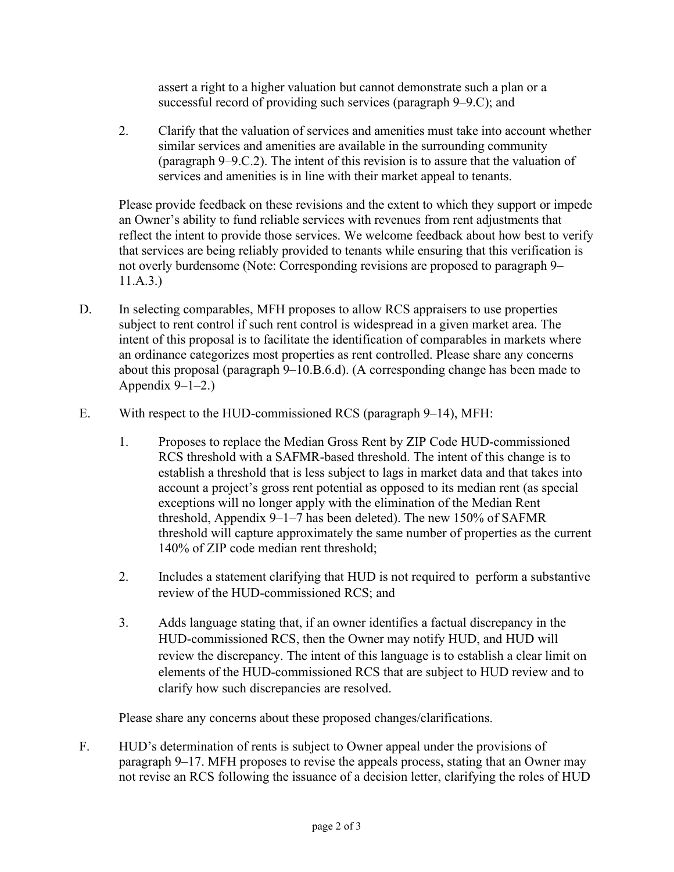assert a right to a higher valuation but cannot demonstrate such a plan or a successful record of providing such services (paragraph 9–9.C); and

2. Clarify that the valuation of services and amenities must take into account whether similar services and amenities are available in the surrounding community (paragraph 9–9.C.2). The intent of this revision is to assure that the valuation of services and amenities is in line with their market appeal to tenants.

Please provide feedback on these revisions and the extent to which they support or impede an Owner's ability to fund reliable services with revenues from rent adjustments that reflect the intent to provide those services. We welcome feedback about how best to verify that services are being reliably provided to tenants while ensuring that this verification is not overly burdensome (Note: Corresponding revisions are proposed to paragraph 9– 11.A.3.)

- D. In selecting comparables, MFH proposes to allow RCS appraisers to use properties subject to rent control if such rent control is widespread in a given market area. The intent of this proposal is to facilitate the identification of comparables in markets where an ordinance categorizes most properties as rent controlled. Please share any concerns about this proposal (paragraph 9–10.B.6.d). (A corresponding change has been made to Appendix  $9-1-2.$ )
- E. With respect to the HUD-commissioned RCS (paragraph 9–14), MFH:
	- 1. Proposes to replace the Median Gross Rent by ZIP Code HUD-commissioned RCS threshold with a SAFMR-based threshold. The intent of this change is to establish a threshold that is less subject to lags in market data and that takes into account a project's gross rent potential as opposed to its median rent (as special exceptions will no longer apply with the elimination of the Median Rent threshold, Appendix 9–1–7 has been deleted). The new 150% of SAFMR threshold will capture approximately the same number of properties as the current 140% of ZIP code median rent threshold;
	- 2. Includes a statement clarifying that HUD is not required to perform a substantive review of the HUD-commissioned RCS; and
	- 3. Adds language stating that, if an owner identifies a factual discrepancy in the HUD-commissioned RCS, then the Owner may notify HUD, and HUD will review the discrepancy. The intent of this language is to establish a clear limit on elements of the HUD-commissioned RCS that are subject to HUD review and to clarify how such discrepancies are resolved.

Please share any concerns about these proposed changes/clarifications.

F. HUD's determination of rents is subject to Owner appeal under the provisions of paragraph 9–17. MFH proposes to revise the appeals process, stating that an Owner may not revise an RCS following the issuance of a decision letter, clarifying the roles of HUD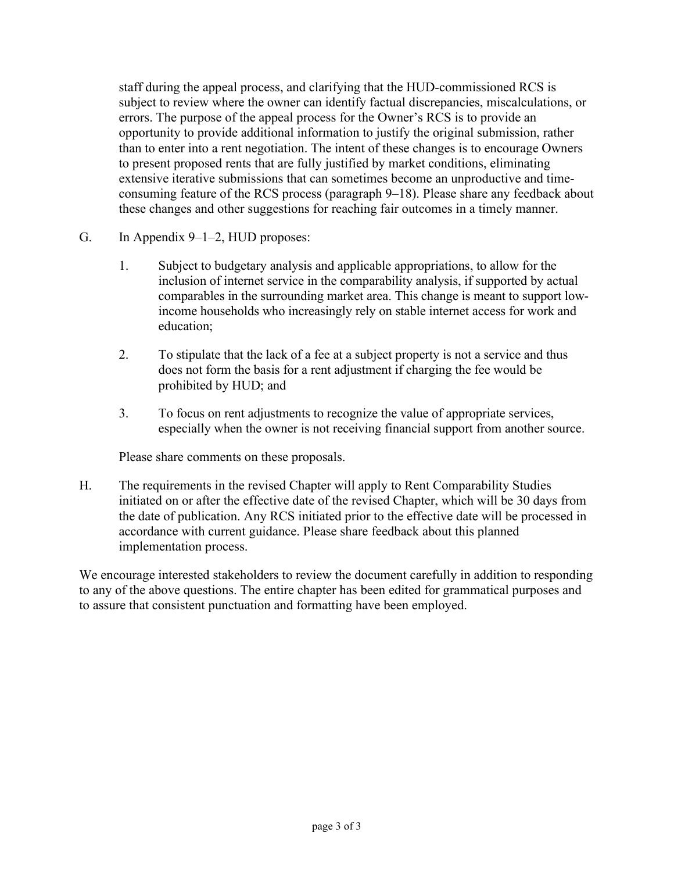staff during the appeal process, and clarifying that the HUD-commissioned RCS is subject to review where the owner can identify factual discrepancies, miscalculations, or errors. The purpose of the appeal process for the Owner's RCS is to provide an opportunity to provide additional information to justify the original submission, rather than to enter into a rent negotiation. The intent of these changes is to encourage Owners to present proposed rents that are fully justified by market conditions, eliminating extensive iterative submissions that can sometimes become an unproductive and timeconsuming feature of the RCS process (paragraph 9–18). Please share any feedback about these changes and other suggestions for reaching fair outcomes in a timely manner.

- G. In Appendix 9–1–2, HUD proposes:
	- 1. Subject to budgetary analysis and applicable appropriations, to allow for the inclusion of internet service in the comparability analysis, if supported by actual comparables in the surrounding market area. This change is meant to support lowincome households who increasingly rely on stable internet access for work and education;
	- 2. To stipulate that the lack of a fee at a subject property is not a service and thus does not form the basis for a rent adjustment if charging the fee would be prohibited by HUD; and
	- 3. To focus on rent adjustments to recognize the value of appropriate services, especially when the owner is not receiving financial support from another source.

Please share comments on these proposals.

H. The requirements in the revised Chapter will apply to Rent Comparability Studies initiated on or after the effective date of the revised Chapter, which will be 30 days from the date of publication. Any RCS initiated prior to the effective date will be processed in accordance with current guidance. Please share feedback about this planned implementation process.

We encourage interested stakeholders to review the document carefully in addition to responding to any of the above questions. The entire chapter has been edited for grammatical purposes and to assure that consistent punctuation and formatting have been employed.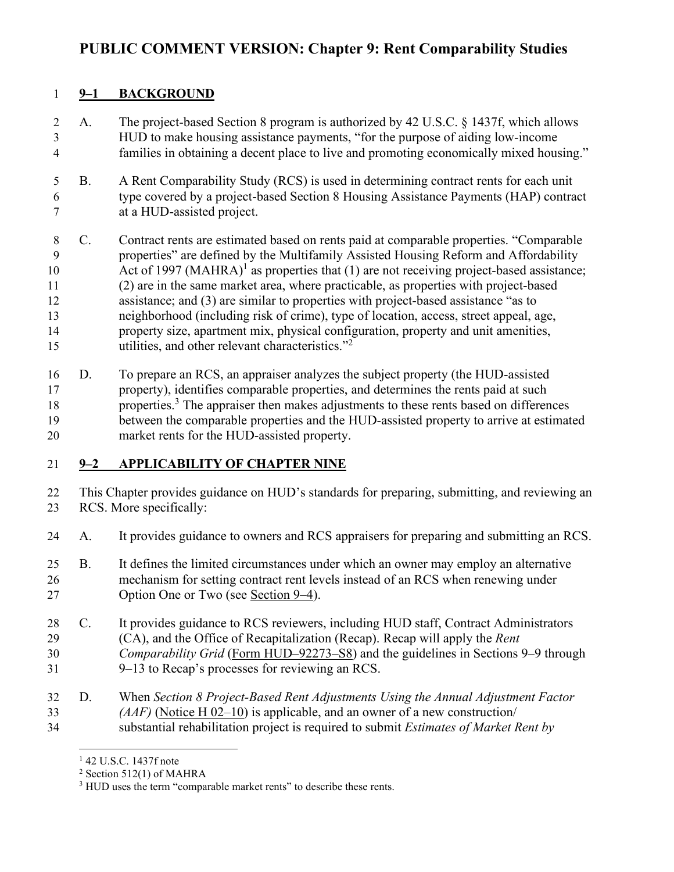# **PUBLIC COMMENT VERSION: Chapter 9: Rent Comparability Studies**

# **9–1 BACKGROUND**

- A. The project-based Section 8 program is authorized by 42 U.S.C. § 1437f, which allows HUD to make housing assistance payments, "for the purpose of aiding low-income families in obtaining a decent place to live and promoting economically mixed housing."
- B. A Rent Comparability Study (RCS) is used in determining contract rents for each unit type covered by a project-based Section 8 Housing Assistance Payments (HAP) contract at a HUD-assisted project.
- C. Contract rents are estimated based on rents paid at comparable properties. "Comparable properties" are defined by the Multifamily Assisted Housing Reform and Affordability 0 Act of 1997 (MAHRA)<sup>1</sup> as properties that (1) are not receiving project-based assistance; (2) are in the same market area, where practicable, as properties with project-based assistance; and (3) are similar to properties with project-based assistance "as to neighborhood (including risk of crime), type of location, access, street appeal, age, property size, apartment mix, physical configuration, property and unit amenities, utilities, and other relevant characteristics.["](#page-3-1)<sup>2</sup>
- D. To prepare an RCS, an appraiser analyzes the subject property (the HUD-assisted property), identifies comparable properties, and determines the rents paid at such 18 properties.<sup>[3](#page-3-2)</sup> The appraiser then makes adjustments to these rents based on differences between the comparable properties and the HUD-assisted property to arrive at estimated market rents for the HUD-assisted property.

# **9–2 APPLICABILITY OF CHAPTER NINE**

- This Chapter provides guidance on HUD's standards for preparing, submitting, and reviewing an RCS. More specifically:
- A. It provides guidance to owners and RCS appraisers for preparing and submitting an RCS.
- B. It defines the limited circumstances under which an owner may employ an alternative mechanism for setting contract rent levels instead of an RCS when renewing under Option One or Two (see [Section 9–4\)](#page-5-0).
- C. It provides guidance to RCS reviewers, including HUD staff, Contract Administrators (CA), and the Office of Recapitalization (Recap). Recap will apply the *Rent*
- *Comparability Grid* [\(Form HUD–92273–S8\)](https://www.hud.gov/sites/dfiles/OCHCO/documents/HUD-92273-S8.xls) and the guidelines in Sections 9–9 through
- 9–13 to Recap's processes for reviewing an RCS.
- D. When *Section 8 Project-Based Rent Adjustments Using the Annual Adjustment Factor (AAF)* [\(Notice H 02–10\)](https://www.hud.gov/sites/documents/02-10h.doc) is applicable, and an owner of a new construction/ substantial rehabilitation project is required to submit *Estimates of Market Rent by*

<span id="page-3-0"></span><sup>&</sup>lt;sup>1</sup> 42 U.S.C. 1437f note

<span id="page-3-1"></span>Section 512(1) of MAHRA

<span id="page-3-2"></span><sup>&</sup>lt;sup>3</sup> HUD uses the term "comparable market rents" to describe these rents.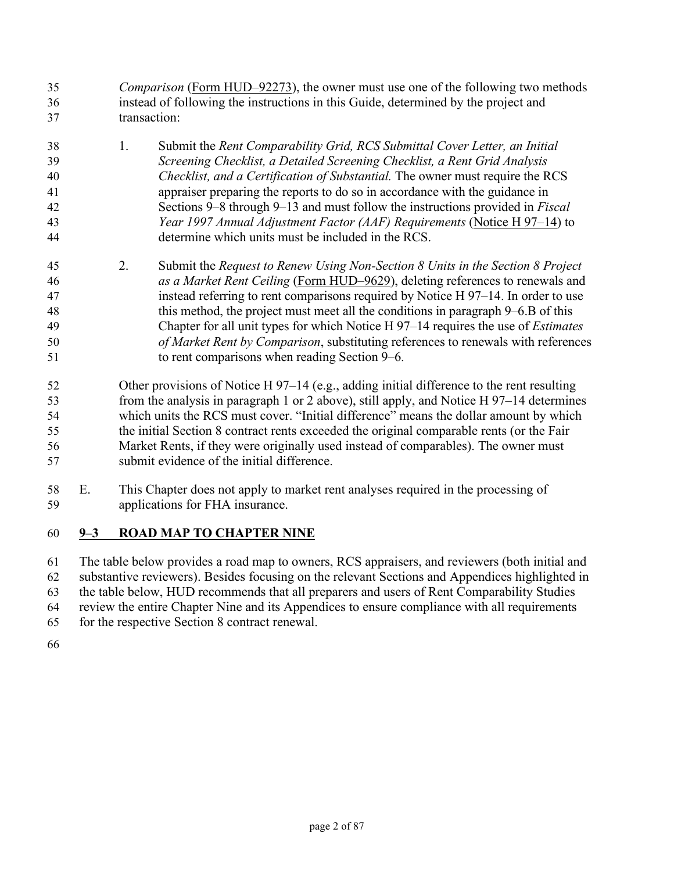- *Comparison* [\(Form HUD–92273\)](https://www.hud.gov/sites/dfiles/OCHCO/documents/92273.pdf), the owner must use one of the following two methods instead of following the instructions in this Guide, determined by the project and transaction:
- 1. Submit the *Rent Comparability Grid, RCS Submittal Cover Letter, an Initial Screening Checklist, a Detailed Screening Checklist, a Rent Grid Analysis Checklist, and a Certification of Substantial.* The owner must require the RCS appraiser preparing the reports to do so in accordance with the guidance in Sections 9–8 through 9–13 and must follow the instructions provided in *Fiscal Year 1997 Annual Adjustment Factor (AAF) Requirements* [\(Notice H 97–14\)](https://www.hud.gov/sites/documents/97-14hsgn.doc) to determine which units must be included in the RCS.
- 2. Submit the *Request to Renew Using Non-Section 8 Units in the Section 8 Project as a Market Rent Ceiling* [\(Form HUD–9629\)](https://www.hud.gov/sites/documents/9629.pdf), deleting references to renewals and instead referring to rent comparisons required by Notice H 97–14. In order to use this method, the project must meet all the conditions in paragraph 9–6.B of this Chapter for all unit types for which Notice H 97–14 requires the use of *Estimates of Market Rent by Comparison*, substituting references to renewals with references to rent comparisons when reading Section 9–6.
- Other provisions of Notice H 97–14 (e.g., adding initial difference to the rent resulting from the analysis in paragraph 1 or 2 above), still apply, and Notice H 97–14 determines which units the RCS must cover. "Initial difference" means the dollar amount by which the initial Section 8 contract rents exceeded the original comparable rents (or the Fair Market Rents, if they were originally used instead of comparables). The owner must submit evidence of the initial difference.
- E. This Chapter does not apply to market rent analyses required in the processing of applications for FHA insurance.

# **9–3 ROAD MAP TO CHAPTER NINE**

The table below provides a road map to owners, RCS appraisers, and reviewers (both initial and substantive reviewers). Besides focusing on the relevant Sections and Appendices highlighted in the table below, HUD recommends that all preparers and users of Rent Comparability Studies review the entire Chapter Nine and its Appendices to ensure compliance with all requirements for the respective Section 8 contract renewal.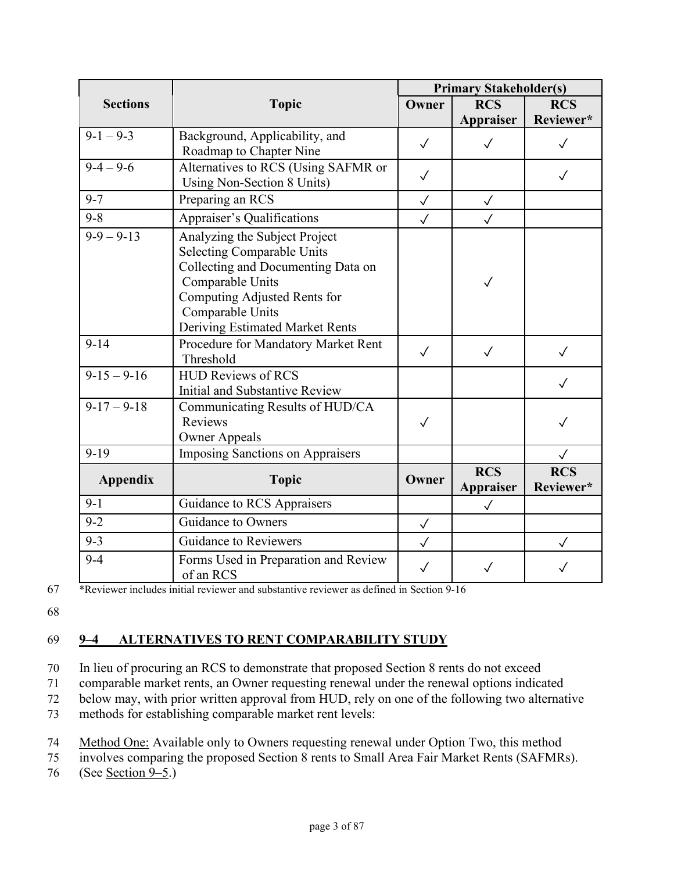|                 |                                                   | <b>Primary Stakeholder(s)</b> |                                |                         |  |
|-----------------|---------------------------------------------------|-------------------------------|--------------------------------|-------------------------|--|
| <b>Sections</b> | <b>Topic</b>                                      | Owner                         | <b>RCS</b>                     | <b>RCS</b>              |  |
|                 |                                                   |                               | Appraiser                      | Reviewer*               |  |
| $9-1-9-3$       | Background, Applicability, and                    | $\checkmark$                  | $\checkmark$                   | $\checkmark$            |  |
|                 | Roadmap to Chapter Nine                           |                               |                                |                         |  |
| $9 - 4 - 9 - 6$ | Alternatives to RCS (Using SAFMR or               | $\checkmark$                  |                                | $\checkmark$            |  |
|                 | Using Non-Section 8 Units)                        |                               |                                |                         |  |
| $9 - 7$         | Preparing an RCS                                  | $\checkmark$                  | $\checkmark$                   |                         |  |
| $9 - 8$         | Appraiser's Qualifications                        | $\checkmark$                  | $\checkmark$                   |                         |  |
| $9-9-9-13$      | Analyzing the Subject Project                     |                               |                                |                         |  |
|                 | <b>Selecting Comparable Units</b>                 |                               |                                |                         |  |
|                 | Collecting and Documenting Data on                |                               |                                |                         |  |
|                 | Comparable Units                                  |                               | $\checkmark$                   |                         |  |
|                 | Computing Adjusted Rents for                      |                               |                                |                         |  |
|                 | Comparable Units                                  |                               |                                |                         |  |
|                 | Deriving Estimated Market Rents                   |                               |                                |                         |  |
| $9 - 14$        | Procedure for Mandatory Market Rent               | $\checkmark$                  | $\checkmark$                   | $\sqrt{}$               |  |
|                 | Threshold                                         |                               |                                |                         |  |
| $9-15-9-16$     | <b>HUD Reviews of RCS</b>                         |                               |                                |                         |  |
|                 | Initial and Substantive Review                    |                               |                                |                         |  |
| $9-17-9-18$     | Communicating Results of HUD/CA                   |                               |                                |                         |  |
|                 | Reviews                                           | $\checkmark$                  |                                |                         |  |
|                 | <b>Owner Appeals</b>                              |                               |                                |                         |  |
| $9 - 19$        | <b>Imposing Sanctions on Appraisers</b>           |                               |                                | $\checkmark$            |  |
| <b>Appendix</b> | <b>Topic</b>                                      | Owner                         | <b>RCS</b><br><b>Appraiser</b> | <b>RCS</b><br>Reviewer* |  |
| $9-1$           | Guidance to RCS Appraisers                        |                               | $\checkmark$                   |                         |  |
| $9 - 2$         | Guidance to Owners                                | $\checkmark$                  |                                |                         |  |
| $9 - 3$         | <b>Guidance to Reviewers</b>                      | $\checkmark$                  |                                | $\checkmark$            |  |
| $9 - 4$         | Forms Used in Preparation and Review<br>of an RCS | $\checkmark$                  | $\checkmark$                   |                         |  |

67 \*Reviewer includes initial reviewer and substantive reviewer as defined in Section 9-16

68

# <span id="page-5-0"></span>69 **9–4 ALTERNATIVES TO RENT COMPARABILITY STUDY**

70 In lieu of procuring an RCS to demonstrate that proposed Section 8 rents do not exceed

71 comparable market rents, an Owner requesting renewal under the renewal options indicated

72 below may, with prior written approval from HUD, rely on one of the following two alternative

73 methods for establishing comparable market rent levels:

74 Method One: Available only to Owners requesting renewal under Option Two, this method

75 involves comparing the proposed Section 8 rents to Small Area Fair Market Rents (SAFMRs).

76 (See <u>Section 9–5</u>.)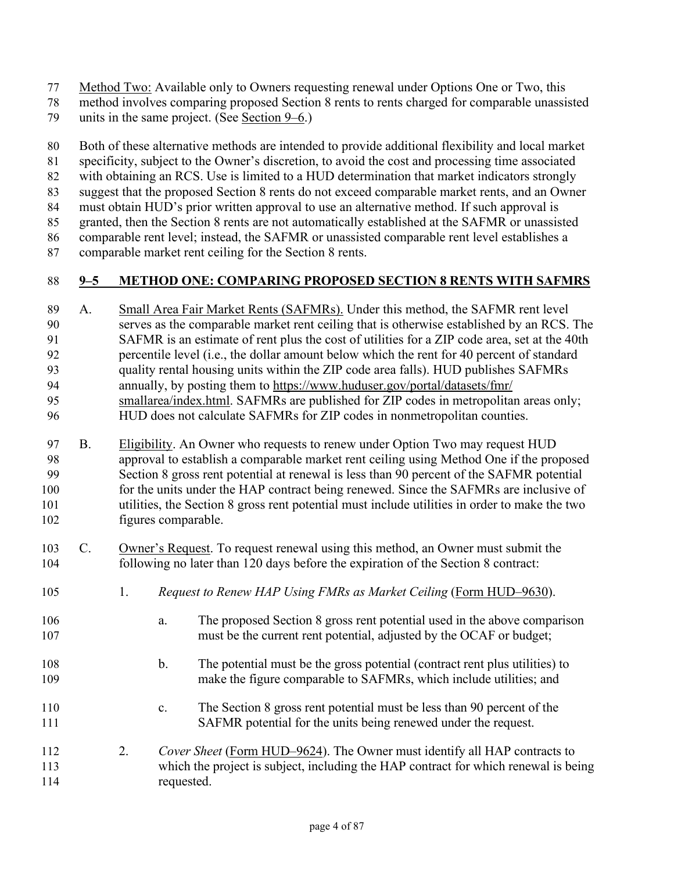Method Two: Available only to Owners requesting renewal under Options One or Two, this

method involves comparing proposed Section 8 rents to rents charged for comparable unassisted

units in the same project. (See [Section 9–6.](#page-7-0))

Both of these alternative methods are intended to provide additional flexibility and local market

specificity, subject to the Owner's discretion, to avoid the cost and processing time associated

with obtaining an RCS. Use is limited to a HUD determination that market indicators strongly

suggest that the proposed Section 8 rents do not exceed comparable market rents, and an Owner

must obtain HUD's prior written approval to use an alternative method. If such approval is granted, then the Section 8 rents are not automatically established at the SAFMR or unassisted

comparable rent level; instead, the SAFMR or unassisted comparable rent level establishes a

comparable market rent ceiling for the Section 8 rents.

# <span id="page-6-0"></span>**9–5 METHOD ONE: COMPARING PROPOSED SECTION 8 RENTS WITH SAFMRS**

- A. Small Area Fair Market Rents (SAFMRs). Under this method, the SAFMR rent level serves as the comparable market rent ceiling that is otherwise established by an RCS. The SAFMR is an estimate of rent plus the cost of utilities for a ZIP code area, set at the 40th percentile level (i.e., the dollar amount below which the rent for 40 percent of standard quality rental housing units within the ZIP code area falls). HUD publishes SAFMRs annually, by posting them to [https://www.huduser.gov/portal/datasets/fmr/](https://www.huduser.gov/portal/datasets/fmr/smallarea/index.html)  [smallarea/index.html.](https://www.huduser.gov/portal/datasets/fmr/smallarea/index.html) SAFMRs are published for ZIP codes in metropolitan areas only; HUD does not calculate SAFMRs for ZIP codes in nonmetropolitan counties. B. Eligibility. An Owner who requests to renew under Option Two may request HUD approval to establish a comparable market rent ceiling using Method One if the proposed Section 8 gross rent potential at renewal is less than 90 percent of the SAFMR potential 100 for the units under the HAP contract being renewed. Since the SAFMRs are inclusive of utilities, the Section 8 gross rent potential must include utilities in order to make the two figures comparable. C. Owner's Request. To request renewal using this method, an Owner must submit the
- following no later than 120 days before the expiration of the Section 8 contract:
- 1. *Request to Renew HAP Using FMRs as Market Ceiling* [\(Form HUD–9630\)](https://www.hud.gov/sites/documents/9630.PDF).
- a. The proposed Section 8 gross rent potential used in the above comparison must be the current rent potential, adjusted by the OCAF or budget;
- b. The potential must be the gross potential (contract rent plus utilities) to make the figure comparable to SAFMRs, which include utilities; and
- c. The Section 8 gross rent potential must be less than 90 percent of the SAFMR potential for the units being renewed under the request.
- 2. *Cover Sheet* [\(Form HUD–9624\)](https://www.hud.gov/sites/documents/9624.PDF). The Owner must identify all HAP contracts to which the project is subject, including the HAP contract for which renewal is being requested.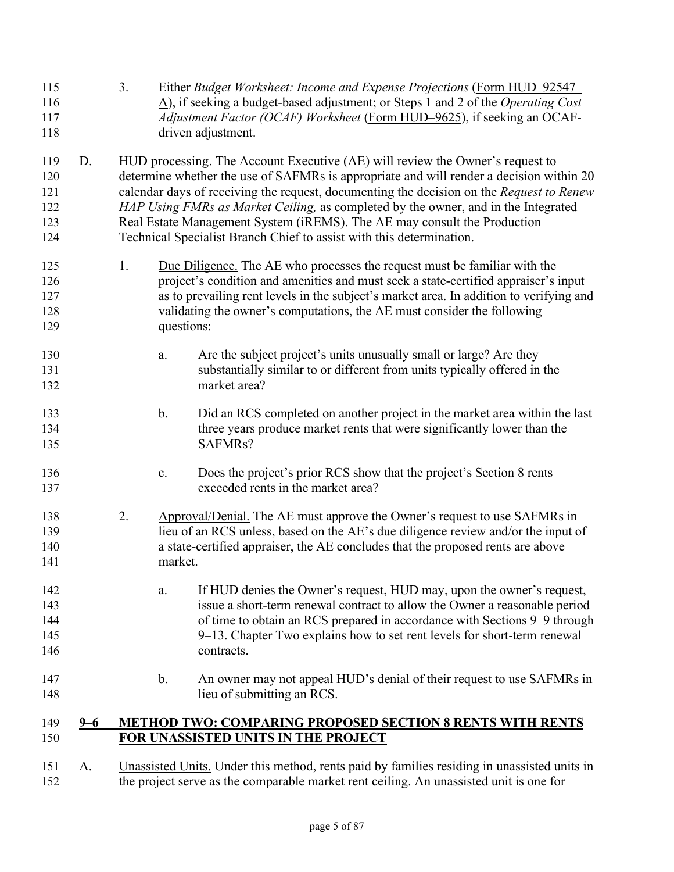| 115<br>116<br>117<br>118               |         | 3.<br>Either Budget Worksheet: Income and Expense Projections (Form HUD-92547-<br>$\underline{A}$ ), if seeking a budget-based adjustment; or Steps 1 and 2 of the <i>Operating Cost</i><br>Adjustment Factor (OCAF) Worksheet (Form HUD-9625), if seeking an OCAF-<br>driven adjustment.                                                                                                                                                                                                                      |
|----------------------------------------|---------|----------------------------------------------------------------------------------------------------------------------------------------------------------------------------------------------------------------------------------------------------------------------------------------------------------------------------------------------------------------------------------------------------------------------------------------------------------------------------------------------------------------|
| 119<br>120<br>121<br>122<br>123<br>124 | D.      | HUD processing. The Account Executive (AE) will review the Owner's request to<br>determine whether the use of SAFMRs is appropriate and will render a decision within 20<br>calendar days of receiving the request, documenting the decision on the Request to Renew<br>HAP Using FMRs as Market Ceiling, as completed by the owner, and in the Integrated<br>Real Estate Management System (iREMS). The AE may consult the Production<br>Technical Specialist Branch Chief to assist with this determination. |
| 125<br>126<br>127<br>128<br>129        |         | 1.<br>Due Diligence. The AE who processes the request must be familiar with the<br>project's condition and amenities and must seek a state-certified appraiser's input<br>as to prevailing rent levels in the subject's market area. In addition to verifying and<br>validating the owner's computations, the AE must consider the following<br>questions:                                                                                                                                                     |
| 130<br>131<br>132                      |         | Are the subject project's units unusually small or large? Are they<br>a.<br>substantially similar to or different from units typically offered in the<br>market area?                                                                                                                                                                                                                                                                                                                                          |
| 133<br>134<br>135                      |         | $\mathbf{b}$ .<br>Did an RCS completed on another project in the market area within the last<br>three years produce market rents that were significantly lower than the<br>SAFMRs?                                                                                                                                                                                                                                                                                                                             |
| 136<br>137                             |         | Does the project's prior RCS show that the project's Section 8 rents<br>$\mathbf{c}$ .<br>exceeded rents in the market area?                                                                                                                                                                                                                                                                                                                                                                                   |
| 138<br>139<br>140<br>141               |         | 2.<br>Approval/Denial. The AE must approve the Owner's request to use SAFMRs in<br>lieu of an RCS unless, based on the AE's due diligence review and/or the input of<br>a state-certified appraiser, the AE concludes that the proposed rents are above<br>market.                                                                                                                                                                                                                                             |
| 142<br>143<br>144<br>145<br>146        |         | If HUD denies the Owner's request, HUD may, upon the owner's request,<br>a.<br>issue a short-term renewal contract to allow the Owner a reasonable period<br>of time to obtain an RCS prepared in accordance with Sections 9-9 through<br>9–13. Chapter Two explains how to set rent levels for short-term renewal<br>contracts.                                                                                                                                                                               |
| 147<br>148                             |         | $\mathbf b$ .<br>An owner may not appeal HUD's denial of their request to use SAFMRs in<br>lieu of submitting an RCS.                                                                                                                                                                                                                                                                                                                                                                                          |
| 149<br>150                             | $9 - 6$ | <b>METHOD TWO: COMPARING PROPOSED SECTION 8 RENTS WITH RENTS</b><br>FOR UNASSISTED UNITS IN THE PROJECT                                                                                                                                                                                                                                                                                                                                                                                                        |
| 151                                    | A.      | Unassisted Units. Under this method, rents paid by families residing in unassisted units in                                                                                                                                                                                                                                                                                                                                                                                                                    |

<span id="page-7-0"></span>the project serve as the comparable market rent ceiling. An unassisted unit is one for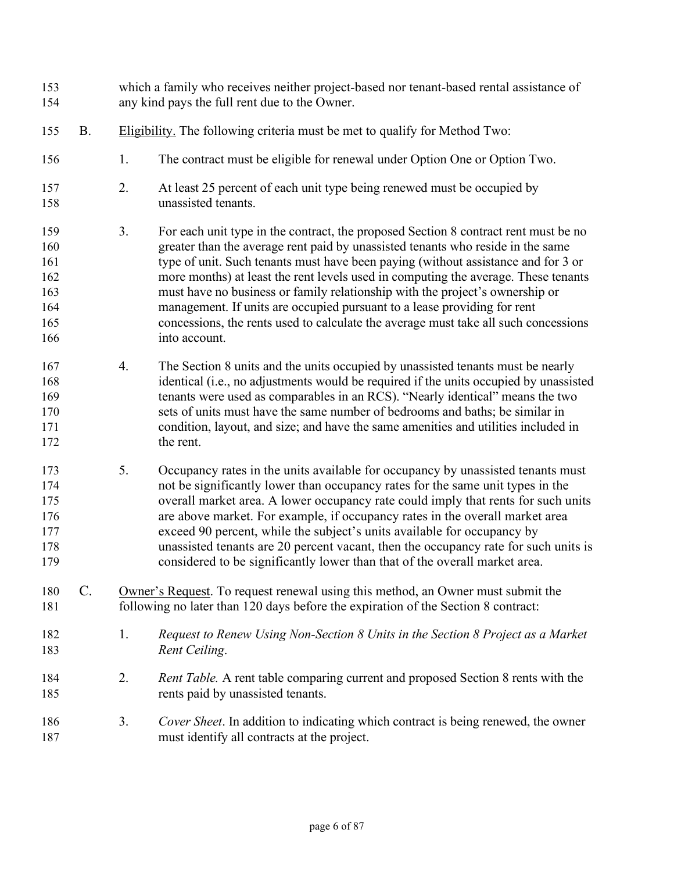which a family who receives neither project-based nor tenant-based rental assistance of any kind pays the full rent due to the Owner. B. Eligibility. The following criteria must be met to qualify for Method Two: 1. The contract must be eligible for renewal under Option One or Option Two. 2. At least 25 percent of each unit type being renewed must be occupied by unassisted tenants. 3. For each unit type in the contract, the proposed Section 8 contract rent must be no greater than the average rent paid by unassisted tenants who reside in the same 161 type of unit. Such tenants must have been paying (without assistance and for 3 or more months) at least the rent levels used in computing the average. These tenants must have no business or family relationship with the project's ownership or management. If units are occupied pursuant to a lease providing for rent concessions, the rents used to calculate the average must take all such concessions into account. 4. The Section 8 units and the units occupied by unassisted tenants must be nearly identical (i.e., no adjustments would be required if the units occupied by unassisted tenants were used as comparables in an RCS). "Nearly identical" means the two sets of units must have the same number of bedrooms and baths; be similar in condition, layout, and size; and have the same amenities and utilities included in the rent. 5. Occupancy rates in the units available for occupancy by unassisted tenants must not be significantly lower than occupancy rates for the same unit types in the overall market area. A lower occupancy rate could imply that rents for such units are above market. For example, if occupancy rates in the overall market area exceed 90 percent, while the subject's units available for occupancy by unassisted tenants are 20 percent vacant, then the occupancy rate for such units is considered to be significantly lower than that of the overall market area. C. Owner's Request. To request renewal using this method, an Owner must submit the following no later than 120 days before the expiration of the Section 8 contract: 1. *Request to Renew Using Non-Section 8 Units in the Section 8 Project as a Market Rent Ceiling*. 2. *Rent Table.* A rent table comparing current and proposed Section 8 rents with the rents paid by unassisted tenants. 3. *Cover Sheet*. In addition to indicating which contract is being renewed, the owner must identify all contracts at the project.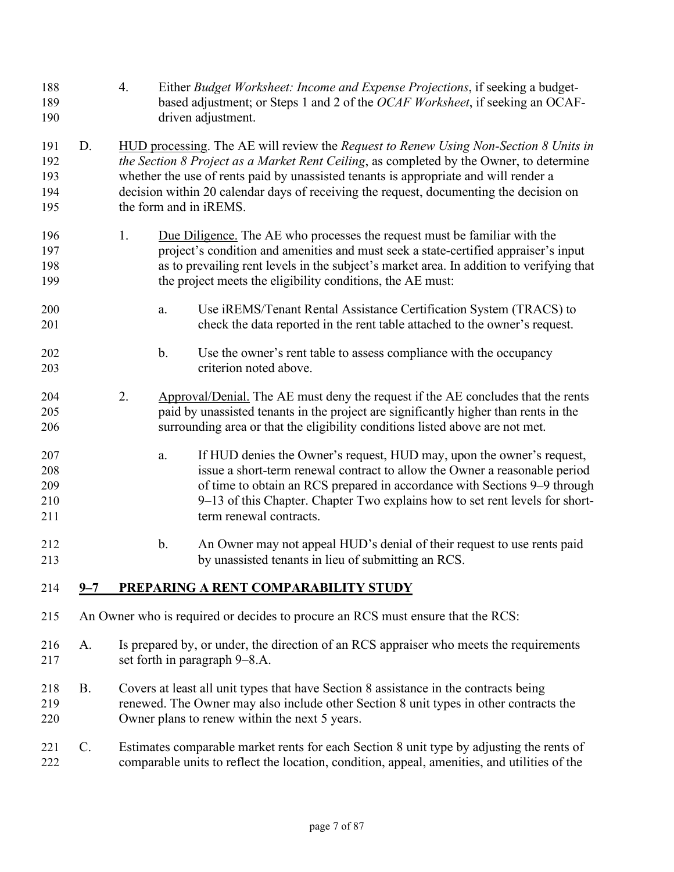<span id="page-9-0"></span>

| 188<br>189<br>190               |           | 4. | Either Budget Worksheet: Income and Expense Projections, if seeking a budget-<br>based adjustment; or Steps 1 and 2 of the OCAF Worksheet, if seeking an OCAF-<br>driven adjustment.                                                                                                                                                                                                                |
|---------------------------------|-----------|----|-----------------------------------------------------------------------------------------------------------------------------------------------------------------------------------------------------------------------------------------------------------------------------------------------------------------------------------------------------------------------------------------------------|
| 191<br>192<br>193<br>194<br>195 | D.        |    | HUD processing. The AE will review the Request to Renew Using Non-Section 8 Units in<br>the Section 8 Project as a Market Rent Ceiling, as completed by the Owner, to determine<br>whether the use of rents paid by unassisted tenants is appropriate and will render a<br>decision within 20 calendar days of receiving the request, documenting the decision on<br>the form and in <i>iREMS</i> . |
| 196<br>197<br>198<br>199        |           | 1. | Due Diligence. The AE who processes the request must be familiar with the<br>project's condition and amenities and must seek a state-certified appraiser's input<br>as to prevailing rent levels in the subject's market area. In addition to verifying that<br>the project meets the eligibility conditions, the AE must:                                                                          |
| 200<br>201                      |           |    | Use iREMS/Tenant Rental Assistance Certification System (TRACS) to<br>a.<br>check the data reported in the rent table attached to the owner's request.                                                                                                                                                                                                                                              |
| 202<br>203                      |           |    | $b$ .<br>Use the owner's rent table to assess compliance with the occupancy<br>criterion noted above.                                                                                                                                                                                                                                                                                               |
| 204<br>205<br>206               |           | 2. | Approval/Denial. The AE must deny the request if the AE concludes that the rents<br>paid by unassisted tenants in the project are significantly higher than rents in the<br>surrounding area or that the eligibility conditions listed above are not met.                                                                                                                                           |
| 207<br>208<br>209<br>210<br>211 |           |    | If HUD denies the Owner's request, HUD may, upon the owner's request,<br>a.<br>issue a short-term renewal contract to allow the Owner a reasonable period<br>of time to obtain an RCS prepared in accordance with Sections 9–9 through<br>9–13 of this Chapter. Chapter Two explains how to set rent levels for short-<br>term renewal contracts.                                                   |
| 212<br>213                      |           |    | An Owner may not appeal HUD's denial of their request to use rents paid<br>b.<br>by unassisted tenants in lieu of submitting an RCS.                                                                                                                                                                                                                                                                |
| 214                             | $9 - 7$   |    | PREPARING A RENT COMPARABILITY STUDY                                                                                                                                                                                                                                                                                                                                                                |
| 215                             |           |    | An Owner who is required or decides to procure an RCS must ensure that the RCS:                                                                                                                                                                                                                                                                                                                     |
| 216<br>217                      | A.        |    | Is prepared by, or under, the direction of an RCS appraiser who meets the requirements<br>set forth in paragraph 9–8.A.                                                                                                                                                                                                                                                                             |
| 218<br>219<br>220               | <b>B.</b> |    | Covers at least all unit types that have Section 8 assistance in the contracts being<br>renewed. The Owner may also include other Section 8 unit types in other contracts the<br>Owner plans to renew within the next 5 years.                                                                                                                                                                      |
| 221<br>222                      | $C$ .     |    | Estimates comparable market rents for each Section 8 unit type by adjusting the rents of<br>comparable units to reflect the location, condition, appeal, amenities, and utilities of the                                                                                                                                                                                                            |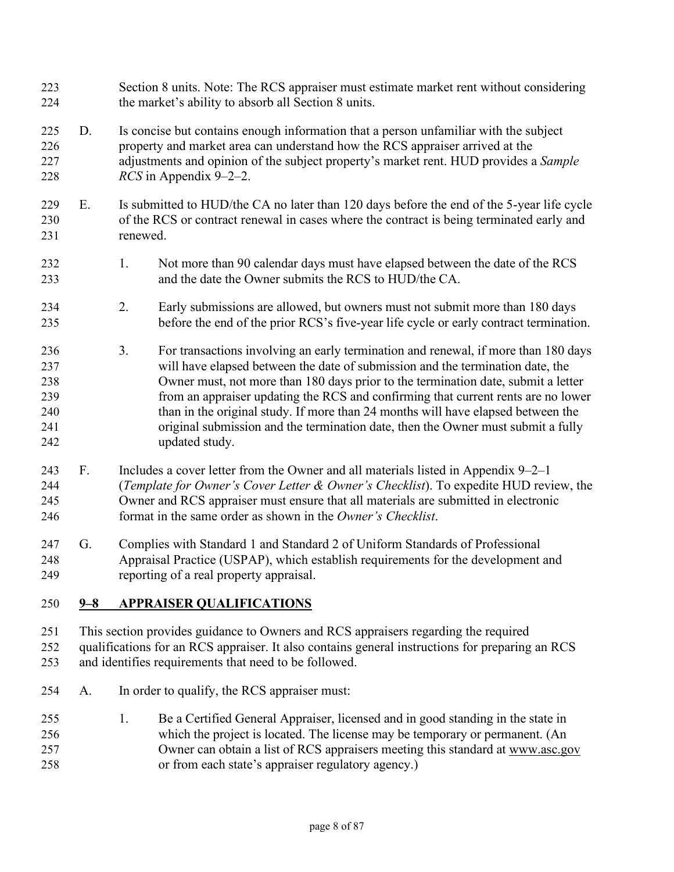Section 8 units. Note: The RCS appraiser must estimate market rent without considering the market's ability to absorb all Section 8 units. D. Is concise but contains enough information that a person unfamiliar with the subject property and market area can understand how the RCS appraiser arrived at the adjustments and opinion of the subject property's market rent. HUD provides a *Sample RCS* in Appendix 9–2–2. E. Is submitted to HUD/the CA no later than 120 days before the end of the 5-year life cycle of the RCS or contract renewal in cases where the contract is being terminated early and renewed. 1. Not more than 90 calendar days must have elapsed between the date of the RCS and the date the Owner submits the RCS to HUD/the CA. 2. Early submissions are allowed, but owners must not submit more than 180 days before the end of the prior RCS's five-year life cycle or early contract termination. 3. For transactions involving an early termination and renewal, if more than 180 days will have elapsed between the date of submission and the termination date, the Owner must, not more than 180 days prior to the termination date, submit a letter from an appraiser updating the RCS and confirming that current rents are no lower than in the original study. If more than 24 months will have elapsed between the original submission and the termination date, then the Owner must submit a fully updated study. F. Includes a cover letter from the Owner and all materials listed in Appendix 9–2–1 (*Template for Owner's Cover Letter & Owner's Checklist*). To expedite HUD review, the Owner and RCS appraiser must ensure that all materials are submitted in electronic format in the same order as shown in the *Owner's Checklist*. G. Complies with Standard 1 and Standard 2 of Uniform Standards of Professional Appraisal Practice (USPAP), which establish requirements for the development and reporting of a real property appraisal.

# **9–8 APPRAISER QUALIFICATIONS**

This section provides guidance to Owners and RCS appraisers regarding the required qualifications for an RCS appraiser. It also contains general instructions for preparing an RCS and identifies requirements that need to be followed.

- A. In order to qualify, the RCS appraiser must:
- 1. Be a Certified General Appraiser, licensed and in good standing in the state in which the project is located. The license may be temporary or permanent. (An Owner can obtain a list of RCS appraisers meeting this standard at [www.asc.gov](http://www.asc.gov/) or from each state's appraiser regulatory agency.)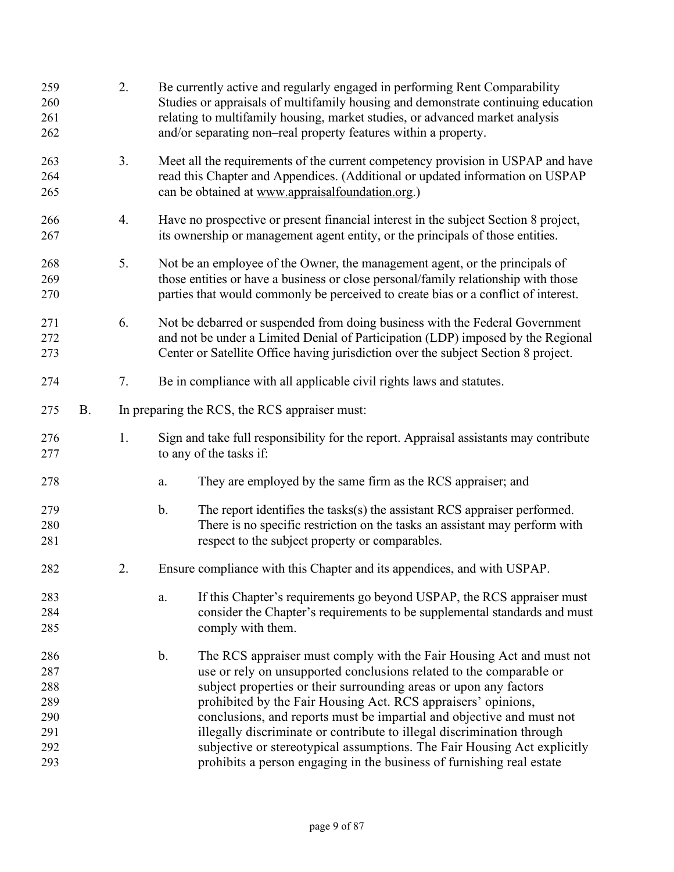| 259<br>260<br>261<br>262                             |           | 2. | Be currently active and regularly engaged in performing Rent Comparability<br>Studies or appraisals of multifamily housing and demonstrate continuing education<br>relating to multifamily housing, market studies, or advanced market analysis<br>and/or separating non-real property features within a property.                                                                                                                                                                                                                                                                                         |  |  |  |
|------------------------------------------------------|-----------|----|------------------------------------------------------------------------------------------------------------------------------------------------------------------------------------------------------------------------------------------------------------------------------------------------------------------------------------------------------------------------------------------------------------------------------------------------------------------------------------------------------------------------------------------------------------------------------------------------------------|--|--|--|
| 263<br>264<br>265                                    |           | 3. | Meet all the requirements of the current competency provision in USPAP and have<br>read this Chapter and Appendices. (Additional or updated information on USPAP<br>can be obtained at www.appraisalfoundation.org.)                                                                                                                                                                                                                                                                                                                                                                                       |  |  |  |
| 266<br>267                                           |           | 4. | Have no prospective or present financial interest in the subject Section 8 project,<br>its ownership or management agent entity, or the principals of those entities.                                                                                                                                                                                                                                                                                                                                                                                                                                      |  |  |  |
| 268<br>269<br>270                                    |           | 5. | Not be an employee of the Owner, the management agent, or the principals of<br>those entities or have a business or close personal/family relationship with those<br>parties that would commonly be perceived to create bias or a conflict of interest.                                                                                                                                                                                                                                                                                                                                                    |  |  |  |
| 271<br>272<br>273                                    |           | 6. | Not be debarred or suspended from doing business with the Federal Government<br>and not be under a Limited Denial of Participation (LDP) imposed by the Regional<br>Center or Satellite Office having jurisdiction over the subject Section 8 project.                                                                                                                                                                                                                                                                                                                                                     |  |  |  |
| 274                                                  |           | 7. | Be in compliance with all applicable civil rights laws and statutes.                                                                                                                                                                                                                                                                                                                                                                                                                                                                                                                                       |  |  |  |
| 275                                                  | <b>B.</b> |    | In preparing the RCS, the RCS appraiser must:                                                                                                                                                                                                                                                                                                                                                                                                                                                                                                                                                              |  |  |  |
| 276<br>277                                           |           | 1. | Sign and take full responsibility for the report. Appraisal assistants may contribute<br>to any of the tasks if:                                                                                                                                                                                                                                                                                                                                                                                                                                                                                           |  |  |  |
| 278                                                  |           |    | They are employed by the same firm as the RCS appraiser; and<br>a.                                                                                                                                                                                                                                                                                                                                                                                                                                                                                                                                         |  |  |  |
| 279<br>280<br>281                                    |           |    | The report identifies the tasks(s) the assistant RCS appraiser performed.<br>$\mathbf b$ .<br>There is no specific restriction on the tasks an assistant may perform with<br>respect to the subject property or comparables.                                                                                                                                                                                                                                                                                                                                                                               |  |  |  |
| 282                                                  |           | 2. | Ensure compliance with this Chapter and its appendices, and with USPAP.                                                                                                                                                                                                                                                                                                                                                                                                                                                                                                                                    |  |  |  |
| 283<br>284<br>285                                    |           |    | If this Chapter's requirements go beyond USPAP, the RCS appraiser must<br>a.<br>consider the Chapter's requirements to be supplemental standards and must<br>comply with them.                                                                                                                                                                                                                                                                                                                                                                                                                             |  |  |  |
| 286<br>287<br>288<br>289<br>290<br>291<br>292<br>293 |           |    | $\mathbf b$ .<br>The RCS appraiser must comply with the Fair Housing Act and must not<br>use or rely on unsupported conclusions related to the comparable or<br>subject properties or their surrounding areas or upon any factors<br>prohibited by the Fair Housing Act. RCS appraisers' opinions,<br>conclusions, and reports must be impartial and objective and must not<br>illegally discriminate or contribute to illegal discrimination through<br>subjective or stereotypical assumptions. The Fair Housing Act explicitly<br>prohibits a person engaging in the business of furnishing real estate |  |  |  |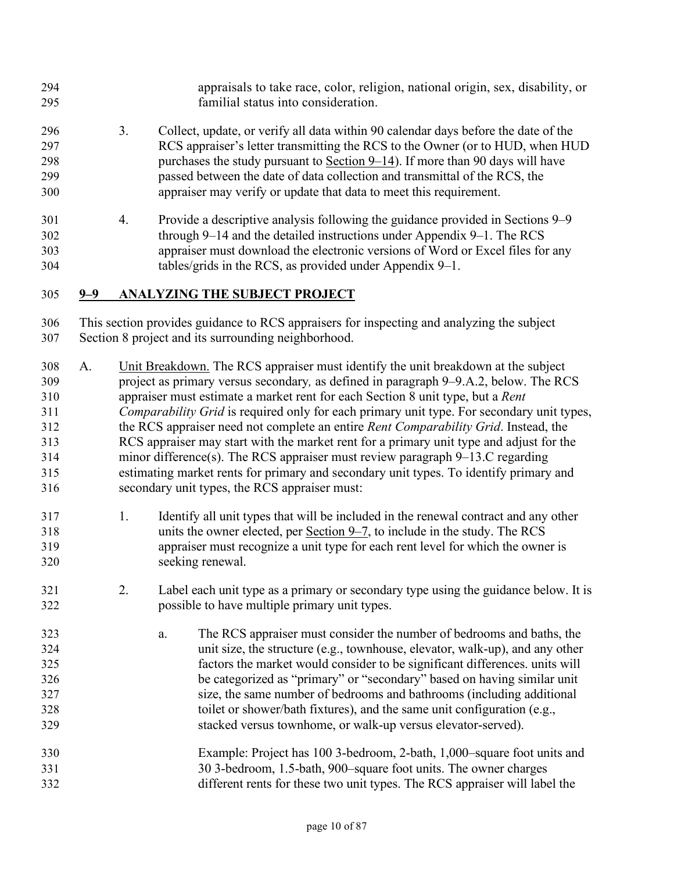- appraisals to take race, color, religion, national origin, sex, disability, or familial status into consideration.
- 3. Collect, update, or verify all data within 90 calendar days before the date of the RCS appraiser's letter transmitting the RCS to the Owner (or to HUD, when HUD purchases the study pursuant to [Section 9–14\)](#page-26-0). If more than 90 days will have passed between the date of data collection and transmittal of the RCS, the appraiser may verify or update that data to meet this requirement.
- 4. Provide a descriptive analysis following the guidance provided in Sections 9–9 through 9–14 and the detailed instructions under Appendix 9–1. The RCS appraiser must download the electronic versions of Word or Excel files for any tables/grids in the RCS, as provided under Appendix 9–1.
- **9–9 ANALYZING THE SUBJECT PROJECT**

This section provides guidance to RCS appraisers for inspecting and analyzing the subject Section 8 project and its surrounding neighborhood.

- A. Unit Breakdown. The RCS appraiser must identify the unit breakdown at the subject project as primary versus secondary*,* as defined in paragraph 9–9.A.2, below. The RCS appraiser must estimate a market rent for each Section 8 unit type, but a *Rent Comparability Grid* is required only for each primary unit type. For secondary unit types, the RCS appraiser need not complete an entire *Rent Comparability Grid*. Instead, the RCS appraiser may start with the market rent for a primary unit type and adjust for the minor difference(s). The RCS appraiser must review paragraph 9–13.C regarding estimating market rents for primary and secondary unit types. To identify primary and secondary unit types, the RCS appraiser must:
- 1. Identify all unit types that will be included in the renewal contract and any other units the owner elected, per [Section 9–7,](#page-9-0) to include in the study. The RCS appraiser must recognize a unit type for each rent level for which the owner is seeking renewal.
- 2. Label each unit type as a primary or secondary type using the guidance below. It is possible to have multiple primary unit types.
- a. The RCS appraiser must consider the number of bedrooms and baths, the unit size, the structure (e.g., townhouse, elevator, walk-up), and any other factors the market would consider to be significant differences. units will be categorized as "primary" or "secondary" based on having similar unit size, the same number of bedrooms and bathrooms (including additional toilet or shower/bath fixtures), and the same unit configuration (e.g., stacked versus townhome, or walk-up versus elevator-served).
- Example: Project has 100 3-bedroom, 2-bath, 1,000–square foot units and 30 3-bedroom, 1.5-bath, 900–square foot units. The owner charges different rents for these two unit types. The RCS appraiser will label the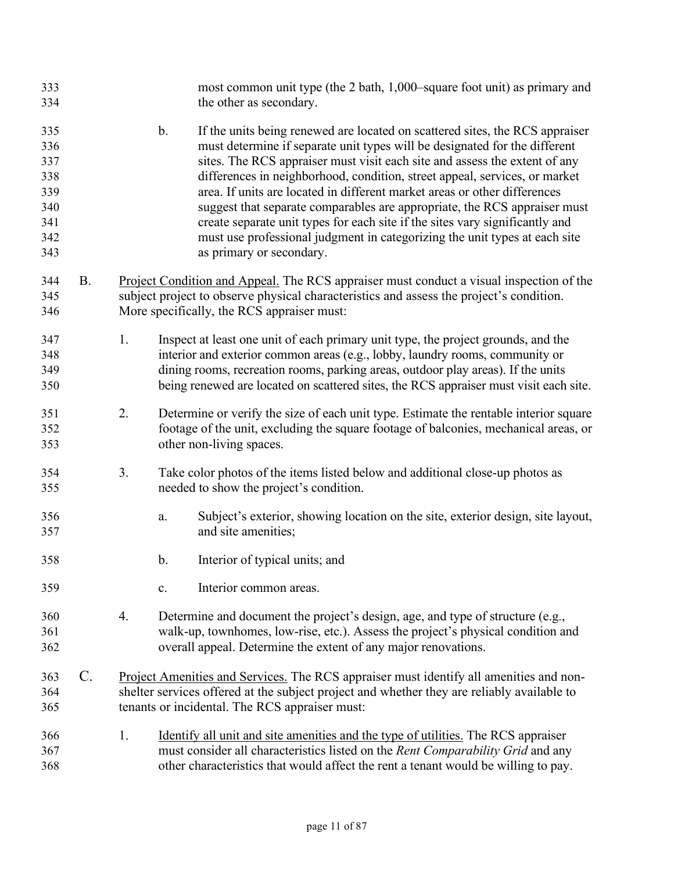| 333<br>334                                                  |                 |    | most common unit type (the 2 bath, 1,000–square foot unit) as primary and<br>the other as secondary.                                                                                                                                                                                                                                                                                                                                                                                                                                                                                                                                                                                        |
|-------------------------------------------------------------|-----------------|----|---------------------------------------------------------------------------------------------------------------------------------------------------------------------------------------------------------------------------------------------------------------------------------------------------------------------------------------------------------------------------------------------------------------------------------------------------------------------------------------------------------------------------------------------------------------------------------------------------------------------------------------------------------------------------------------------|
| 335<br>336<br>337<br>338<br>339<br>340<br>341<br>342<br>343 |                 |    | $\mathbf b$ .<br>If the units being renewed are located on scattered sites, the RCS appraiser<br>must determine if separate unit types will be designated for the different<br>sites. The RCS appraiser must visit each site and assess the extent of any<br>differences in neighborhood, condition, street appeal, services, or market<br>area. If units are located in different market areas or other differences<br>suggest that separate comparables are appropriate, the RCS appraiser must<br>create separate unit types for each site if the sites vary significantly and<br>must use professional judgment in categorizing the unit types at each site<br>as primary or secondary. |
| 344<br>345<br>346                                           | <b>B.</b>       |    | Project Condition and Appeal. The RCS appraiser must conduct a visual inspection of the<br>subject project to observe physical characteristics and assess the project's condition.<br>More specifically, the RCS appraiser must:                                                                                                                                                                                                                                                                                                                                                                                                                                                            |
| 347<br>348<br>349<br>350                                    |                 | 1. | Inspect at least one unit of each primary unit type, the project grounds, and the<br>interior and exterior common areas (e.g., lobby, laundry rooms, community or<br>dining rooms, recreation rooms, parking areas, outdoor play areas). If the units<br>being renewed are located on scattered sites, the RCS appraiser must visit each site.                                                                                                                                                                                                                                                                                                                                              |
| 351<br>352<br>353                                           |                 | 2. | Determine or verify the size of each unit type. Estimate the rentable interior square<br>footage of the unit, excluding the square footage of balconies, mechanical areas, or<br>other non-living spaces.                                                                                                                                                                                                                                                                                                                                                                                                                                                                                   |
| 354<br>355                                                  |                 | 3. | Take color photos of the items listed below and additional close-up photos as<br>needed to show the project's condition.                                                                                                                                                                                                                                                                                                                                                                                                                                                                                                                                                                    |
| 356<br>357                                                  |                 |    | Subject's exterior, showing location on the site, exterior design, site layout,<br>a.<br>and site amenities;                                                                                                                                                                                                                                                                                                                                                                                                                                                                                                                                                                                |
| 358                                                         |                 |    | $\mathbf b$ .<br>Interior of typical units; and                                                                                                                                                                                                                                                                                                                                                                                                                                                                                                                                                                                                                                             |
| 359                                                         |                 |    | Interior common areas.<br>c.                                                                                                                                                                                                                                                                                                                                                                                                                                                                                                                                                                                                                                                                |
| 360<br>361<br>362                                           |                 | 4. | Determine and document the project's design, age, and type of structure (e.g.,<br>walk-up, townhomes, low-rise, etc.). Assess the project's physical condition and<br>overall appeal. Determine the extent of any major renovations.                                                                                                                                                                                                                                                                                                                                                                                                                                                        |
| 363<br>364<br>365                                           | $\mathcal{C}$ . |    | Project Amenities and Services. The RCS appraiser must identify all amenities and non-<br>shelter services offered at the subject project and whether they are reliably available to<br>tenants or incidental. The RCS appraiser must:                                                                                                                                                                                                                                                                                                                                                                                                                                                      |
| 366<br>367<br>368                                           |                 | 1. | Identify all unit and site amenities and the type of utilities. The RCS appraiser<br>must consider all characteristics listed on the Rent Comparability Grid and any<br>other characteristics that would affect the rent a tenant would be willing to pay.                                                                                                                                                                                                                                                                                                                                                                                                                                  |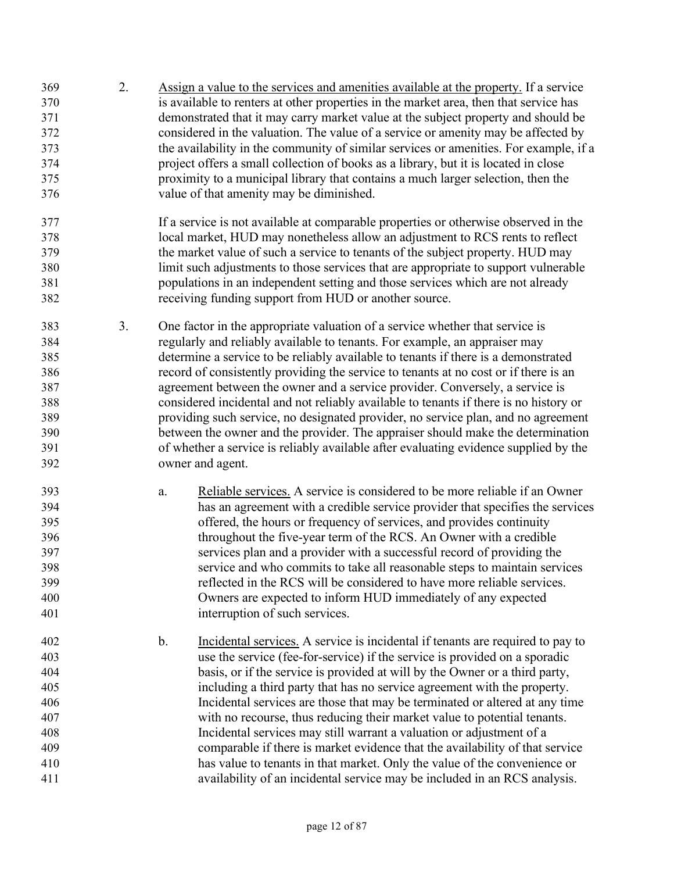- 2. Assign a value to the services and amenities available at the property. If a service is available to renters at other properties in the market area, then that service has demonstrated that it may carry market value at the subject property and should be considered in the valuation. The value of a service or amenity may be affected by the availability in the community of similar services or amenities. For example, if a project offers a small collection of books as a library, but it is located in close proximity to a municipal library that contains a much larger selection, then the value of that amenity may be diminished.
- If a service is not available at comparable properties or otherwise observed in the local market, HUD may nonetheless allow an adjustment to RCS rents to reflect the market value of such a service to tenants of the subject property. HUD may limit such adjustments to those services that are appropriate to support vulnerable populations in an independent setting and those services which are not already receiving funding support from HUD or another source.
- 3. One factor in the appropriate valuation of a service whether that service is regularly and reliably available to tenants. For example, an appraiser may determine a service to be reliably available to tenants if there is a demonstrated record of consistently providing the service to tenants at no cost or if there is an agreement between the owner and a service provider. Conversely, a service is considered incidental and not reliably available to tenants if there is no history or providing such service, no designated provider, no service plan, and no agreement between the owner and the provider. The appraiser should make the determination of whether a service is reliably available after evaluating evidence supplied by the owner and agent.
- a. Reliable services. A service is considered to be more reliable if an Owner has an agreement with a credible service provider that specifies the services offered, the hours or frequency of services, and provides continuity throughout the five-year term of the RCS. An Owner with a credible services plan and a provider with a successful record of providing the service and who commits to take all reasonable steps to maintain services reflected in the RCS will be considered to have more reliable services. Owners are expected to inform HUD immediately of any expected interruption of such services.
- b. Incidental services. A service is incidental if tenants are required to pay to use the service (fee-for-service) if the service is provided on a sporadic basis, or if the service is provided at will by the Owner or a third party, including a third party that has no service agreement with the property. Incidental services are those that may be terminated or altered at any time with no recourse, thus reducing their market value to potential tenants. Incidental services may still warrant a valuation or adjustment of a comparable if there is market evidence that the availability of that service has value to tenants in that market. Only the value of the convenience or availability of an incidental service may be included in an RCS analysis.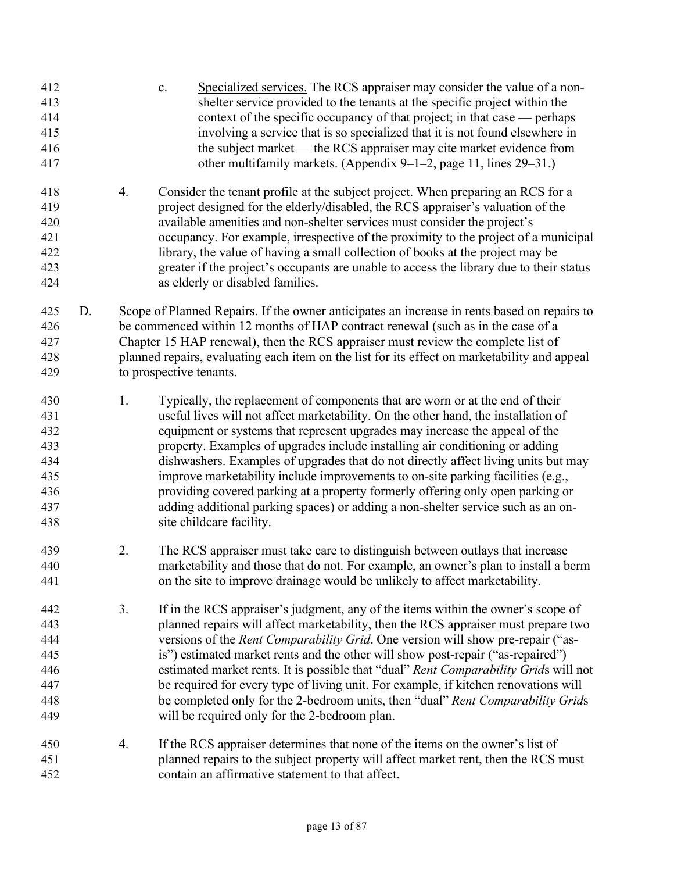| 412<br>413<br>414<br>415<br>416<br>417                      |    |    | Specialized services. The RCS appraiser may consider the value of a non-<br>c.<br>shelter service provided to the tenants at the specific project within the<br>context of the specific occupancy of that project; in that case — perhaps<br>involving a service that is so specialized that it is not found elsewhere in<br>the subject market — the RCS appraiser may cite market evidence from<br>other multifamily markets. (Appendix $9-1-2$ , page 11, lines 29-31.)                                                                                                                                                                                                                                    |
|-------------------------------------------------------------|----|----|---------------------------------------------------------------------------------------------------------------------------------------------------------------------------------------------------------------------------------------------------------------------------------------------------------------------------------------------------------------------------------------------------------------------------------------------------------------------------------------------------------------------------------------------------------------------------------------------------------------------------------------------------------------------------------------------------------------|
| 418<br>419<br>420<br>421<br>422<br>423<br>424               |    | 4. | Consider the tenant profile at the subject project. When preparing an RCS for a<br>project designed for the elderly/disabled, the RCS appraiser's valuation of the<br>available amenities and non-shelter services must consider the project's<br>occupancy. For example, irrespective of the proximity to the project of a municipal<br>library, the value of having a small collection of books at the project may be<br>greater if the project's occupants are unable to access the library due to their status<br>as elderly or disabled families.                                                                                                                                                        |
| 425<br>426<br>427<br>428<br>429                             | D. |    | Scope of Planned Repairs. If the owner anticipates an increase in rents based on repairs to<br>be commenced within 12 months of HAP contract renewal (such as in the case of a<br>Chapter 15 HAP renewal), then the RCS appraiser must review the complete list of<br>planned repairs, evaluating each item on the list for its effect on marketability and appeal<br>to prospective tenants.                                                                                                                                                                                                                                                                                                                 |
| 430<br>431<br>432<br>433<br>434<br>435<br>436<br>437<br>438 |    | 1. | Typically, the replacement of components that are worn or at the end of their<br>useful lives will not affect marketability. On the other hand, the installation of<br>equipment or systems that represent upgrades may increase the appeal of the<br>property. Examples of upgrades include installing air conditioning or adding<br>dishwashers. Examples of upgrades that do not directly affect living units but may<br>improve marketability include improvements to on-site parking facilities (e.g.,<br>providing covered parking at a property formerly offering only open parking or<br>adding additional parking spaces) or adding a non-shelter service such as an on-<br>site childcare facility. |
| 439<br>440<br>441                                           |    | 2. | The RCS appraiser must take care to distinguish between outlays that increase<br>marketability and those that do not. For example, an owner's plan to install a berm<br>on the site to improve drainage would be unlikely to affect marketability.                                                                                                                                                                                                                                                                                                                                                                                                                                                            |
| 442<br>443<br>444<br>445<br>446<br>447<br>448<br>449        |    | 3. | If in the RCS appraiser's judgment, any of the items within the owner's scope of<br>planned repairs will affect marketability, then the RCS appraiser must prepare two<br>versions of the <i>Rent Comparability Grid</i> . One version will show pre-repair ("as-<br>is") estimated market rents and the other will show post-repair ("as-repaired")<br>estimated market rents. It is possible that "dual" Rent Comparability Grids will not<br>be required for every type of living unit. For example, if kitchen renovations will<br>be completed only for the 2-bedroom units, then "dual" Rent Comparability Grids<br>will be required only for the 2-bedroom plan.                                       |
| 450<br>451<br>452                                           |    | 4. | If the RCS appraiser determines that none of the items on the owner's list of<br>planned repairs to the subject property will affect market rent, then the RCS must<br>contain an affirmative statement to that affect.                                                                                                                                                                                                                                                                                                                                                                                                                                                                                       |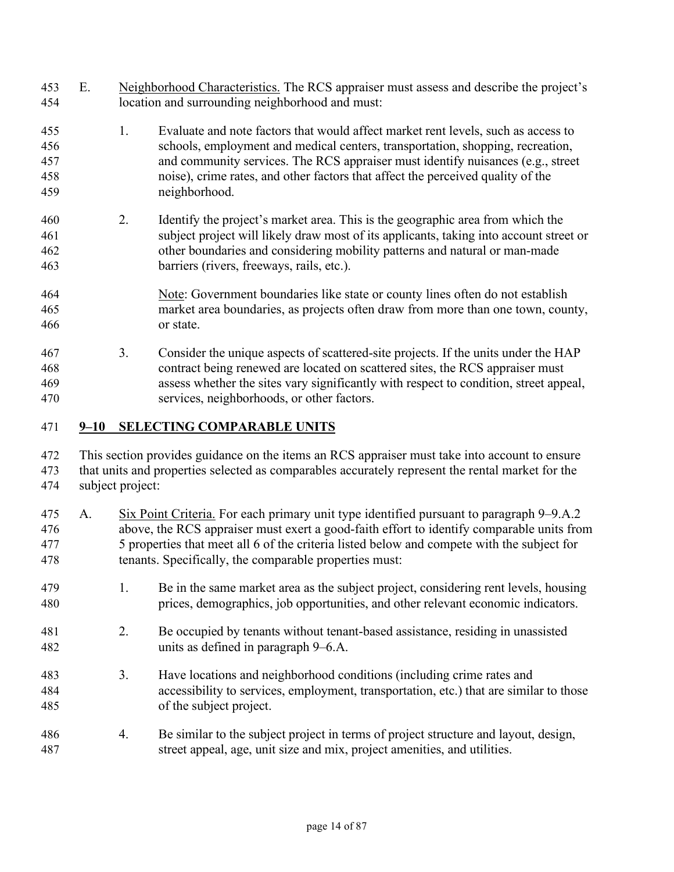| 453<br>454                      | E.       |                  | Neighborhood Characteristics. The RCS appraiser must assess and describe the project's<br>location and surrounding neighborhood and must:                                                                                                                                                                                                                  |
|---------------------------------|----------|------------------|------------------------------------------------------------------------------------------------------------------------------------------------------------------------------------------------------------------------------------------------------------------------------------------------------------------------------------------------------------|
| 455<br>456<br>457<br>458<br>459 |          | 1.               | Evaluate and note factors that would affect market rent levels, such as access to<br>schools, employment and medical centers, transportation, shopping, recreation,<br>and community services. The RCS appraiser must identify nuisances (e.g., street<br>noise), crime rates, and other factors that affect the perceived quality of the<br>neighborhood. |
| 460<br>461<br>462<br>463        |          | 2.               | Identify the project's market area. This is the geographic area from which the<br>subject project will likely draw most of its applicants, taking into account street or<br>other boundaries and considering mobility patterns and natural or man-made<br>barriers (rivers, freeways, rails, etc.).                                                        |
| 464<br>465<br>466               |          |                  | Note: Government boundaries like state or county lines often do not establish<br>market area boundaries, as projects often draw from more than one town, county,<br>or state.                                                                                                                                                                              |
| 467<br>468<br>469<br>470        |          | 3.               | Consider the unique aspects of scattered-site projects. If the units under the HAP<br>contract being renewed are located on scattered sites, the RCS appraiser must<br>assess whether the sites vary significantly with respect to condition, street appeal,<br>services, neighborhoods, or other factors.                                                 |
| 471                             | $9 - 10$ |                  | <b>SELECTING COMPARABLE UNITS</b>                                                                                                                                                                                                                                                                                                                          |
| 472<br>473<br>474               |          | subject project: | This section provides guidance on the items an RCS appraiser must take into account to ensure<br>that units and properties selected as comparables accurately represent the rental market for the                                                                                                                                                          |
| 475<br>476<br>477<br>478        | A.       |                  | Six Point Criteria. For each primary unit type identified pursuant to paragraph 9–9.A.2<br>above, the RCS appraiser must exert a good-faith effort to identify comparable units from<br>5 properties that meet all 6 of the criteria listed below and compete with the subject for<br>tenants. Specifically, the comparable properties must:               |
| 479                             |          | 1.               | Be in the same market area as the subject project, considering rent levels, housing                                                                                                                                                                                                                                                                        |

2. Be occupied by tenants without tenant-based assistance, residing in unassisted units as defined in paragraph 9–6.A.

prices, demographics, job opportunities, and other relevant economic indicators.

- 3. Have locations and neighborhood conditions (including crime rates and accessibility to services, employment, transportation, etc.) that are similar to those of the subject project.
- 4. Be similar to the subject project in terms of project structure and layout, design, street appeal, age, unit size and mix, project amenities, and utilities.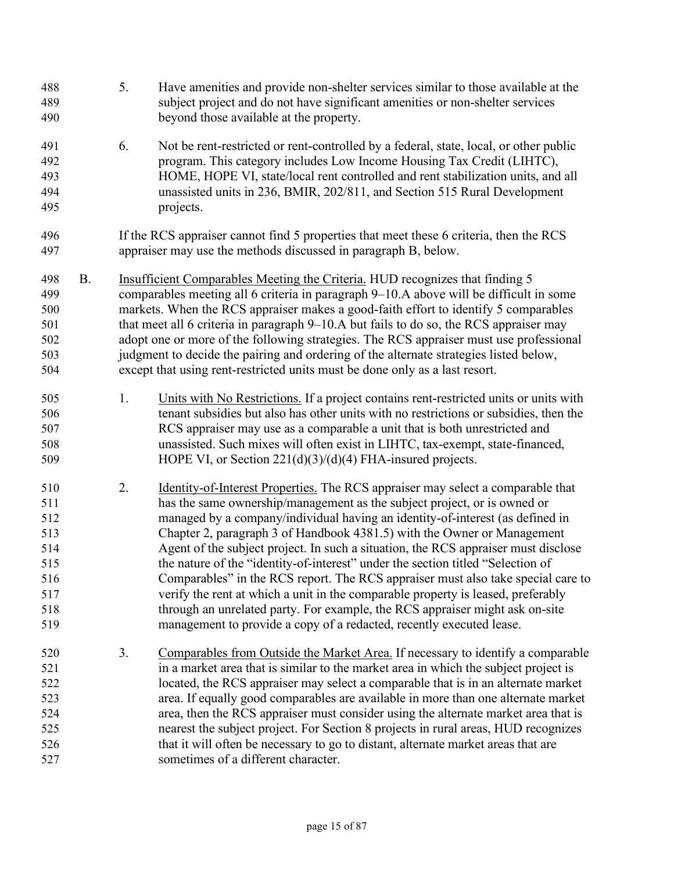| 488<br>489<br>490                                                  |           | 5. | Have amenities and provide non-shelter services similar to those available at the<br>subject project and do not have significant amenities or non-shelter services<br>beyond those available at the property.                                                                                                                                                                                                                                                                                                                                                                                                                                                                                                                                                                                                                    |
|--------------------------------------------------------------------|-----------|----|----------------------------------------------------------------------------------------------------------------------------------------------------------------------------------------------------------------------------------------------------------------------------------------------------------------------------------------------------------------------------------------------------------------------------------------------------------------------------------------------------------------------------------------------------------------------------------------------------------------------------------------------------------------------------------------------------------------------------------------------------------------------------------------------------------------------------------|
| 491<br>492<br>493<br>494<br>495                                    |           | 6. | Not be rent-restricted or rent-controlled by a federal, state, local, or other public<br>program. This category includes Low Income Housing Tax Credit (LIHTC),<br>HOME, HOPE VI, state/local rent controlled and rent stabilization units, and all<br>unassisted units in 236, BMIR, 202/811, and Section 515 Rural Development<br>projects.                                                                                                                                                                                                                                                                                                                                                                                                                                                                                    |
| 496<br>497                                                         |           |    | If the RCS appraiser cannot find 5 properties that meet these 6 criteria, then the RCS<br>appraiser may use the methods discussed in paragraph B, below.                                                                                                                                                                                                                                                                                                                                                                                                                                                                                                                                                                                                                                                                         |
| 498<br>499<br>500<br>501<br>502<br>503<br>504                      | <b>B.</b> |    | Insufficient Comparables Meeting the Criteria. HUD recognizes that finding 5<br>comparables meeting all 6 criteria in paragraph 9-10.A above will be difficult in some<br>markets. When the RCS appraiser makes a good-faith effort to identify 5 comparables<br>that meet all 6 criteria in paragraph 9-10.A but fails to do so, the RCS appraiser may<br>adopt one or more of the following strategies. The RCS appraiser must use professional<br>judgment to decide the pairing and ordering of the alternate strategies listed below,<br>except that using rent-restricted units must be done only as a last resort.                                                                                                                                                                                                        |
| 505<br>506<br>507<br>508<br>509                                    |           | 1. | Units with No Restrictions. If a project contains rent-restricted units or units with<br>tenant subsidies but also has other units with no restrictions or subsidies, then the<br>RCS appraiser may use as a comparable a unit that is both unrestricted and<br>unassisted. Such mixes will often exist in LIHTC, tax-exempt, state-financed,<br>HOPE VI, or Section 221(d)(3)/(d)(4) FHA-insured projects.                                                                                                                                                                                                                                                                                                                                                                                                                      |
| 510<br>511<br>512<br>513<br>514<br>515<br>516<br>517<br>518<br>519 |           | 2. | Identity-of-Interest Properties. The RCS appraiser may select a comparable that<br>has the same ownership/management as the subject project, or is owned or<br>managed by a company/individual having an identity-of-interest (as defined in<br>Chapter 2, paragraph 3 of Handbook 4381.5) with the Owner or Management<br>Agent of the subject project. In such a situation, the RCS appraiser must disclose<br>the nature of the "identity-of-interest" under the section titled "Selection of<br>Comparables" in the RCS report. The RCS appraiser must also take special care to<br>verify the rent at which a unit in the comparable property is leased, preferably<br>through an unrelated party. For example, the RCS appraiser might ask on-site<br>management to provide a copy of a redacted, recently executed lease. |
| 520<br>521<br>522<br>523<br>524<br>525<br>526<br>527               |           | 3. | Comparables from Outside the Market Area. If necessary to identify a comparable<br>in a market area that is similar to the market area in which the subject project is<br>located, the RCS appraiser may select a comparable that is in an alternate market<br>area. If equally good comparables are available in more than one alternate market<br>area, then the RCS appraiser must consider using the alternate market area that is<br>nearest the subject project. For Section 8 projects in rural areas, HUD recognizes<br>that it will often be necessary to go to distant, alternate market areas that are<br>sometimes of a different character.                                                                                                                                                                         |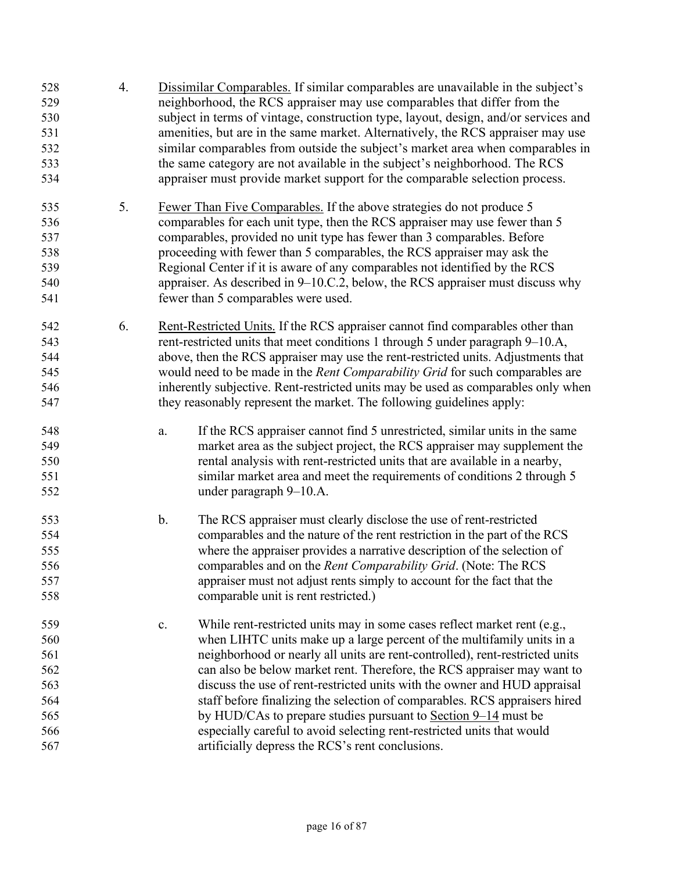| 528<br>529<br>530<br>531<br>532<br>533<br>534               | 4. | Dissimilar Comparables. If similar comparables are unavailable in the subject's<br>neighborhood, the RCS appraiser may use comparables that differ from the<br>subject in terms of vintage, construction type, layout, design, and/or services and<br>amenities, but are in the same market. Alternatively, the RCS appraiser may use<br>similar comparables from outside the subject's market area when comparables in<br>the same category are not available in the subject's neighborhood. The RCS<br>appraiser must provide market support for the comparable selection process.                                                                                           |  |  |
|-------------------------------------------------------------|----|--------------------------------------------------------------------------------------------------------------------------------------------------------------------------------------------------------------------------------------------------------------------------------------------------------------------------------------------------------------------------------------------------------------------------------------------------------------------------------------------------------------------------------------------------------------------------------------------------------------------------------------------------------------------------------|--|--|
| 535<br>536<br>537<br>538<br>539<br>540<br>541               | 5. | Fewer Than Five Comparables. If the above strategies do not produce 5<br>comparables for each unit type, then the RCS appraiser may use fewer than 5<br>comparables, provided no unit type has fewer than 3 comparables. Before<br>proceeding with fewer than 5 comparables, the RCS appraiser may ask the<br>Regional Center if it is aware of any comparables not identified by the RCS<br>appraiser. As described in $9-10$ .C.2, below, the RCS appraiser must discuss why<br>fewer than 5 comparables were used.                                                                                                                                                          |  |  |
| 542<br>543<br>544<br>545<br>546<br>547                      | 6. | Rent-Restricted Units. If the RCS appraiser cannot find comparables other than<br>rent-restricted units that meet conditions 1 through 5 under paragraph 9–10.A,<br>above, then the RCS appraiser may use the rent-restricted units. Adjustments that<br>would need to be made in the Rent Comparability Grid for such comparables are<br>inherently subjective. Rent-restricted units may be used as comparables only when<br>they reasonably represent the market. The following guidelines apply:                                                                                                                                                                           |  |  |
| 548<br>549<br>550<br>551<br>552                             |    | If the RCS appraiser cannot find 5 unrestricted, similar units in the same<br>a.<br>market area as the subject project, the RCS appraiser may supplement the<br>rental analysis with rent-restricted units that are available in a nearby,<br>similar market area and meet the requirements of conditions 2 through 5<br>under paragraph 9-10.A.                                                                                                                                                                                                                                                                                                                               |  |  |
| 553<br>554<br>555<br>556<br>557<br>558                      |    | $\mathbf b$ .<br>The RCS appraiser must clearly disclose the use of rent-restricted<br>comparables and the nature of the rent restriction in the part of the RCS<br>where the appraiser provides a narrative description of the selection of<br>comparables and on the Rent Comparability Grid. (Note: The RCS<br>appraiser must not adjust rents simply to account for the fact that the<br>comparable unit is rent restricted.)                                                                                                                                                                                                                                              |  |  |
| 559<br>560<br>561<br>562<br>563<br>564<br>565<br>566<br>567 |    | While rent-restricted units may in some cases reflect market rent (e.g.,<br>c.<br>when LIHTC units make up a large percent of the multifamily units in a<br>neighborhood or nearly all units are rent-controlled), rent-restricted units<br>can also be below market rent. Therefore, the RCS appraiser may want to<br>discuss the use of rent-restricted units with the owner and HUD appraisal<br>staff before finalizing the selection of comparables. RCS appraisers hired<br>by HUD/CAs to prepare studies pursuant to Section 9-14 must be<br>especially careful to avoid selecting rent-restricted units that would<br>artificially depress the RCS's rent conclusions. |  |  |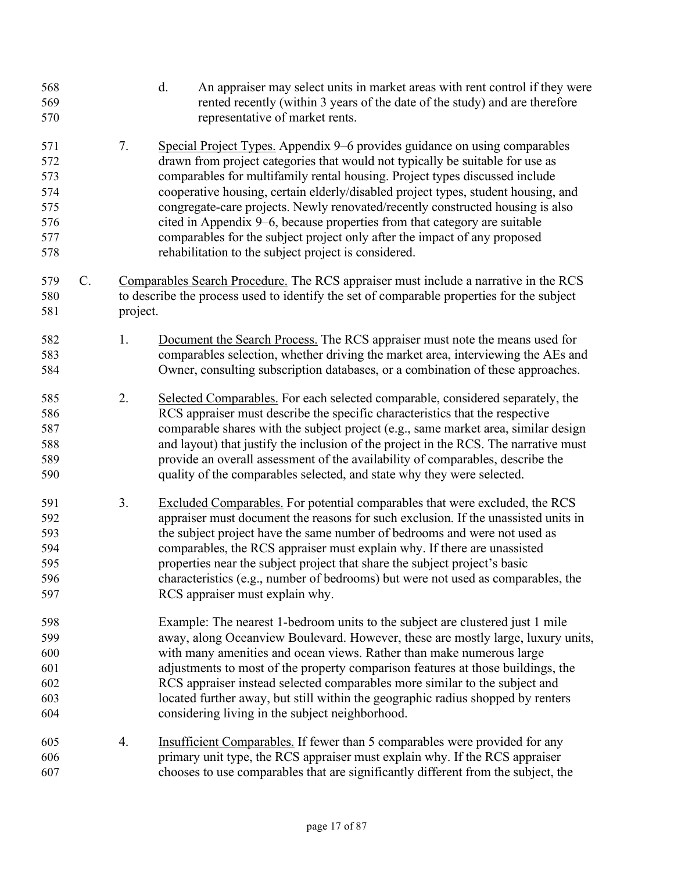| 568<br>569<br>570                                    |    |          | d.<br>An appraiser may select units in market areas with rent control if they were<br>rented recently (within 3 years of the date of the study) and are therefore<br>representative of market rents.                                                                                                                                                                                                                                                                                                                                                                                                                                |
|------------------------------------------------------|----|----------|-------------------------------------------------------------------------------------------------------------------------------------------------------------------------------------------------------------------------------------------------------------------------------------------------------------------------------------------------------------------------------------------------------------------------------------------------------------------------------------------------------------------------------------------------------------------------------------------------------------------------------------|
| 571<br>572<br>573<br>574<br>575<br>576<br>577<br>578 |    | 7.       | Special Project Types. Appendix 9–6 provides guidance on using comparables<br>drawn from project categories that would not typically be suitable for use as<br>comparables for multifamily rental housing. Project types discussed include<br>cooperative housing, certain elderly/disabled project types, student housing, and<br>congregate-care projects. Newly renovated/recently constructed housing is also<br>cited in Appendix 9–6, because properties from that category are suitable<br>comparables for the subject project only after the impact of any proposed<br>rehabilitation to the subject project is considered. |
| 579<br>580<br>581                                    | C. | project. | Comparables Search Procedure. The RCS appraiser must include a narrative in the RCS<br>to describe the process used to identify the set of comparable properties for the subject                                                                                                                                                                                                                                                                                                                                                                                                                                                    |
| 582<br>583<br>584                                    |    | 1.       | Document the Search Process. The RCS appraiser must note the means used for<br>comparables selection, whether driving the market area, interviewing the AEs and<br>Owner, consulting subscription databases, or a combination of these approaches.                                                                                                                                                                                                                                                                                                                                                                                  |
| 585<br>586<br>587<br>588<br>589<br>590               |    | 2.       | Selected Comparables. For each selected comparable, considered separately, the<br>RCS appraiser must describe the specific characteristics that the respective<br>comparable shares with the subject project (e.g., same market area, similar design<br>and layout) that justify the inclusion of the project in the RCS. The narrative must<br>provide an overall assessment of the availability of comparables, describe the<br>quality of the comparables selected, and state why they were selected.                                                                                                                            |
| 591<br>592<br>593<br>594<br>595<br>596<br>597        |    | 3.       | Excluded Comparables. For potential comparables that were excluded, the RCS<br>appraiser must document the reasons for such exclusion. If the unassisted units in<br>the subject project have the same number of bedrooms and were not used as<br>comparables, the RCS appraiser must explain why. If there are unassisted<br>properties near the subject project that share the subject project's basic<br>characteristics (e.g., number of bedrooms) but were not used as comparables, the<br>RCS appraiser must explain why.                                                                                                     |
| 598<br>599<br>600<br>601<br>602<br>603<br>604        |    |          | Example: The nearest 1-bedroom units to the subject are clustered just 1 mile<br>away, along Oceanview Boulevard. However, these are mostly large, luxury units,<br>with many amenities and ocean views. Rather than make numerous large<br>adjustments to most of the property comparison features at those buildings, the<br>RCS appraiser instead selected comparables more similar to the subject and<br>located further away, but still within the geographic radius shopped by renters<br>considering living in the subject neighborhood.                                                                                     |
| 605<br>606<br>607                                    |    | 4.       | Insufficient Comparables. If fewer than 5 comparables were provided for any<br>primary unit type, the RCS appraiser must explain why. If the RCS appraiser<br>chooses to use comparables that are significantly different from the subject, the                                                                                                                                                                                                                                                                                                                                                                                     |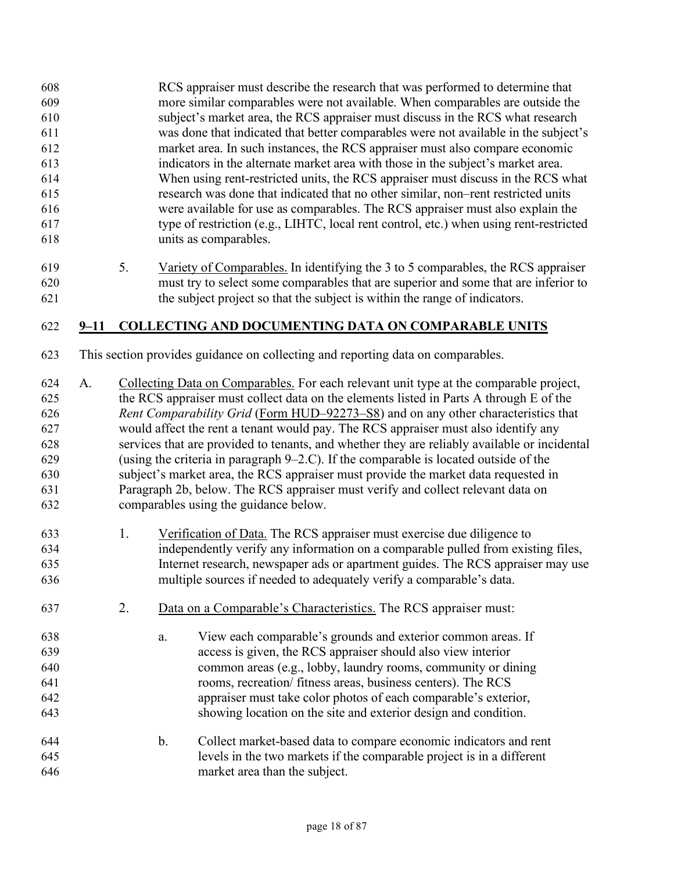- RCS appraiser must describe the research that was performed to determine that more similar comparables were not available. When comparables are outside the subject's market area, the RCS appraiser must discuss in the RCS what research was done that indicated that better comparables were not available in the subject's market area. In such instances, the RCS appraiser must also compare economic indicators in the alternate market area with those in the subject's market area. When using rent-restricted units, the RCS appraiser must discuss in the RCS what research was done that indicated that no other similar, non–rent restricted units were available for use as comparables. The RCS appraiser must also explain the type of restriction (e.g., LIHTC, local rent control, etc.) when using rent-restricted units as comparables.
- 5. Variety of Comparables. In identifying the 3 to 5 comparables, the RCS appraiser must try to select some comparables that are superior and some that are inferior to the subject project so that the subject is within the range of indicators.

#### **9–11 COLLECTING AND DOCUMENTING DATA ON COMPARABLE UNITS**

- This section provides guidance on collecting and reporting data on comparables.
- A. Collecting Data on Comparables. For each relevant unit type at the comparable project, the RCS appraiser must collect data on the elements listed in Parts A through E of the *Rent Comparability Grid* [\(Form HUD–92273–S8\)](https://www.hud.gov/sites/dfiles/OCHCO/documents/HUD-92273-S8.xls) and on any other characteristics that would affect the rent a tenant would pay. The RCS appraiser must also identify any services that are provided to tenants, and whether they are reliably available or incidental (using the criteria in paragraph 9–2.C). If the comparable is located outside of the subject's market area, the RCS appraiser must provide the market data requested in Paragraph 2b, below. The RCS appraiser must verify and collect relevant data on comparables using the guidance below.
- 1. Verification of Data. The RCS appraiser must exercise due diligence to independently verify any information on a comparable pulled from existing files, Internet research, newspaper ads or apartment guides. The RCS appraiser may use multiple sources if needed to adequately verify a comparable's data.
- 2. Data on a Comparable's Characteristics. The RCS appraiser must:
- a. View each comparable's grounds and exterior common areas. If access is given, the RCS appraiser should also view interior common areas (e.g., lobby, laundry rooms, community or dining rooms, recreation/ fitness areas, business centers). The RCS appraiser must take color photos of each comparable's exterior, showing location on the site and exterior design and condition.
- b. Collect market-based data to compare economic indicators and rent levels in the two markets if the comparable project is in a different market area than the subject.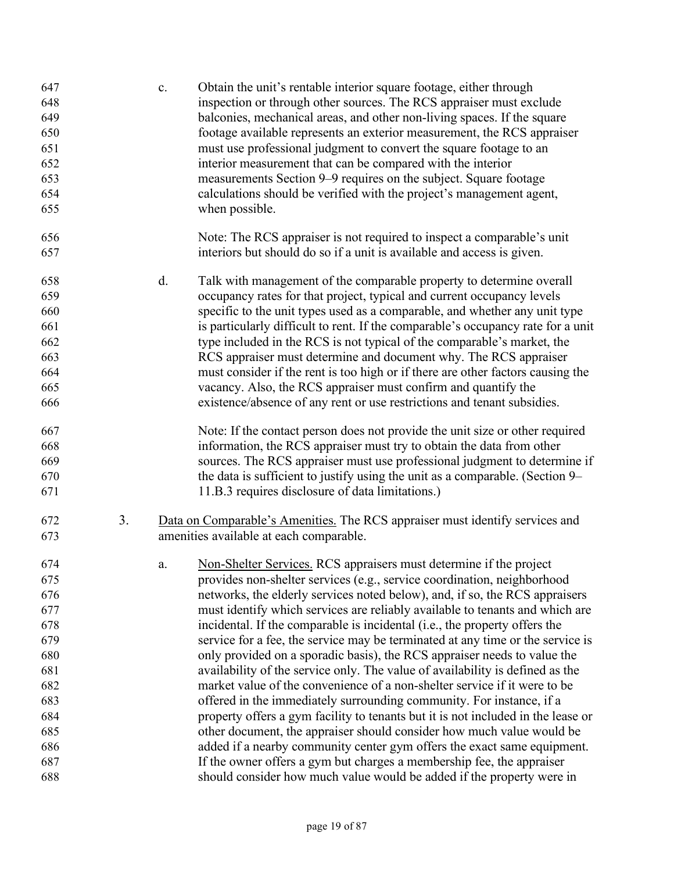| 647<br>648 |    | c. | Obtain the unit's rentable interior square footage, either through<br>inspection or through other sources. The RCS appraiser must exclude |
|------------|----|----|-------------------------------------------------------------------------------------------------------------------------------------------|
| 649        |    |    | balconies, mechanical areas, and other non-living spaces. If the square                                                                   |
| 650        |    |    | footage available represents an exterior measurement, the RCS appraiser                                                                   |
| 651        |    |    | must use professional judgment to convert the square footage to an                                                                        |
| 652        |    |    | interior measurement that can be compared with the interior                                                                               |
| 653        |    |    | measurements Section 9–9 requires on the subject. Square footage                                                                          |
| 654        |    |    | calculations should be verified with the project's management agent,                                                                      |
| 655        |    |    | when possible.                                                                                                                            |
| 656        |    |    | Note: The RCS appraiser is not required to inspect a comparable's unit                                                                    |
| 657        |    |    | interiors but should do so if a unit is available and access is given.                                                                    |
| 658        |    | d. | Talk with management of the comparable property to determine overall                                                                      |
| 659        |    |    | occupancy rates for that project, typical and current occupancy levels                                                                    |
| 660        |    |    | specific to the unit types used as a comparable, and whether any unit type                                                                |
| 661        |    |    | is particularly difficult to rent. If the comparable's occupancy rate for a unit                                                          |
| 662        |    |    | type included in the RCS is not typical of the comparable's market, the                                                                   |
| 663        |    |    | RCS appraiser must determine and document why. The RCS appraiser                                                                          |
| 664        |    |    | must consider if the rent is too high or if there are other factors causing the                                                           |
| 665        |    |    | vacancy. Also, the RCS appraiser must confirm and quantify the                                                                            |
| 666        |    |    | existence/absence of any rent or use restrictions and tenant subsidies.                                                                   |
| 667        |    |    | Note: If the contact person does not provide the unit size or other required                                                              |
| 668        |    |    | information, the RCS appraiser must try to obtain the data from other                                                                     |
| 669        |    |    | sources. The RCS appraiser must use professional judgment to determine if                                                                 |
| 670        |    |    | the data is sufficient to justify using the unit as a comparable. (Section 9–                                                             |
| 671        |    |    | 11.B.3 requires disclosure of data limitations.)                                                                                          |
| 672        | 3. |    | Data on Comparable's Amenities. The RCS appraiser must identify services and                                                              |
| 673        |    |    | amenities available at each comparable.                                                                                                   |
| 674        |    | a. | Non-Shelter Services. RCS appraisers must determine if the project                                                                        |
| 675        |    |    | provides non-shelter services (e.g., service coordination, neighborhood                                                                   |
| 676        |    |    | networks, the elderly services noted below), and, if so, the RCS appraisers                                                               |
| 677        |    |    | must identify which services are reliably available to tenants and which are                                                              |
| 678        |    |    | incidental. If the comparable is incidental (i.e., the property offers the                                                                |
| 679        |    |    | service for a fee, the service may be terminated at any time or the service is                                                            |
| 680        |    |    | only provided on a sporadic basis), the RCS appraiser needs to value the                                                                  |
| 681        |    |    | availability of the service only. The value of availability is defined as the                                                             |
| 682        |    |    | market value of the convenience of a non-shelter service if it were to be                                                                 |
| 683        |    |    | offered in the immediately surrounding community. For instance, if a                                                                      |
| 684        |    |    | property offers a gym facility to tenants but it is not included in the lease or                                                          |
| 685        |    |    | other document, the appraiser should consider how much value would be                                                                     |
| 686        |    |    | added if a nearby community center gym offers the exact same equipment.                                                                   |
| 687        |    |    | If the owner offers a gym but charges a membership fee, the appraiser                                                                     |
| 688        |    |    | should consider how much value would be added if the property were in                                                                     |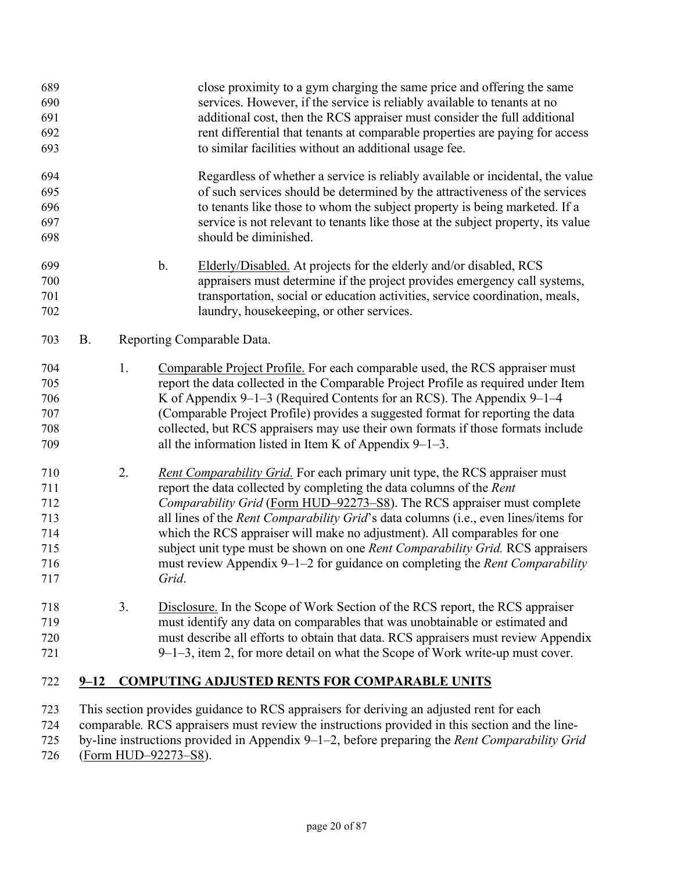| 689<br>690<br>691<br>692<br>693                      |           |    | close proximity to a gym charging the same price and offering the same<br>services. However, if the service is reliably available to tenants at no<br>additional cost, then the RCS appraiser must consider the full additional<br>rent differential that tenants at comparable properties are paying for access<br>to similar facilities without an additional usage fee.                                                                                                                                                                                                           |
|------------------------------------------------------|-----------|----|--------------------------------------------------------------------------------------------------------------------------------------------------------------------------------------------------------------------------------------------------------------------------------------------------------------------------------------------------------------------------------------------------------------------------------------------------------------------------------------------------------------------------------------------------------------------------------------|
| 694<br>695<br>696<br>697<br>698                      |           |    | Regardless of whether a service is reliably available or incidental, the value<br>of such services should be determined by the attractiveness of the services<br>to tenants like those to whom the subject property is being marketed. If a<br>service is not relevant to tenants like those at the subject property, its value<br>should be diminished.                                                                                                                                                                                                                             |
| 699<br>700<br>701<br>702                             |           |    | b.<br>Elderly/Disabled. At projects for the elderly and/or disabled, RCS<br>appraisers must determine if the project provides emergency call systems,<br>transportation, social or education activities, service coordination, meals,<br>laundry, housekeeping, or other services.                                                                                                                                                                                                                                                                                                   |
| 703                                                  | <b>B.</b> |    | Reporting Comparable Data.                                                                                                                                                                                                                                                                                                                                                                                                                                                                                                                                                           |
| 704<br>705<br>706<br>707<br>708<br>709               |           | 1. | Comparable Project Profile. For each comparable used, the RCS appraiser must<br>report the data collected in the Comparable Project Profile as required under Item<br>K of Appendix $9-1-3$ (Required Contents for an RCS). The Appendix $9-1-4$<br>(Comparable Project Profile) provides a suggested format for reporting the data<br>collected, but RCS appraisers may use their own formats if those formats include<br>all the information listed in Item K of Appendix $9-1-3$ .                                                                                                |
| 710<br>711<br>712<br>713<br>714<br>715<br>716<br>717 |           | 2. | Rent Comparability Grid. For each primary unit type, the RCS appraiser must<br>report the data collected by completing the data columns of the Rent<br>Comparability Grid (Form HUD–92273–S8). The RCS appraiser must complete<br>all lines of the <i>Rent Comparability Grid's</i> data columns (i.e., even lines/items for<br>which the RCS appraiser will make no adjustment). All comparables for one<br>subject unit type must be shown on one Rent Comparability Grid. RCS appraisers<br>must review Appendix 9–1–2 for guidance on completing the Rent Comparability<br>Grid. |
| 718<br>719<br>720<br>721                             |           | 3. | Disclosure. In the Scope of Work Section of the RCS report, the RCS appraiser<br>must identify any data on comparables that was unobtainable or estimated and<br>must describe all efforts to obtain that data. RCS appraisers must review Appendix<br>9–1–3, item 2, for more detail on what the Scope of Work write-up must cover.                                                                                                                                                                                                                                                 |
| 722                                                  | $9 - 12$  |    | <b>COMPUTING ADJUSTED RENTS FOR COMPARABLE UNITS</b>                                                                                                                                                                                                                                                                                                                                                                                                                                                                                                                                 |
| 723<br>724<br>725                                    |           |    | This section provides guidance to RCS appraisers for deriving an adjusted rent for each<br>comparable. RCS appraisers must review the instructions provided in this section and the line-<br>by-line instructions provided in Appendix 9-1-2, before preparing the Rent Comparability Grid                                                                                                                                                                                                                                                                                           |

[\(Form HUD–92273–S8\)](https://www.hud.gov/sites/dfiles/OCHCO/documents/HUD-92273-S8.xls).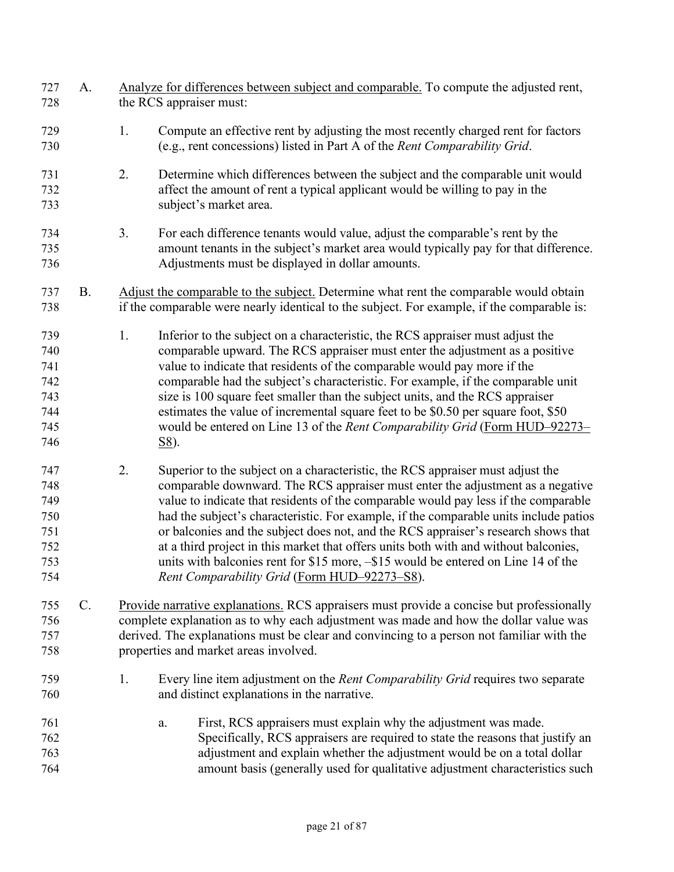| 727<br>728                                           | A.        |    | Analyze for differences between subject and comparable. To compute the adjusted rent,<br>the RCS appraiser must:                                                                                                                                                                                                                                                                                                                                                                                                                                                                                                                                                      |
|------------------------------------------------------|-----------|----|-----------------------------------------------------------------------------------------------------------------------------------------------------------------------------------------------------------------------------------------------------------------------------------------------------------------------------------------------------------------------------------------------------------------------------------------------------------------------------------------------------------------------------------------------------------------------------------------------------------------------------------------------------------------------|
| 729<br>730                                           |           | 1. | Compute an effective rent by adjusting the most recently charged rent for factors<br>(e.g., rent concessions) listed in Part A of the Rent Comparability Grid.                                                                                                                                                                                                                                                                                                                                                                                                                                                                                                        |
| 731<br>732<br>733                                    |           | 2. | Determine which differences between the subject and the comparable unit would<br>affect the amount of rent a typical applicant would be willing to pay in the<br>subject's market area.                                                                                                                                                                                                                                                                                                                                                                                                                                                                               |
| 734<br>735<br>736                                    |           | 3. | For each difference tenants would value, adjust the comparable's rent by the<br>amount tenants in the subject's market area would typically pay for that difference.<br>Adjustments must be displayed in dollar amounts.                                                                                                                                                                                                                                                                                                                                                                                                                                              |
| 737<br>738                                           | <b>B.</b> |    | Adjust the comparable to the subject. Determine what rent the comparable would obtain<br>if the comparable were nearly identical to the subject. For example, if the comparable is:                                                                                                                                                                                                                                                                                                                                                                                                                                                                                   |
| 739<br>740<br>741<br>742<br>743<br>744<br>745<br>746 |           | 1. | Inferior to the subject on a characteristic, the RCS appraiser must adjust the<br>comparable upward. The RCS appraiser must enter the adjustment as a positive<br>value to indicate that residents of the comparable would pay more if the<br>comparable had the subject's characteristic. For example, if the comparable unit<br>size is 100 square feet smaller than the subject units, and the RCS appraiser<br>estimates the value of incremental square feet to be \$0.50 per square foot, \$50<br>would be entered on Line 13 of the Rent Comparability Grid (Form HUD-92273-<br><u>S8</u> ).                                                                   |
| 747<br>748<br>749<br>750<br>751<br>752<br>753<br>754 |           | 2. | Superior to the subject on a characteristic, the RCS appraiser must adjust the<br>comparable downward. The RCS appraiser must enter the adjustment as a negative<br>value to indicate that residents of the comparable would pay less if the comparable<br>had the subject's characteristic. For example, if the comparable units include patios<br>or balconies and the subject does not, and the RCS appraiser's research shows that<br>at a third project in this market that offers units both with and without balconies,<br>units with balconies rent for $$15$ more, $-$15$ would be entered on Line 14 of the<br>Rent Comparability Grid (Form HUD-92273-S8). |
| 755<br>756<br>757<br>758                             | C.        |    | Provide narrative explanations. RCS appraisers must provide a concise but professionally<br>complete explanation as to why each adjustment was made and how the dollar value was<br>derived. The explanations must be clear and convincing to a person not familiar with the<br>properties and market areas involved.                                                                                                                                                                                                                                                                                                                                                 |
| 759<br>760                                           |           | 1. | Every line item adjustment on the Rent Comparability Grid requires two separate<br>and distinct explanations in the narrative.                                                                                                                                                                                                                                                                                                                                                                                                                                                                                                                                        |
| 761<br>762<br>763<br>764                             |           |    | First, RCS appraisers must explain why the adjustment was made.<br>a.<br>Specifically, RCS appraisers are required to state the reasons that justify an<br>adjustment and explain whether the adjustment would be on a total dollar<br>amount basis (generally used for qualitative adjustment characteristics such                                                                                                                                                                                                                                                                                                                                                   |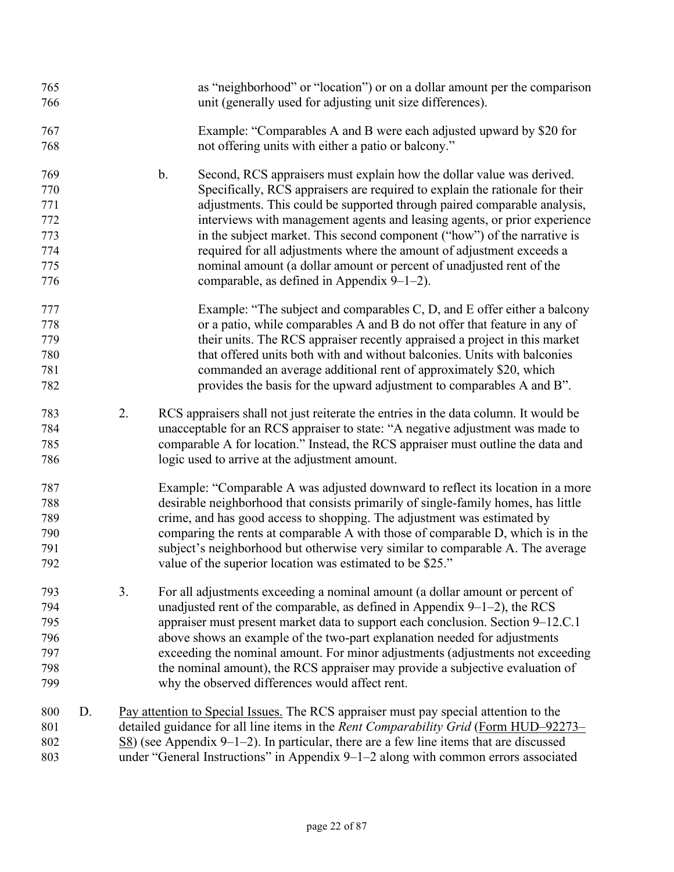| 765<br>766                                           |    |    | as "neighborhood" or "location") or on a dollar amount per the comparison<br>unit (generally used for adjusting unit size differences).                                                                                                                                                                                                                                                                                                                                                                                                                                                            |
|------------------------------------------------------|----|----|----------------------------------------------------------------------------------------------------------------------------------------------------------------------------------------------------------------------------------------------------------------------------------------------------------------------------------------------------------------------------------------------------------------------------------------------------------------------------------------------------------------------------------------------------------------------------------------------------|
| 767<br>768                                           |    |    | Example: "Comparables A and B were each adjusted upward by \$20 for<br>not offering units with either a patio or balcony."                                                                                                                                                                                                                                                                                                                                                                                                                                                                         |
| 769<br>770<br>771<br>772<br>773<br>774<br>775<br>776 |    |    | Second, RCS appraisers must explain how the dollar value was derived.<br>b.<br>Specifically, RCS appraisers are required to explain the rationale for their<br>adjustments. This could be supported through paired comparable analysis,<br>interviews with management agents and leasing agents, or prior experience<br>in the subject market. This second component ("how") of the narrative is<br>required for all adjustments where the amount of adjustment exceeds a<br>nominal amount (a dollar amount or percent of unadjusted rent of the<br>comparable, as defined in Appendix $9-1-2$ ). |
| 777<br>778<br>779<br>780<br>781<br>782               |    |    | Example: "The subject and comparables C, D, and E offer either a balcony<br>or a patio, while comparables A and B do not offer that feature in any of<br>their units. The RCS appraiser recently appraised a project in this market<br>that offered units both with and without balconies. Units with balconies<br>commanded an average additional rent of approximately \$20, which<br>provides the basis for the upward adjustment to comparables A and B".                                                                                                                                      |
| 783<br>784<br>785<br>786                             |    | 2. | RCS appraisers shall not just reiterate the entries in the data column. It would be<br>unacceptable for an RCS appraiser to state: "A negative adjustment was made to<br>comparable A for location." Instead, the RCS appraiser must outline the data and<br>logic used to arrive at the adjustment amount.                                                                                                                                                                                                                                                                                        |
| 787<br>788<br>789<br>790<br>791<br>792               |    |    | Example: "Comparable A was adjusted downward to reflect its location in a more<br>desirable neighborhood that consists primarily of single-family homes, has little<br>crime, and has good access to shopping. The adjustment was estimated by<br>comparing the rents at comparable A with those of comparable D, which is in the<br>subject's neighborhood but otherwise very similar to comparable A. The average<br>value of the superior location was estimated to be \$25."                                                                                                                   |
| 793<br>794<br>795<br>796<br>797<br>798<br>799        |    | 3. | For all adjustments exceeding a nominal amount (a dollar amount or percent of<br>unadjusted rent of the comparable, as defined in Appendix $9-1-2$ ), the RCS<br>appraiser must present market data to support each conclusion. Section 9–12.C.1<br>above shows an example of the two-part explanation needed for adjustments<br>exceeding the nominal amount. For minor adjustments (adjustments not exceeding<br>the nominal amount), the RCS appraiser may provide a subjective evaluation of<br>why the observed differences would affect rent.                                                |
| 800<br>801<br>802<br>803                             | D. |    | Pay attention to Special Issues. The RCS appraiser must pay special attention to the<br>detailed guidance for all line items in the Rent Comparability Grid (Form HUD-92273-<br>$S8$ ) (see Appendix 9-1-2). In particular, there are a few line items that are discussed<br>under "General Instructions" in Appendix 9–1–2 along with common errors associated                                                                                                                                                                                                                                    |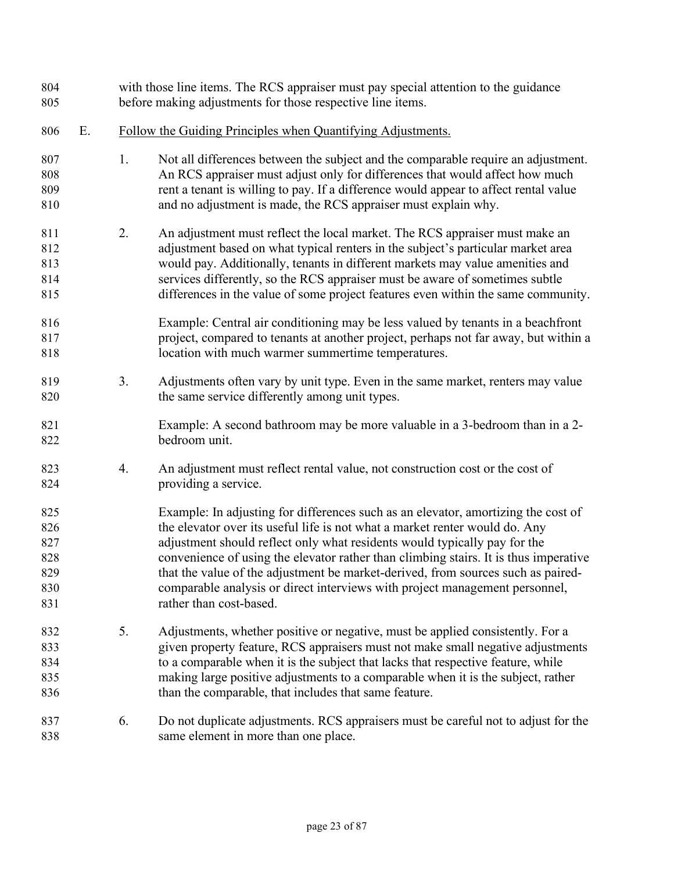| 804<br>805                                    |    | with those line items. The RCS appraiser must pay special attention to the guidance<br>before making adjustments for those respective line items. |                                                                                                                                                                                                                                                                                                                                                                                                                                                                                                                                     |  |
|-----------------------------------------------|----|---------------------------------------------------------------------------------------------------------------------------------------------------|-------------------------------------------------------------------------------------------------------------------------------------------------------------------------------------------------------------------------------------------------------------------------------------------------------------------------------------------------------------------------------------------------------------------------------------------------------------------------------------------------------------------------------------|--|
| 806                                           | Ε. | Follow the Guiding Principles when Quantifying Adjustments.                                                                                       |                                                                                                                                                                                                                                                                                                                                                                                                                                                                                                                                     |  |
| 807<br>808<br>809<br>810                      |    | 1.                                                                                                                                                | Not all differences between the subject and the comparable require an adjustment.<br>An RCS appraiser must adjust only for differences that would affect how much<br>rent a tenant is willing to pay. If a difference would appear to affect rental value<br>and no adjustment is made, the RCS appraiser must explain why.                                                                                                                                                                                                         |  |
| 811<br>812<br>813<br>814<br>815               |    | 2.                                                                                                                                                | An adjustment must reflect the local market. The RCS appraiser must make an<br>adjustment based on what typical renters in the subject's particular market area<br>would pay. Additionally, tenants in different markets may value amenities and<br>services differently, so the RCS appraiser must be aware of sometimes subtle<br>differences in the value of some project features even within the same community.                                                                                                               |  |
| 816<br>817<br>818                             |    |                                                                                                                                                   | Example: Central air conditioning may be less valued by tenants in a beachfront<br>project, compared to tenants at another project, perhaps not far away, but within a<br>location with much warmer summertime temperatures.                                                                                                                                                                                                                                                                                                        |  |
| 819<br>820                                    |    | 3.                                                                                                                                                | Adjustments often vary by unit type. Even in the same market, renters may value<br>the same service differently among unit types.                                                                                                                                                                                                                                                                                                                                                                                                   |  |
| 821<br>822                                    |    |                                                                                                                                                   | Example: A second bathroom may be more valuable in a 3-bedroom than in a 2-<br>bedroom unit.                                                                                                                                                                                                                                                                                                                                                                                                                                        |  |
| 823<br>824                                    |    | 4.                                                                                                                                                | An adjustment must reflect rental value, not construction cost or the cost of<br>providing a service.                                                                                                                                                                                                                                                                                                                                                                                                                               |  |
| 825<br>826<br>827<br>828<br>829<br>830<br>831 |    |                                                                                                                                                   | Example: In adjusting for differences such as an elevator, amortizing the cost of<br>the elevator over its useful life is not what a market renter would do. Any<br>adjustment should reflect only what residents would typically pay for the<br>convenience of using the elevator rather than climbing stairs. It is thus imperative<br>that the value of the adjustment be market-derived, from sources such as paired-<br>comparable analysis or direct interviews with project management personnel,<br>rather than cost-based. |  |
| 832<br>833<br>834<br>835<br>836               |    | 5.                                                                                                                                                | Adjustments, whether positive or negative, must be applied consistently. For a<br>given property feature, RCS appraisers must not make small negative adjustments<br>to a comparable when it is the subject that lacks that respective feature, while<br>making large positive adjustments to a comparable when it is the subject, rather<br>than the comparable, that includes that same feature.                                                                                                                                  |  |
| 837<br>838                                    |    | 6.                                                                                                                                                | Do not duplicate adjustments. RCS appraisers must be careful not to adjust for the<br>same element in more than one place.                                                                                                                                                                                                                                                                                                                                                                                                          |  |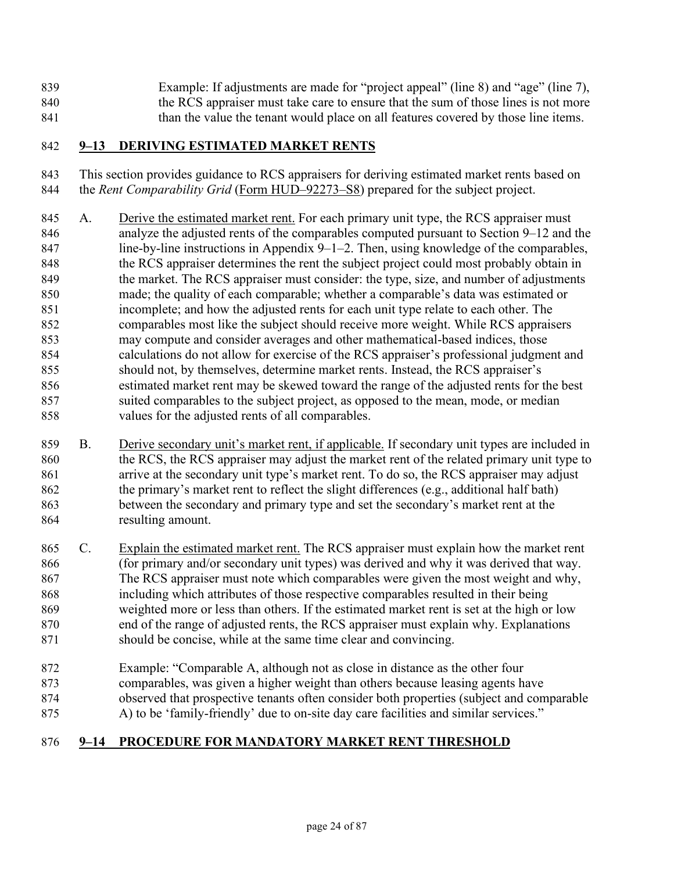Example: If adjustments are made for "project appeal" (line 8) and "age" (line 7), 840 the RCS appraiser must take care to ensure that the sum of those lines is not more 841 than the value the tenant would place on all features covered by those line items.

#### **9–13 DERIVING ESTIMATED MARKET RENTS**

This section provides guidance to RCS appraisers for deriving estimated market rents based on the *Rent Comparability Grid* [\(Form HUD–92273–S8\)](https://www.hud.gov/sites/dfiles/OCHCO/documents/HUD-92273-S8.xls) prepared for the subject project.

- A. Derive the estimated market rent. For each primary unit type, the RCS appraiser must analyze the adjusted rents of the comparables computed pursuant to Section 9–12 and the 847 line-by-line instructions in Appendix 9–1–2. Then, using knowledge of the comparables, 848 the RCS appraiser determines the rent the subject project could most probably obtain in the market. The RCS appraiser must consider: the type, size, and number of adjustments made; the quality of each comparable; whether a comparable's data was estimated or incomplete; and how the adjusted rents for each unit type relate to each other. The comparables most like the subject should receive more weight. While RCS appraisers may compute and consider averages and other mathematical-based indices, those calculations do not allow for exercise of the RCS appraiser's professional judgment and should not, by themselves, determine market rents. Instead, the RCS appraiser's estimated market rent may be skewed toward the range of the adjusted rents for the best suited comparables to the subject project, as opposed to the mean, mode, or median values for the adjusted rents of all comparables.
- B. Derive secondary unit's market rent, if applicable. If secondary unit types are included in 860 the RCS, the RCS appraiser may adjust the market rent of the related primary unit type to arrive at the secondary unit type's market rent. To do so, the RCS appraiser may adjust 862 the primary's market rent to reflect the slight differences (e.g., additional half bath) between the secondary and primary type and set the secondary's market rent at the resulting amount.
- C. Explain the estimated market rent. The RCS appraiser must explain how the market rent (for primary and/or secondary unit types) was derived and why it was derived that way. The RCS appraiser must note which comparables were given the most weight and why, including which attributes of those respective comparables resulted in their being weighted more or less than others. If the estimated market rent is set at the high or low end of the range of adjusted rents, the RCS appraiser must explain why. Explanations 871 should be concise, while at the same time clear and convincing.
- Example: "Comparable A, although not as close in distance as the other four comparables, was given a higher weight than others because leasing agents have observed that prospective tenants often consider both properties (subject and comparable 875 A) to be 'family-friendly' due to on-site day care facilities and similar services."

# <span id="page-26-0"></span>**9–14 PROCEDURE FOR MANDATORY MARKET RENT THRESHOLD**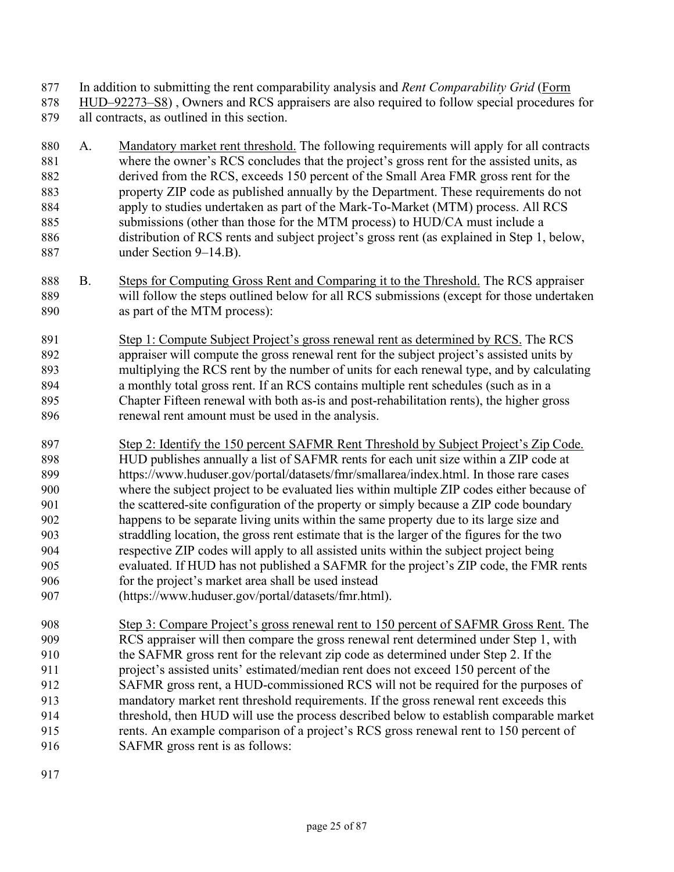In addition to submitting the rent comparability analysis and *Rent Comparability Grid* [\(Form](https://www.hud.gov/sites/dfiles/OCHCO/documents/HUD-92273-S8.xls) 

- [HUD–92273–S8\)](https://www.hud.gov/sites/dfiles/OCHCO/documents/HUD-92273-S8.xls) , Owners and RCS appraisers are also required to follow special procedures for all contracts, as outlined in this section.
- A. Mandatory market rent threshold. The following requirements will apply for all contracts where the owner's RCS concludes that the project's gross rent for the assisted units, as derived from the RCS, exceeds 150 percent of the Small Area FMR gross rent for the property ZIP code as published annually by the Department. These requirements do not apply to studies undertaken as part of the Mark-To-Market (MTM) process. All RCS submissions (other than those for the MTM process) to HUD/CA must include a distribution of RCS rents and subject project's gross rent (as explained in Step 1, below, under Section 9–14.B).
- B. Steps for Computing Gross Rent and Comparing it to the Threshold. The RCS appraiser will follow the steps outlined below for all RCS submissions (except for those undertaken as part of the MTM process):
- Step 1: Compute Subject Project's gross renewal rent as determined by RCS. The RCS appraiser will compute the gross renewal rent for the subject project's assisted units by multiplying the RCS rent by the number of units for each renewal type, and by calculating a monthly total gross rent. If an RCS contains multiple rent schedules (such as in a Chapter Fifteen renewal with both as-is and post-rehabilitation rents), the higher gross renewal rent amount must be used in the analysis.
- Step 2: Identify the 150 percent SAFMR Rent Threshold by Subject Project's Zip Code. HUD publishes annually a list of SAFMR rents for each unit size within a ZIP code at https://www.huduser.gov/portal/datasets/fmr/smallarea/index.html. In those rare cases where the subject project to be evaluated lies within multiple ZIP codes either because of the scattered-site configuration of the property or simply because a ZIP code boundary happens to be separate living units within the same property due to its large size and straddling location, the gross rent estimate that is the larger of the figures for the two respective ZIP codes will apply to all assisted units within the subject project being evaluated. If HUD has not published a SAFMR for the project's ZIP code, the FMR rents for the project's market area shall be used instead
- (https://www.huduser.gov/portal/datasets/fmr.html).
- Step 3: Compare Project's gross renewal rent to 150 percent of SAFMR Gross Rent. The RCS appraiser will then compare the gross renewal rent determined under Step 1, with the SAFMR gross rent for the relevant zip code as determined under Step 2. If the project's assisted units' estimated/median rent does not exceed 150 percent of the SAFMR gross rent, a HUD-commissioned RCS will not be required for the purposes of mandatory market rent threshold requirements. If the gross renewal rent exceeds this threshold, then HUD will use the process described below to establish comparable market rents. An example comparison of a project's RCS gross renewal rent to 150 percent of SAFMR gross rent is as follows:
-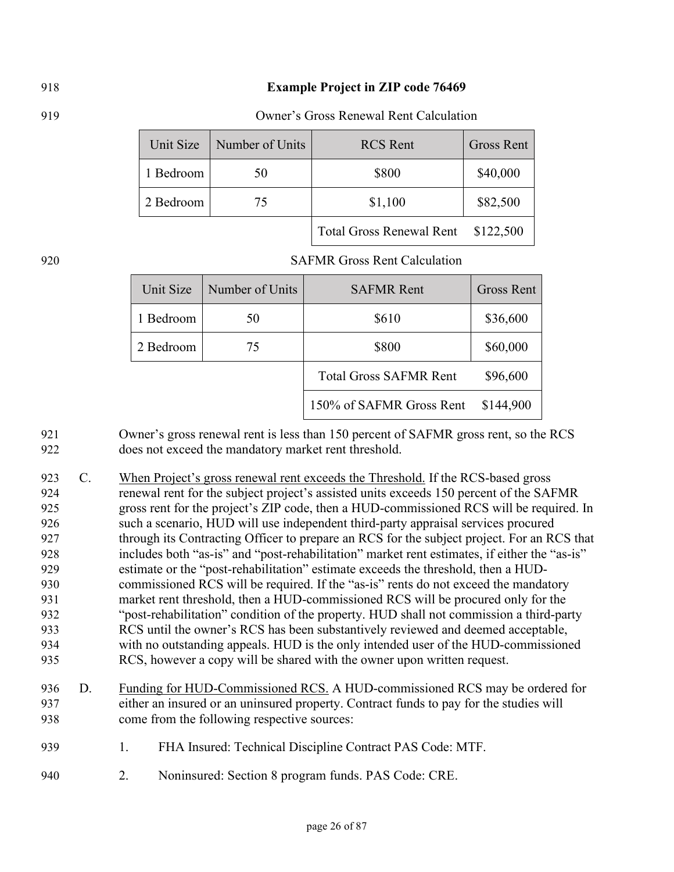#### **Example Project in ZIP code 76469**

#### Owner's Gross Renewal Rent Calculation

| Unit Size | Number of Units | <b>RCS</b> Rent                 | <b>Gross Rent</b> |
|-----------|-----------------|---------------------------------|-------------------|
| 1 Bedroom | 50              | \$800                           | \$40,000          |
| 2 Bedroom | 75              | \$1,100                         | \$82,500          |
|           |                 | <b>Total Gross Renewal Rent</b> | \$122,500         |

#### SAFMR Gross Rent Calculation

| Unit Size | Number of Units | <b>SAFMR Rent</b>             | <b>Gross Rent</b> |
|-----------|-----------------|-------------------------------|-------------------|
| 1 Bedroom | 50              | \$610                         | \$36,600          |
| 2 Bedroom | 75              | \$800                         | \$60,000          |
|           |                 | <b>Total Gross SAFMR Rent</b> | \$96,600          |
|           |                 | 150% of SAFMR Gross Rent      | \$144,900         |

Owner's gross renewal rent is less than 150 percent of SAFMR gross rent, so the RCS does not exceed the mandatory market rent threshold.

923 C. When Project's gross renewal rent exceeds the Threshold. If the RCS-based gross 924 renewal rent for the subject project's assisted units exceeds 150 percent of the SAFMR gross rent for the project's ZIP code, then a HUD-commissioned RCS will be required. In such a scenario, HUD will use independent third-party appraisal services procured through its Contracting Officer to prepare an RCS for the subject project. For an RCS that includes both "as-is" and "post-rehabilitation" market rent estimates, if either the "as-is" estimate or the "post-rehabilitation" estimate exceeds the threshold, then a HUD-commissioned RCS will be required. If the "as-is" rents do not exceed the mandatory market rent threshold, then a HUD-commissioned RCS will be procured only for the "post-rehabilitation" condition of the property. HUD shall not commission a third-party RCS until the owner's RCS has been substantively reviewed and deemed acceptable, with no outstanding appeals. HUD is the only intended user of the HUD-commissioned RCS, however a copy will be shared with the owner upon written request.

- D. Funding for HUD-Commissioned RCS. A HUD-commissioned RCS may be ordered for either an insured or an uninsured property. Contract funds to pay for the studies will come from the following respective sources:
- 1. FHA Insured: Technical Discipline Contract PAS Code: MTF.
- 2. Noninsured: Section 8 program funds. PAS Code: CRE.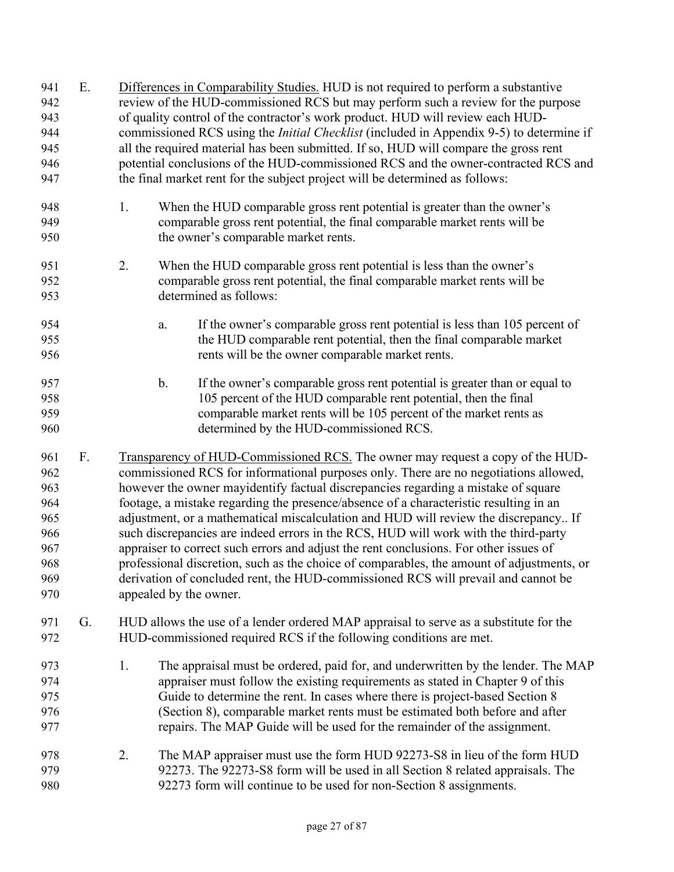| 941<br>942<br>943<br>944<br>945<br>946<br>947                      | Ε. |    | Differences in Comparability Studies. HUD is not required to perform a substantive<br>review of the HUD-commissioned RCS but may perform such a review for the purpose<br>of quality control of the contractor's work product. HUD will review each HUD-<br>commissioned RCS using the <i>Initial Checklist</i> (included in Appendix 9-5) to determine if<br>all the required material has been submitted. If so, HUD will compare the gross rent<br>potential conclusions of the HUD-commissioned RCS and the owner-contracted RCS and<br>the final market rent for the subject project will be determined as follows:                                                                                                                                                                                                                |
|--------------------------------------------------------------------|----|----|-----------------------------------------------------------------------------------------------------------------------------------------------------------------------------------------------------------------------------------------------------------------------------------------------------------------------------------------------------------------------------------------------------------------------------------------------------------------------------------------------------------------------------------------------------------------------------------------------------------------------------------------------------------------------------------------------------------------------------------------------------------------------------------------------------------------------------------------|
| 948<br>949<br>950                                                  |    | 1. | When the HUD comparable gross rent potential is greater than the owner's<br>comparable gross rent potential, the final comparable market rents will be<br>the owner's comparable market rents.                                                                                                                                                                                                                                                                                                                                                                                                                                                                                                                                                                                                                                          |
| 951<br>952<br>953                                                  |    | 2. | When the HUD comparable gross rent potential is less than the owner's<br>comparable gross rent potential, the final comparable market rents will be<br>determined as follows:                                                                                                                                                                                                                                                                                                                                                                                                                                                                                                                                                                                                                                                           |
| 954<br>955<br>956                                                  |    |    | If the owner's comparable gross rent potential is less than 105 percent of<br>a.<br>the HUD comparable rent potential, then the final comparable market<br>rents will be the owner comparable market rents.                                                                                                                                                                                                                                                                                                                                                                                                                                                                                                                                                                                                                             |
| 957<br>958<br>959<br>960                                           |    |    | If the owner's comparable gross rent potential is greater than or equal to<br>$\mathbf b$ .<br>105 percent of the HUD comparable rent potential, then the final<br>comparable market rents will be 105 percent of the market rents as<br>determined by the HUD-commissioned RCS.                                                                                                                                                                                                                                                                                                                                                                                                                                                                                                                                                        |
| 961<br>962<br>963<br>964<br>965<br>966<br>967<br>968<br>969<br>970 | F. |    | Transparency of HUD-Commissioned RCS. The owner may request a copy of the HUD-<br>commissioned RCS for informational purposes only. There are no negotiations allowed,<br>however the owner mayidentify factual discrepancies regarding a mistake of square<br>footage, a mistake regarding the presence/absence of a characteristic resulting in an<br>adjustment, or a mathematical miscalculation and HUD will review the discrepancy If<br>such discrepancies are indeed errors in the RCS, HUD will work with the third-party<br>appraiser to correct such errors and adjust the rent conclusions. For other issues of<br>professional discretion, such as the choice of comparables, the amount of adjustments, or<br>derivation of concluded rent, the HUD-commissioned RCS will prevail and cannot be<br>appealed by the owner. |
| 971<br>972                                                         | G. |    | HUD allows the use of a lender ordered MAP appraisal to serve as a substitute for the<br>HUD-commissioned required RCS if the following conditions are met.                                                                                                                                                                                                                                                                                                                                                                                                                                                                                                                                                                                                                                                                             |
| 973<br>974<br>975<br>976<br>977                                    |    | 1. | The appraisal must be ordered, paid for, and underwritten by the lender. The MAP<br>appraiser must follow the existing requirements as stated in Chapter 9 of this<br>Guide to determine the rent. In cases where there is project-based Section 8<br>(Section 8), comparable market rents must be estimated both before and after<br>repairs. The MAP Guide will be used for the remainder of the assignment.                                                                                                                                                                                                                                                                                                                                                                                                                          |
| 978<br>979<br>980                                                  |    | 2. | The MAP appraiser must use the form HUD 92273-S8 in lieu of the form HUD<br>92273. The 92273-S8 form will be used in all Section 8 related appraisals. The<br>92273 form will continue to be used for non-Section 8 assignments.                                                                                                                                                                                                                                                                                                                                                                                                                                                                                                                                                                                                        |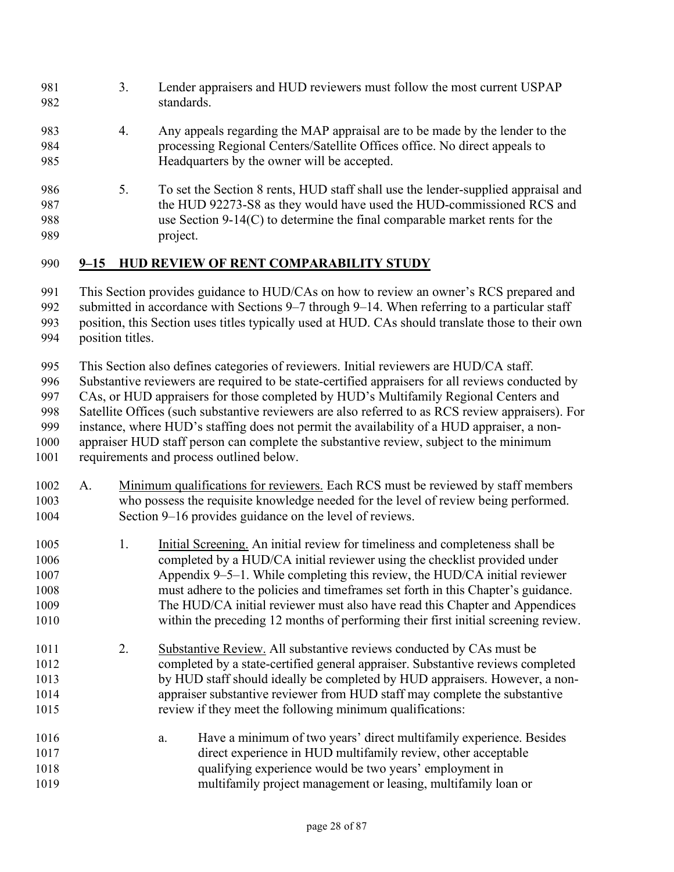- 3. Lender appraisers and HUD reviewers must follow the most current USPAP standards.
- 4. Any appeals regarding the MAP appraisal are to be made by the lender to the processing Regional Centers/Satellite Offices office. No direct appeals to Headquarters by the owner will be accepted.
- 5. To set the Section 8 rents, HUD staff shall use the lender-supplied appraisal and the HUD 92273-S8 as they would have used the HUD-commissioned RCS and use Section 9-14(C) to determine the final comparable market rents for the project.

#### **9–15 HUD REVIEW OF RENT COMPARABILITY STUDY**

This Section provides guidance to HUD/CAs on how to review an owner's RCS prepared and

- 992 submitted in accordance with Sections 9–7 through 9–14. When referring to a particular staff
- position, this Section uses titles typically used at HUD. CAs should translate those to their own
- position titles.

This Section also defines categories of reviewers. Initial reviewers are HUD/CA staff.

Substantive reviewers are required to be state-certified appraisers for all reviews conducted by

CAs, or HUD appraisers for those completed by HUD's Multifamily Regional Centers and

Satellite Offices (such substantive reviewers are also referred to as RCS review appraisers). For

instance, where HUD's staffing does not permit the availability of a HUD appraiser, a non-

appraiser HUD staff person can complete the substantive review, subject to the minimum

- requirements and process outlined below.
- A. Minimum qualifications for reviewers. Each RCS must be reviewed by staff members who possess the requisite knowledge needed for the level of review being performed. Section 9–16 provides guidance on the level of reviews.
- 1. Initial Screening. An initial review for timeliness and completeness shall be completed by a HUD/CA initial reviewer using the checklist provided under Appendix 9–5–1. While completing this review, the HUD/CA initial reviewer must adhere to the policies and timeframes set forth in this Chapter's guidance. The HUD/CA initial reviewer must also have read this Chapter and Appendices within the preceding 12 months of performing their first initial screening review.
- 2. Substantive Review. All substantive reviews conducted by CAs must be completed by a state-certified general appraiser. Substantive reviews completed by HUD staff should ideally be completed by HUD appraisers. However, a non-appraiser substantive reviewer from HUD staff may complete the substantive review if they meet the following minimum qualifications:
- a. Have a minimum of two years' direct multifamily experience. Besides direct experience in HUD multifamily review, other acceptable qualifying experience would be two years' employment in multifamily project management or leasing, multifamily loan or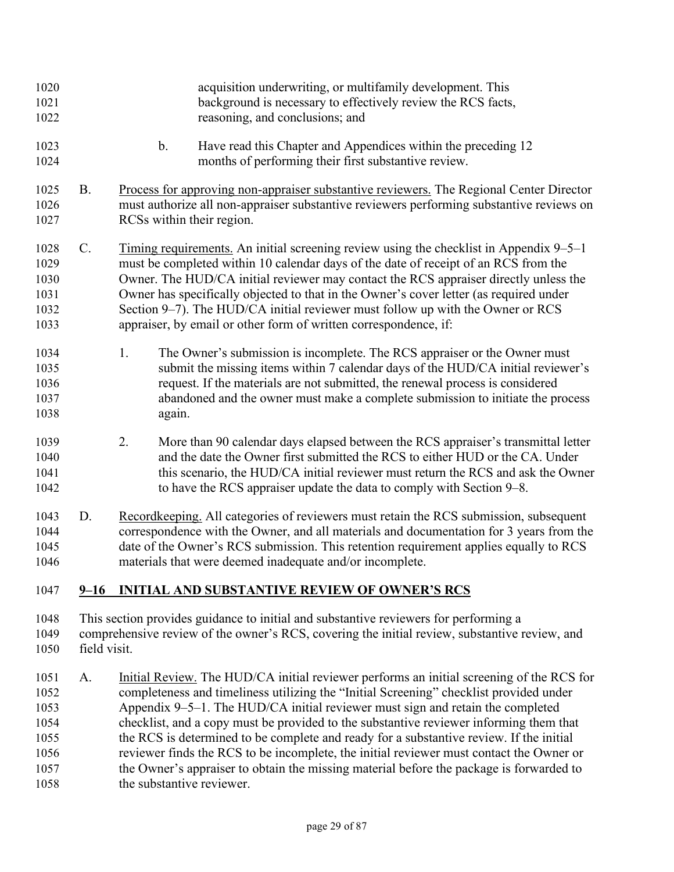| 1020<br>1021<br>1022                         |              | acquisition underwriting, or multifamily development. This<br>background is necessary to effectively review the RCS facts,<br>reasoning, and conclusions; and                                                                                                                                                                                                                                                                                                                                                         |
|----------------------------------------------|--------------|-----------------------------------------------------------------------------------------------------------------------------------------------------------------------------------------------------------------------------------------------------------------------------------------------------------------------------------------------------------------------------------------------------------------------------------------------------------------------------------------------------------------------|
| 1023<br>1024                                 |              | $\mathbf b$ .<br>Have read this Chapter and Appendices within the preceding 12<br>months of performing their first substantive review.                                                                                                                                                                                                                                                                                                                                                                                |
| 1025<br>1026<br>1027                         | <b>B.</b>    | Process for approving non-appraiser substantive reviewers. The Regional Center Director<br>must authorize all non-appraiser substantive reviewers performing substantive reviews on<br>RCSs within their region.                                                                                                                                                                                                                                                                                                      |
| 1028<br>1029<br>1030<br>1031<br>1032<br>1033 | C.           | Timing requirements. An initial screening review using the checklist in Appendix 9–5–1<br>must be completed within 10 calendar days of the date of receipt of an RCS from the<br>Owner. The HUD/CA initial reviewer may contact the RCS appraiser directly unless the<br>Owner has specifically objected to that in the Owner's cover letter (as required under<br>Section 9–7). The HUD/CA initial reviewer must follow up with the Owner or RCS<br>appraiser, by email or other form of written correspondence, if: |
| 1034<br>1035<br>1036<br>1037<br>1038         |              | The Owner's submission is incomplete. The RCS appraiser or the Owner must<br>1.<br>submit the missing items within 7 calendar days of the HUD/CA initial reviewer's<br>request. If the materials are not submitted, the renewal process is considered<br>abandoned and the owner must make a complete submission to initiate the process<br>again.                                                                                                                                                                    |
| 1039<br>1040<br>1041<br>1042                 |              | 2.<br>More than 90 calendar days elapsed between the RCS appraiser's transmittal letter<br>and the date the Owner first submitted the RCS to either HUD or the CA. Under<br>this scenario, the HUD/CA initial reviewer must return the RCS and ask the Owner<br>to have the RCS appraiser update the data to comply with Section 9-8.                                                                                                                                                                                 |
| 1043<br>1044<br>1045<br>1046                 | D.           | Recordkeeping. All categories of reviewers must retain the RCS submission, subsequent<br>correspondence with the Owner, and all materials and documentation for 3 years from the<br>date of the Owner's RCS submission. This retention requirement applies equally to RCS<br>materials that were deemed inadequate and/or incomplete.                                                                                                                                                                                 |
| 1047                                         | $9 - 16$     | <b>INITIAL AND SUBSTANTIVE REVIEW OF OWNER'S RCS</b>                                                                                                                                                                                                                                                                                                                                                                                                                                                                  |
| 1048<br>1049<br>1050                         | field visit. | This section provides guidance to initial and substantive reviewers for performing a<br>comprehensive review of the owner's RCS, covering the initial review, substantive review, and                                                                                                                                                                                                                                                                                                                                 |
| 1051<br>1052<br>1053<br>1054                 | A.           | Initial Review. The HUD/CA initial reviewer performs an initial screening of the RCS for<br>completeness and timeliness utilizing the "Initial Screening" checklist provided under<br>Appendix 9-5-1. The HUD/CA initial reviewer must sign and retain the completed<br>checklist, and a copy must be provided to the substantive reviewer informing them that                                                                                                                                                        |

1055 the RCS is determined to be complete and ready for a substantive review. If the initial reviewer finds the RCS to be incomplete, the initial reviewer must contact the Owner or 1057 the Owner's appraiser to obtain the missing material before the package is forwarded to 1058 the substantive reviewer.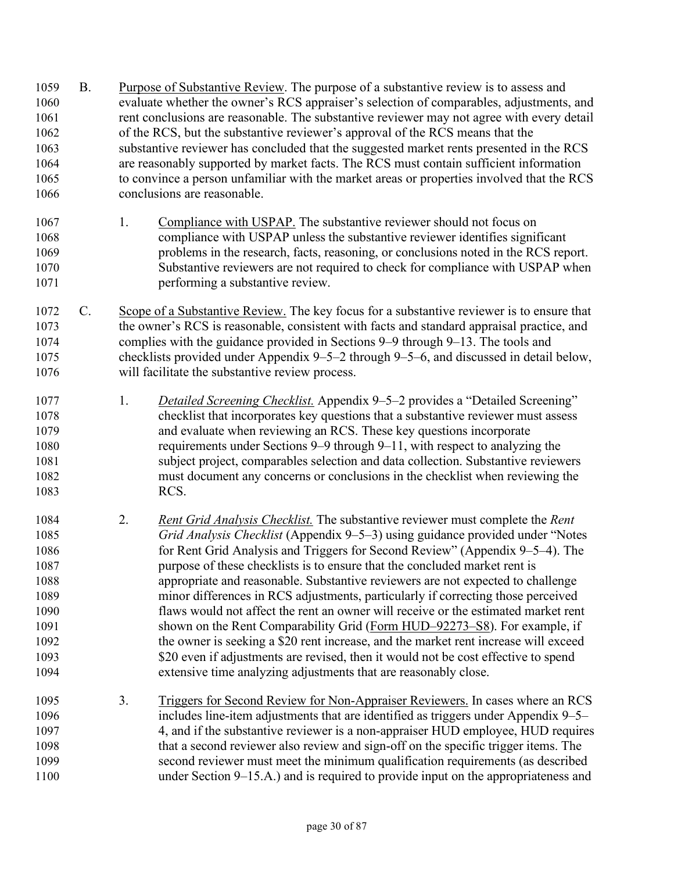B. Purpose of Substantive Review. The purpose of a substantive review is to assess and evaluate whether the owner's RCS appraiser's selection of comparables, adjustments, and 1061 rent conclusions are reasonable. The substantive reviewer may not agree with every detail of the RCS, but the substantive reviewer's approval of the RCS means that the substantive reviewer has concluded that the suggested market rents presented in the RCS are reasonably supported by market facts. The RCS must contain sufficient information to convince a person unfamiliar with the market areas or properties involved that the RCS conclusions are reasonable. 1067 1. Compliance with USPAP. The substantive reviewer should not focus on compliance with USPAP unless the substantive reviewer identifies significant problems in the research, facts, reasoning, or conclusions noted in the RCS report. Substantive reviewers are not required to check for compliance with USPAP when **performing a substantive review.** C. Scope of a Substantive Review. The key focus for a substantive reviewer is to ensure that the owner's RCS is reasonable, consistent with facts and standard appraisal practice, and complies with the guidance provided in Sections 9–9 through 9–13. The tools and checklists provided under Appendix 9–5–2 through 9–5–6, and discussed in detail below, will facilitate the substantive review process. 1. *Detailed Screening Checklist.* Appendix 9–5–2 provides a "Detailed Screening" checklist that incorporates key questions that a substantive reviewer must assess and evaluate when reviewing an RCS. These key questions incorporate requirements under Sections 9–9 through 9–11, with respect to analyzing the subject project, comparables selection and data collection. Substantive reviewers must document any concerns or conclusions in the checklist when reviewing the RCS. 2. *Rent Grid Analysis Checklist.* The substantive reviewer must complete the *Rent Grid Analysis Checklist* (Appendix 9–5–3) using guidance provided under "Notes for Rent Grid Analysis and Triggers for Second Review" (Appendix 9–5–4). The purpose of these checklists is to ensure that the concluded market rent is appropriate and reasonable. Substantive reviewers are not expected to challenge minor differences in RCS adjustments, particularly if correcting those perceived flaws would not affect the rent an owner will receive or the estimated market rent shown on the Rent Comparability Grid [\(Form HUD–92273–S8\)](https://www.hud.gov/sites/dfiles/OCHCO/documents/HUD-92273-S8.xls). For example, if the owner is seeking a \$20 rent increase, and the market rent increase will exceed 1093 \$20 even if adjustments are revised, then it would not be cost effective to spend extensive time analyzing adjustments that are reasonably close. 3. Triggers for Second Review for Non-Appraiser Reviewers. In cases where an RCS includes line-item adjustments that are identified as triggers under Appendix 9–5– 4, and if the substantive reviewer is a non-appraiser HUD employee, HUD requires that a second reviewer also review and sign-off on the specific trigger items. The second reviewer must meet the minimum qualification requirements (as described under Section 9–15.A.) and is required to provide input on the appropriateness and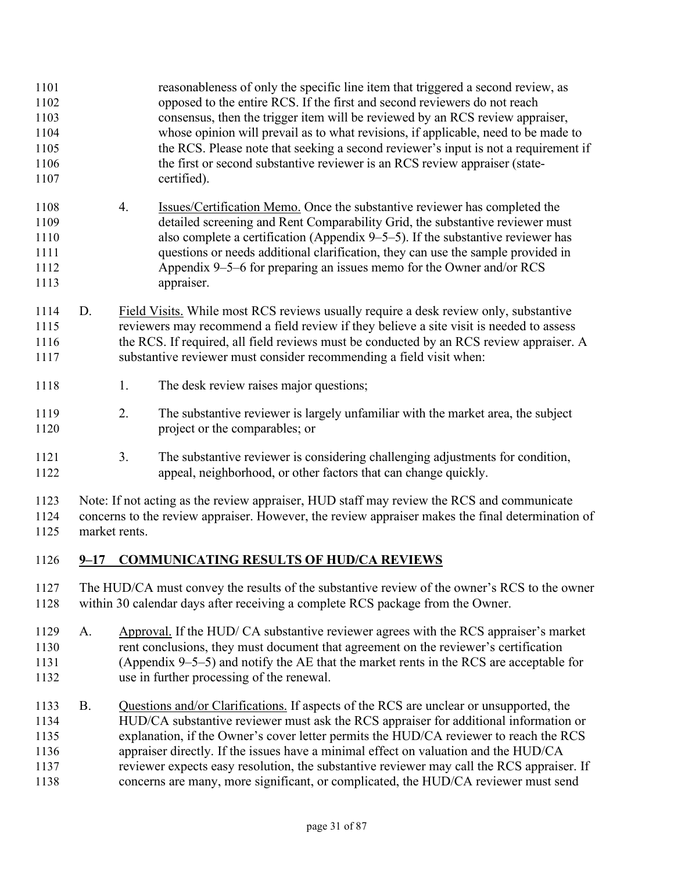reasonableness of only the specific line item that triggered a second review, as opposed to the entire RCS. If the first and second reviewers do not reach consensus, then the trigger item will be reviewed by an RCS review appraiser, whose opinion will prevail as to what revisions, if applicable, need to be made to the RCS. Please note that seeking a second reviewer's input is not a requirement if 1106 the first or second substantive reviewer is an RCS review appraiser (state-certified). 4. Issues/Certification Memo. Once the substantive reviewer has completed the detailed screening and Rent Comparability Grid, the substantive reviewer must also complete a certification (Appendix 9–5–5). If the substantive reviewer has questions or needs additional clarification, they can use the sample provided in Appendix 9–5–6 for preparing an issues memo for the Owner and/or RCS appraiser. D. Field Visits. While most RCS reviews usually require a desk review only, substantive reviewers may recommend a field review if they believe a site visit is needed to assess 1116 the RCS. If required, all field reviews must be conducted by an RCS review appraiser. A substantive reviewer must consider recommending a field visit when: 1118 1. The desk review raises major questions; 2. The substantive reviewer is largely unfamiliar with the market area, the subject 1120 project or the comparables; or 3. The substantive reviewer is considering challenging adjustments for condition, appeal, neighborhood, or other factors that can change quickly. Note: If not acting as the review appraiser, HUD staff may review the RCS and communicate concerns to the review appraiser. However, the review appraiser makes the final determination of market rents. **9–17 COMMUNICATING RESULTS OF HUD/CA REVIEWS**  The HUD/CA must convey the results of the substantive review of the owner's RCS to the owner within 30 calendar days after receiving a complete RCS package from the Owner. A. Approval. If the HUD/ CA substantive reviewer agrees with the RCS appraiser's market rent conclusions, they must document that agreement on the reviewer's certification (Appendix 9–5–5) and notify the AE that the market rents in the RCS are acceptable for use in further processing of the renewal. B. Questions and/or Clarifications. If aspects of the RCS are unclear or unsupported, the HUD/CA substantive reviewer must ask the RCS appraiser for additional information or explanation, if the Owner's cover letter permits the HUD/CA reviewer to reach the RCS appraiser directly. If the issues have a minimal effect on valuation and the HUD/CA reviewer expects easy resolution, the substantive reviewer may call the RCS appraiser. If concerns are many, more significant, or complicated, the HUD/CA reviewer must send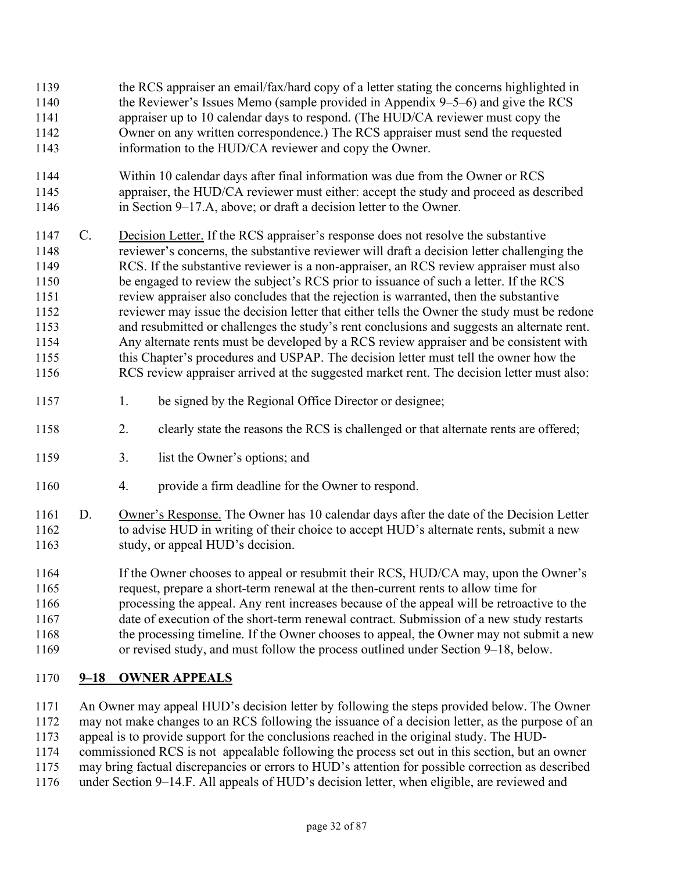- the RCS appraiser an email/fax/hard copy of a letter stating the concerns highlighted in the Reviewer's Issues Memo (sample provided in Appendix 9–5–6) and give the RCS appraiser up to 10 calendar days to respond. (The HUD/CA reviewer must copy the Owner on any written correspondence.) The RCS appraiser must send the requested information to the HUD/CA reviewer and copy the Owner.
- Within 10 calendar days after final information was due from the Owner or RCS appraiser, the HUD/CA reviewer must either: accept the study and proceed as described in Section 9–17.A, above; or draft a decision letter to the Owner.
- 1147 C. Decision Letter. If the RCS appraiser's response does not resolve the substantive reviewer's concerns, the substantive reviewer will draft a decision letter challenging the RCS. If the substantive reviewer is a non-appraiser, an RCS review appraiser must also be engaged to review the subject's RCS prior to issuance of such a letter. If the RCS review appraiser also concludes that the rejection is warranted, then the substantive reviewer may issue the decision letter that either tells the Owner the study must be redone and resubmitted or challenges the study's rent conclusions and suggests an alternate rent. Any alternate rents must be developed by a RCS review appraiser and be consistent with this Chapter's procedures and USPAP. The decision letter must tell the owner how the RCS review appraiser arrived at the suggested market rent. The decision letter must also:
- 1157 1. be signed by the Regional Office Director or designee;
- 2. clearly state the reasons the RCS is challenged or that alternate rents are offered;
- 3. list the Owner's options; and
- 4. provide a firm deadline for the Owner to respond.
- D. Owner's Response. The Owner has 10 calendar days after the date of the Decision Letter 1162 to advise HUD in writing of their choice to accept HUD's alternate rents, submit a new 1163 study, or appeal HUD's decision.

If the Owner chooses to appeal or resubmit their RCS, HUD/CA may, upon the Owner's request, prepare a short-term renewal at the then-current rents to allow time for processing the appeal. Any rent increases because of the appeal will be retroactive to the date of execution of the short-term renewal contract. Submission of a new study restarts 1168 the processing timeline. If the Owner chooses to appeal, the Owner may not submit a new or revised study, and must follow the process outlined under Section 9–18, below.

# **9–18 OWNER APPEALS**

An Owner may appeal HUD's decision letter by following the steps provided below. The Owner

- may not make changes to an RCS following the issuance of a decision letter, as the purpose of an
- appeal is to provide support for the conclusions reached in the original study. The HUD-
- commissioned RCS is not appealable following the process set out in this section, but an owner
- may bring factual discrepancies or errors to HUD's attention for possible correction as described
- under Section 9–14.F. All appeals of HUD's decision letter, when eligible, are reviewed and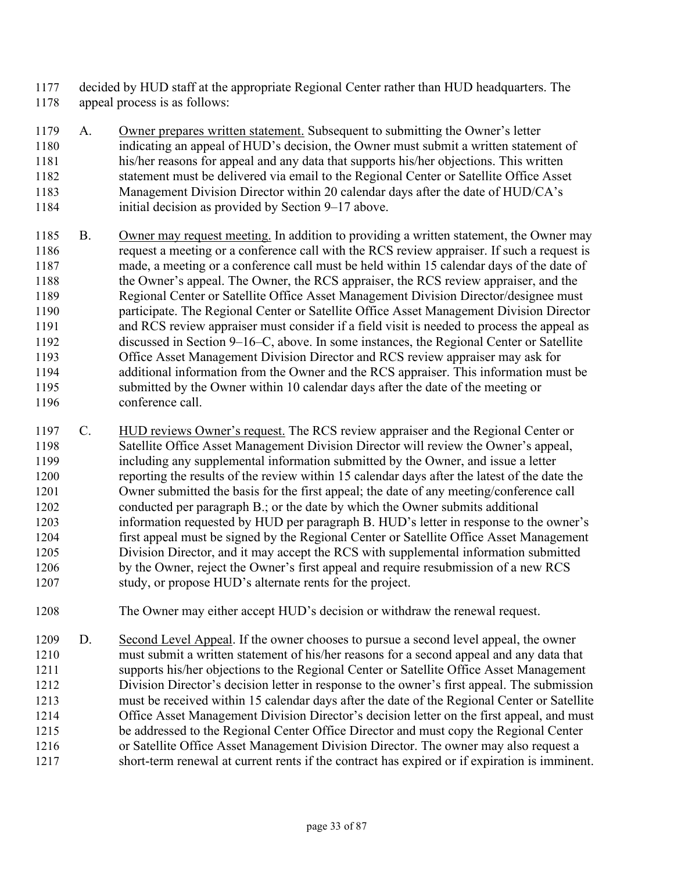- decided by HUD staff at the appropriate Regional Center rather than HUD headquarters. The appeal process is as follows:
- A. Owner prepares written statement. Subsequent to submitting the Owner's letter indicating an appeal of HUD's decision, the Owner must submit a written statement of his/her reasons for appeal and any data that supports his/her objections. This written statement must be delivered via email to the Regional Center or Satellite Office Asset Management Division Director within 20 calendar days after the date of HUD/CA's initial decision as provided by Section 9–17 above.
- B. Owner may request meeting. In addition to providing a written statement, the Owner may request a meeting or a conference call with the RCS review appraiser. If such a request is made, a meeting or a conference call must be held within 15 calendar days of the date of the Owner's appeal. The Owner, the RCS appraiser, the RCS review appraiser, and the Regional Center or Satellite Office Asset Management Division Director/designee must participate. The Regional Center or Satellite Office Asset Management Division Director and RCS review appraiser must consider if a field visit is needed to process the appeal as discussed in Section 9–16–C, above. In some instances, the Regional Center or Satellite Office Asset Management Division Director and RCS review appraiser may ask for additional information from the Owner and the RCS appraiser. This information must be submitted by the Owner within 10 calendar days after the date of the meeting or conference call.
- C. HUD reviews Owner's request. The RCS review appraiser and the Regional Center or Satellite Office Asset Management Division Director will review the Owner's appeal, including any supplemental information submitted by the Owner, and issue a letter reporting the results of the review within 15 calendar days after the latest of the date the Owner submitted the basis for the first appeal; the date of any meeting/conference call conducted per paragraph B.; or the date by which the Owner submits additional information requested by HUD per paragraph B. HUD's letter in response to the owner's first appeal must be signed by the Regional Center or Satellite Office Asset Management Division Director, and it may accept the RCS with supplemental information submitted by the Owner, reject the Owner's first appeal and require resubmission of a new RCS study, or propose HUD's alternate rents for the project.
- The Owner may either accept HUD's decision or withdraw the renewal request.
- 1209 D. Second Level Appeal. If the owner chooses to pursue a second level appeal, the owner must submit a written statement of his/her reasons for a second appeal and any data that supports his/her objections to the Regional Center or Satellite Office Asset Management Division Director's decision letter in response to the owner's first appeal. The submission must be received within 15 calendar days after the date of the Regional Center or Satellite Office Asset Management Division Director's decision letter on the first appeal, and must be addressed to the Regional Center Office Director and must copy the Regional Center or Satellite Office Asset Management Division Director. The owner may also request a short-term renewal at current rents if the contract has expired or if expiration is imminent.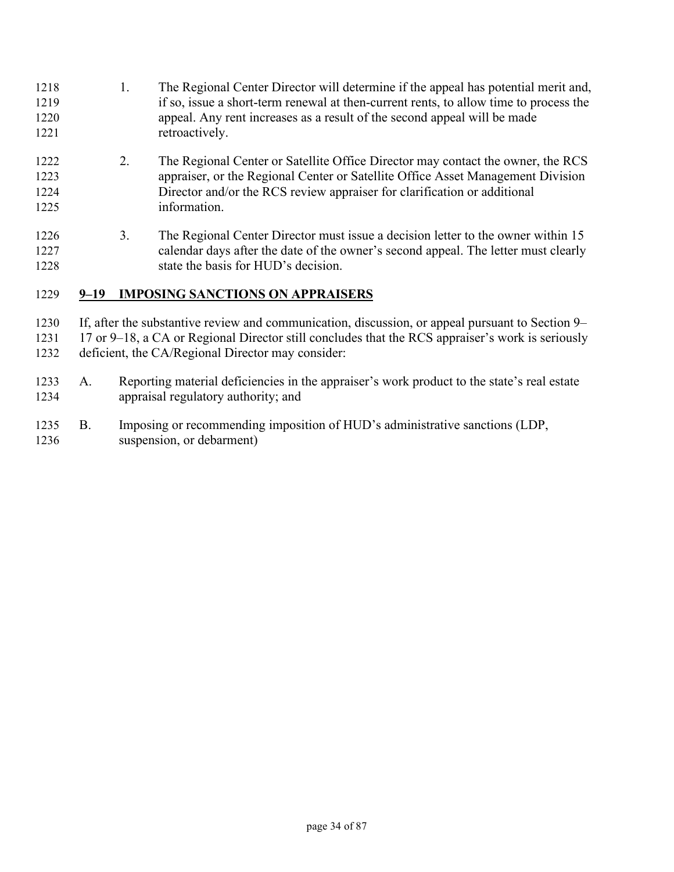1218 1. The Regional Center Director will determine if the appeal has potential merit and, if so, issue a short-term renewal at then-current rents, to allow time to process the appeal. Any rent increases as a result of the second appeal will be made 1221 retroactively. 2. The Regional Center or Satellite Office Director may contact the owner, the RCS appraiser, or the Regional Center or Satellite Office Asset Management Division Director and/or the RCS review appraiser for clarification or additional information. 1226 3. The Regional Center Director must issue a decision letter to the owner within 15 calendar days after the date of the owner's second appeal. The letter must clearly 1228 state the basis for HUD's decision.

## **9–19 IMPOSING SANCTIONS ON APPRAISERS**

If, after the substantive review and communication, discussion, or appeal pursuant to Section 9–

1231 17 or 9–18, a CA or Regional Director still concludes that the RCS appraiser's work is seriously deficient, the CA/Regional Director may consider:

- A. Reporting material deficiencies in the appraiser's work product to the state's real estate appraisal regulatory authority; and
- B. Imposing or recommending imposition of HUD's administrative sanctions (LDP, suspension, or debarment)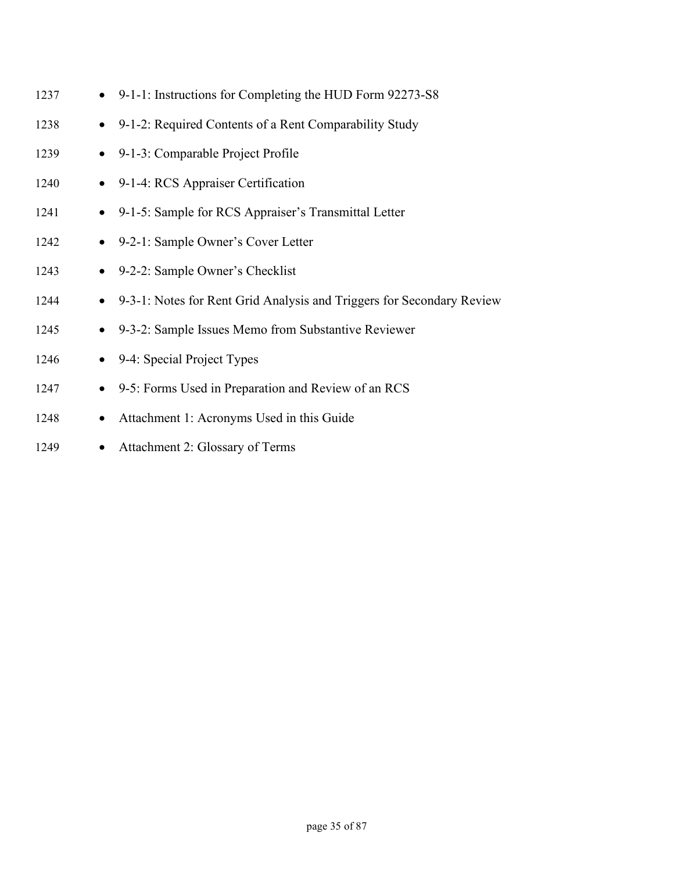| 1237 |           | • 9-1-1: Instructions for Completing the HUD Form 92273-S8              |
|------|-----------|-------------------------------------------------------------------------|
| 1238 |           | • 9-1-2: Required Contents of a Rent Comparability Study                |
| 1239 |           | • 9-1-3: Comparable Project Profile                                     |
| 1240 |           | • 9-1-4: RCS Appraiser Certification                                    |
| 1241 |           | • 9-1-5: Sample for RCS Appraiser's Transmittal Letter                  |
| 1242 |           | • 9-2-1: Sample Owner's Cover Letter                                    |
| 1243 |           | • 9-2-2: Sample Owner's Checklist                                       |
| 1244 |           | • 9-3-1: Notes for Rent Grid Analysis and Triggers for Secondary Review |
| 1245 |           | • 9-3-2: Sample Issues Memo from Substantive Reviewer                   |
| 1246 |           | • 9-4: Special Project Types                                            |
| 1247 | $\bullet$ | 9-5: Forms Used in Preparation and Review of an RCS                     |
| 1248 | $\bullet$ | Attachment 1: Acronyms Used in this Guide                               |
|      |           |                                                                         |

1249 • Attachment 2: Glossary of Terms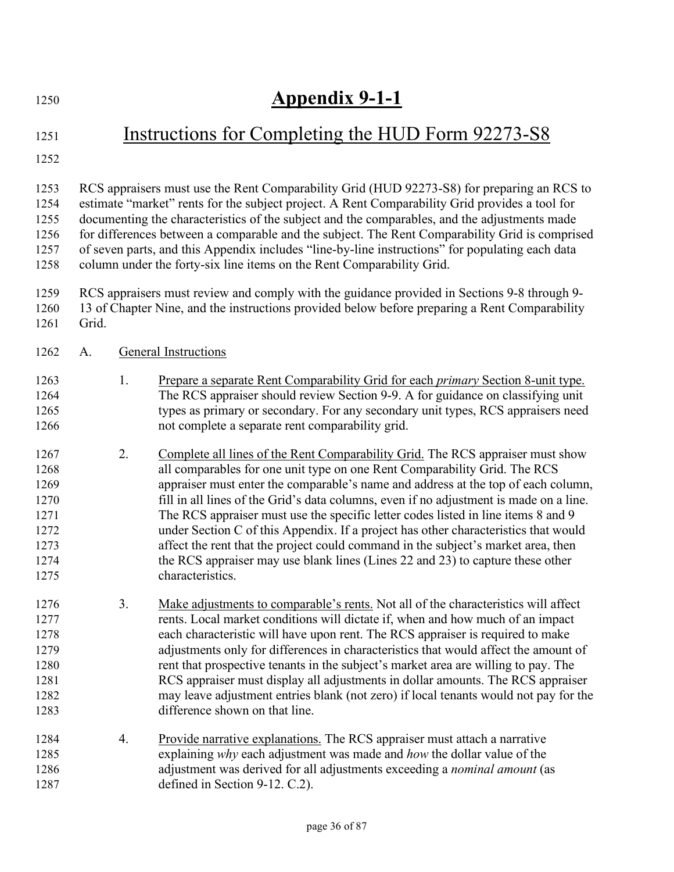# **Appendix 9-1-1**

## 1251 Instructions for Completing the HUD Form 92273-S8

RCS appraisers must use the Rent Comparability Grid (HUD 92273-S8) for preparing an RCS to estimate "market" rents for the subject project. A Rent Comparability Grid provides a tool for documenting the characteristics of the subject and the comparables, and the adjustments made for differences between a comparable and the subject. The Rent Comparability Grid is comprised of seven parts, and this Appendix includes "line-by-line instructions" for populating each data column under the forty-six line items on the Rent Comparability Grid.

- RCS appraisers must review and comply with the guidance provided in Sections 9-8 through 9- 13 of Chapter Nine, and the instructions provided below before preparing a Rent Comparability
- Grid.
- A. General Instructions
- 1. Prepare a separate Rent Comparability Grid for each *primary* Section 8-unit type. The RCS appraiser should review Section 9-9. A for guidance on classifying unit 1265 types as primary or secondary. For any secondary unit types, RCS appraisers need not complete a separate rent comparability grid.
- 2. Complete all lines of the Rent Comparability Grid. The RCS appraiser must show all comparables for one unit type on one Rent Comparability Grid. The RCS appraiser must enter the comparable's name and address at the top of each column, fill in all lines of the Grid's data columns, even if no adjustment is made on a line. The RCS appraiser must use the specific letter codes listed in line items 8 and 9 under Section C of this Appendix. If a project has other characteristics that would affect the rent that the project could command in the subject's market area, then the RCS appraiser may use blank lines (Lines 22 and 23) to capture these other 1275 characteristics.
- 3. Make adjustments to comparable's rents. Not all of the characteristics will affect rents. Local market conditions will dictate if, when and how much of an impact each characteristic will have upon rent. The RCS appraiser is required to make adjustments only for differences in characteristics that would affect the amount of rent that prospective tenants in the subject's market area are willing to pay. The RCS appraiser must display all adjustments in dollar amounts. The RCS appraiser may leave adjustment entries blank (not zero) if local tenants would not pay for the difference shown on that line.
- 1284 4. Provide narrative explanations. The RCS appraiser must attach a narrative explaining *why* each adjustment was made and *how* the dollar value of the adjustment was derived for all adjustments exceeding a *nominal amount* (as 1287 defined in Section 9-12. C.2).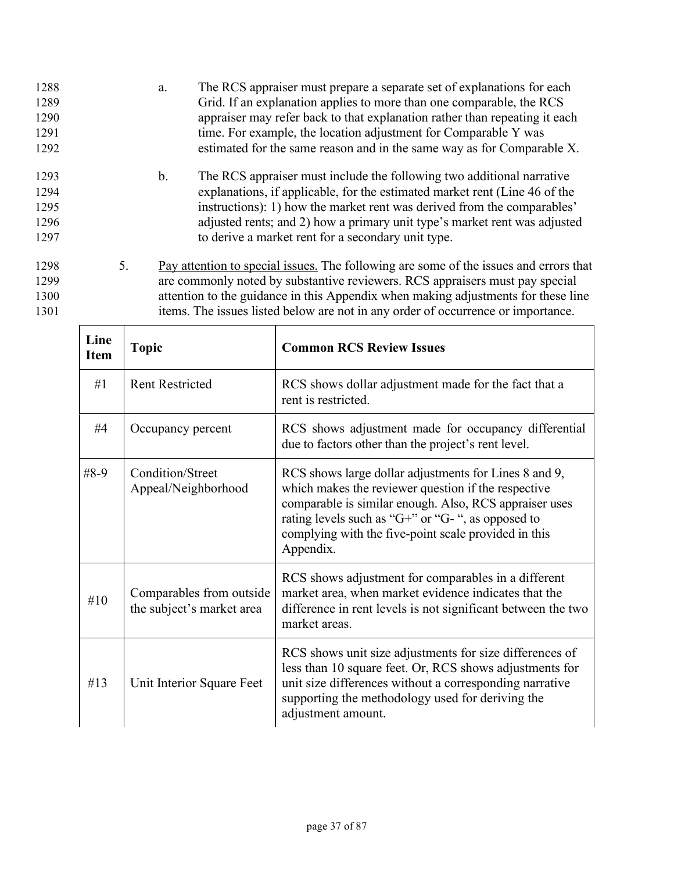| 1288<br>1289<br>1290<br>1291<br>1292 |    | The RCS appraiser must prepare a separate set of explanations for each<br>a.<br>Grid. If an explanation applies to more than one comparable, the RCS<br>appraiser may refer back to that explanation rather than repeating it each<br>time. For example, the location adjustment for Comparable Y was<br>estimated for the same reason and in the same way as for Comparable X. |
|--------------------------------------|----|---------------------------------------------------------------------------------------------------------------------------------------------------------------------------------------------------------------------------------------------------------------------------------------------------------------------------------------------------------------------------------|
| 1293<br>1294<br>1295                 |    | b.<br>The RCS appraiser must include the following two additional narrative<br>explanations, if applicable, for the estimated market rent (Line 46 of the<br>instructions): 1) how the market rent was derived from the comparables'                                                                                                                                            |
| 1296<br>1297                         |    | adjusted rents; and 2) how a primary unit type's market rent was adjusted<br>to derive a market rent for a secondary unit type.                                                                                                                                                                                                                                                 |
| 1298<br>1299<br>1300<br>1301         | 5. | Pay attention to special issues. The following are some of the issues and errors that<br>are commonly noted by substantive reviewers. RCS appraisers must pay special<br>attention to the guidance in this Appendix when making adjustments for these line<br>items. The issues listed below are not in any order of occurrence or importance.                                  |

| Line<br><b>Item</b> | <b>Topic</b>                                          | <b>Common RCS Review Issues</b>                                                                                                                                                                                                                                                                          |
|---------------------|-------------------------------------------------------|----------------------------------------------------------------------------------------------------------------------------------------------------------------------------------------------------------------------------------------------------------------------------------------------------------|
| #1                  | <b>Rent Restricted</b>                                | RCS shows dollar adjustment made for the fact that a<br>rent is restricted.                                                                                                                                                                                                                              |
| #4                  | Occupancy percent                                     | RCS shows adjustment made for occupancy differential<br>due to factors other than the project's rent level.                                                                                                                                                                                              |
| $#8-9$              | Condition/Street<br>Appeal/Neighborhood               | RCS shows large dollar adjustments for Lines 8 and 9,<br>which makes the reviewer question if the respective<br>comparable is similar enough. Also, RCS appraiser uses<br>rating levels such as " $G+$ " or " $G-$ ", as opposed to<br>complying with the five-point scale provided in this<br>Appendix. |
| #10                 | Comparables from outside<br>the subject's market area | RCS shows adjustment for comparables in a different<br>market area, when market evidence indicates that the<br>difference in rent levels is not significant between the two<br>market areas.                                                                                                             |
| #13                 | Unit Interior Square Feet                             | RCS shows unit size adjustments for size differences of<br>less than 10 square feet. Or, RCS shows adjustments for<br>unit size differences without a corresponding narrative<br>supporting the methodology used for deriving the<br>adjustment amount.                                                  |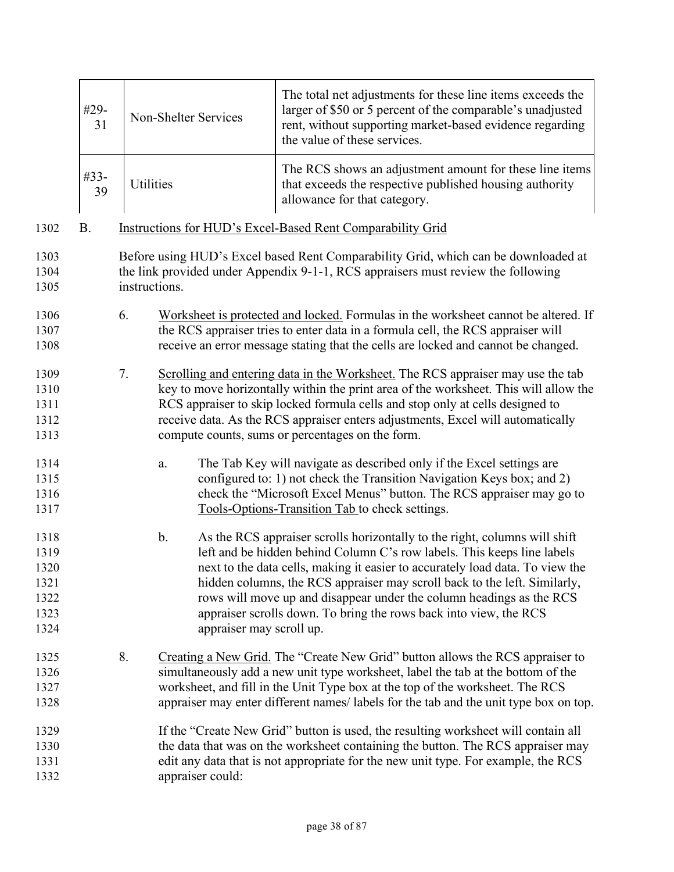|                                                      | #29-<br>31 |               | Non-Shelter Services           | The total net adjustments for these line items exceeds the<br>larger of \$50 or 5 percent of the comparable's unadjusted<br>rent, without supporting market-based evidence regarding<br>the value of these services.                                                                                                                                                                                                                                             |  |  |
|------------------------------------------------------|------------|---------------|--------------------------------|------------------------------------------------------------------------------------------------------------------------------------------------------------------------------------------------------------------------------------------------------------------------------------------------------------------------------------------------------------------------------------------------------------------------------------------------------------------|--|--|
|                                                      | #33-<br>39 | Utilities     |                                | The RCS shows an adjustment amount for these line items<br>that exceeds the respective published housing authority<br>allowance for that category.                                                                                                                                                                                                                                                                                                               |  |  |
| 1302                                                 | <b>B.</b>  |               |                                | Instructions for HUD's Excel-Based Rent Comparability Grid                                                                                                                                                                                                                                                                                                                                                                                                       |  |  |
| 1303<br>1304<br>1305                                 |            | instructions. |                                | Before using HUD's Excel based Rent Comparability Grid, which can be downloaded at<br>the link provided under Appendix 9-1-1, RCS appraisers must review the following                                                                                                                                                                                                                                                                                           |  |  |
| 1306<br>1307<br>1308                                 |            | 6.            |                                | Worksheet is protected and locked. Formulas in the worksheet cannot be altered. If<br>the RCS appraiser tries to enter data in a formula cell, the RCS appraiser will<br>receive an error message stating that the cells are locked and cannot be changed.                                                                                                                                                                                                       |  |  |
| 1309<br>1310<br>1311<br>1312<br>1313                 |            | 7.            |                                | Scrolling and entering data in the Worksheet. The RCS appraiser may use the tab<br>key to move horizontally within the print area of the worksheet. This will allow the<br>RCS appraiser to skip locked formula cells and stop only at cells designed to<br>receive data. As the RCS appraiser enters adjustments, Excel will automatically<br>compute counts, sums or percentages on the form.                                                                  |  |  |
| 1314<br>1315<br>1316<br>1317                         |            |               | a.                             | The Tab Key will navigate as described only if the Excel settings are<br>configured to: 1) not check the Transition Navigation Keys box; and 2)<br>check the "Microsoft Excel Menus" button. The RCS appraiser may go to<br>Tools-Options-Transition Tab to check settings.                                                                                                                                                                                      |  |  |
| 1318<br>1319<br>1320<br>1321<br>1322<br>1323<br>1324 |            |               | b.<br>appraiser may scroll up. | As the RCS appraiser scrolls horizontally to the right, columns will shift<br>left and be hidden behind Column C's row labels. This keeps line labels<br>next to the data cells, making it easier to accurately load data. To view the<br>hidden columns, the RCS appraiser may scroll back to the left. Similarly,<br>rows will move up and disappear under the column headings as the RCS<br>appraiser scrolls down. To bring the rows back into view, the RCS |  |  |
| 1325<br>1326<br>1327<br>1328                         |            | 8.            |                                | Creating a New Grid. The "Create New Grid" button allows the RCS appraiser to<br>simultaneously add a new unit type worksheet, label the tab at the bottom of the<br>worksheet, and fill in the Unit Type box at the top of the worksheet. The RCS<br>appraiser may enter different names/labels for the tab and the unit type box on top.                                                                                                                       |  |  |
| 1329<br>1330<br>1331<br>1332                         |            |               | appraiser could:               | If the "Create New Grid" button is used, the resulting worksheet will contain all<br>the data that was on the worksheet containing the button. The RCS appraiser may<br>edit any data that is not appropriate for the new unit type. For example, the RCS                                                                                                                                                                                                        |  |  |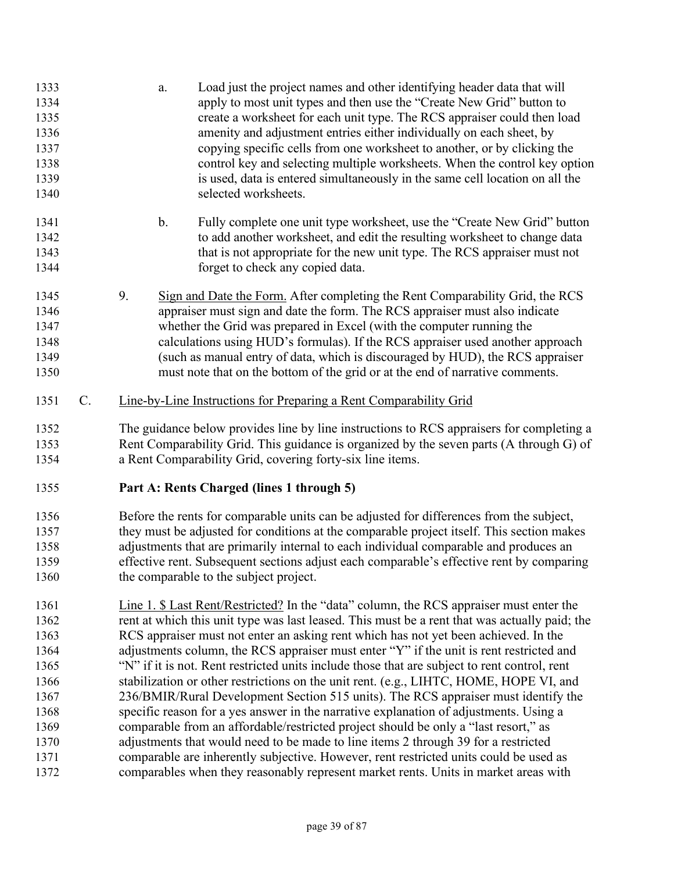| 1334<br>1335<br>1336<br>1337<br>1338<br>1339<br>1340 |    | Load just the project names and other identifying header data that will<br>a.<br>apply to most unit types and then use the "Create New Grid" button to<br>create a worksheet for each unit type. The RCS appraiser could then load<br>amenity and adjustment entries either individually on each sheet, by<br>copying specific cells from one worksheet to another, or by clicking the<br>control key and selecting multiple worksheets. When the control key option<br>is used, data is entered simultaneously in the same cell location on all the<br>selected worksheets.                                                                                                   |
|------------------------------------------------------|----|--------------------------------------------------------------------------------------------------------------------------------------------------------------------------------------------------------------------------------------------------------------------------------------------------------------------------------------------------------------------------------------------------------------------------------------------------------------------------------------------------------------------------------------------------------------------------------------------------------------------------------------------------------------------------------|
| 1341<br>1342<br>1343<br>1344                         |    | $\mathbf b$ .<br>Fully complete one unit type worksheet, use the "Create New Grid" button<br>to add another worksheet, and edit the resulting worksheet to change data<br>that is not appropriate for the new unit type. The RCS appraiser must not<br>forget to check any copied data.                                                                                                                                                                                                                                                                                                                                                                                        |
| 1345<br>1346<br>1347<br>1348<br>1349<br>1350         |    | 9.<br>Sign and Date the Form. After completing the Rent Comparability Grid, the RCS<br>appraiser must sign and date the form. The RCS appraiser must also indicate<br>whether the Grid was prepared in Excel (with the computer running the<br>calculations using HUD's formulas). If the RCS appraiser used another approach<br>(such as manual entry of data, which is discouraged by HUD), the RCS appraiser<br>must note that on the bottom of the grid or at the end of narrative comments.                                                                                                                                                                               |
| 1351                                                 | C. | Line-by-Line Instructions for Preparing a Rent Comparability Grid                                                                                                                                                                                                                                                                                                                                                                                                                                                                                                                                                                                                              |
| 1352<br>1353<br>1354                                 |    | The guidance below provides line by line instructions to RCS appraisers for completing a<br>Rent Comparability Grid. This guidance is organized by the seven parts (A through G) of<br>a Rent Comparability Grid, covering forty-six line items.                                                                                                                                                                                                                                                                                                                                                                                                                               |
| 1355                                                 |    | Part A: Rents Charged (lines 1 through 5)                                                                                                                                                                                                                                                                                                                                                                                                                                                                                                                                                                                                                                      |
| 1356<br>1357<br>1358<br>1359<br>1360                 |    | Before the rents for comparable units can be adjusted for differences from the subject,<br>they must be adjusted for conditions at the comparable project itself. This section makes<br>adjustments that are primarily internal to each individual comparable and produces an<br>effective rent. Subsequent sections adjust each comparable's effective rent by comparing<br>the comparable to the subject project.                                                                                                                                                                                                                                                            |
|                                                      |    | <u>Line 1. <math>\$</math> Last Rent/Restricted?</u> In the "data" column, the RCS appraiser must enter the<br>rent at which this unit type was last leased. This must be a rent that was actually paid; the<br>RCS appraiser must not enter an asking rent which has not yet been achieved. In the<br>adjustments column, the RCS appraiser must enter "Y" if the unit is rent restricted and<br>"N" if it is not. Rent restricted units include those that are subject to rent control, rent<br>stabilization or other restrictions on the unit rent. (e.g., LIHTC, HOME, HOPE VI, and<br>236/BMIR/Rural Development Section 515 units). The RCS appraiser must identify the |
|                                                      |    |                                                                                                                                                                                                                                                                                                                                                                                                                                                                                                                                                                                                                                                                                |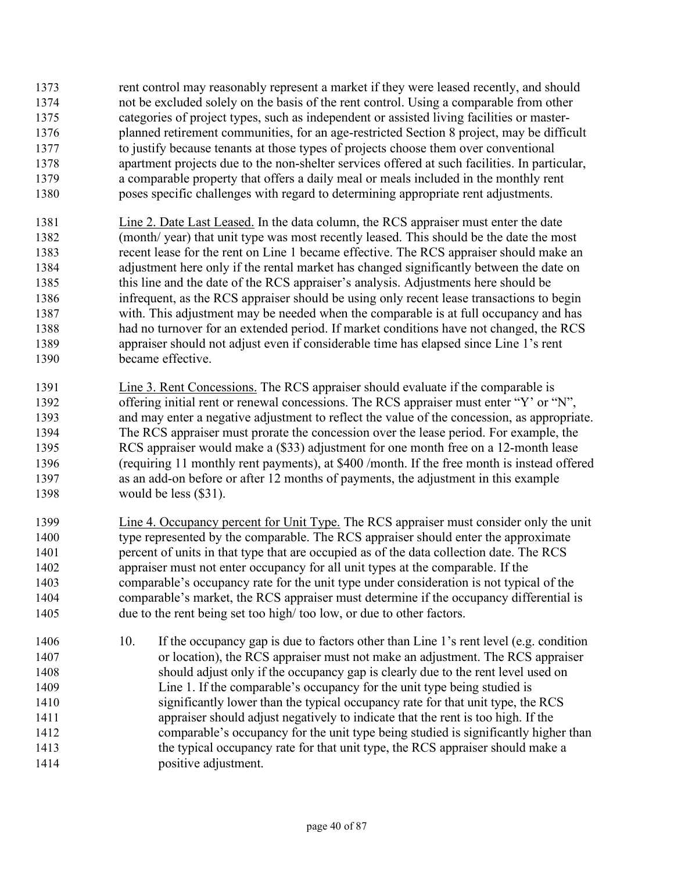- rent control may reasonably represent a market if they were leased recently, and should not be excluded solely on the basis of the rent control. Using a comparable from other categories of project types, such as independent or assisted living facilities or master-planned retirement communities, for an age-restricted Section 8 project, may be difficult to justify because tenants at those types of projects choose them over conventional apartment projects due to the non-shelter services offered at such facilities. In particular, a comparable property that offers a daily meal or meals included in the monthly rent poses specific challenges with regard to determining appropriate rent adjustments.
- Line 2. Date Last Leased. In the data column, the RCS appraiser must enter the date (month/ year) that unit type was most recently leased. This should be the date the most recent lease for the rent on Line 1 became effective. The RCS appraiser should make an adjustment here only if the rental market has changed significantly between the date on this line and the date of the RCS appraiser's analysis. Adjustments here should be infrequent, as the RCS appraiser should be using only recent lease transactions to begin with. This adjustment may be needed when the comparable is at full occupancy and has had no turnover for an extended period. If market conditions have not changed, the RCS appraiser should not adjust even if considerable time has elapsed since Line 1's rent became effective.
- 1391 Line 3. Rent Concessions. The RCS appraiser should evaluate if the comparable is 1392 offering initial rent or renewal concessions. The RCS appraiser must enter "Y' or "N", and may enter a negative adjustment to reflect the value of the concession, as appropriate. The RCS appraiser must prorate the concession over the lease period. For example, the RCS appraiser would make a (\$33) adjustment for one month free on a 12-month lease (requiring 11 monthly rent payments), at \$400 /month. If the free month is instead offered as an add-on before or after 12 months of payments, the adjustment in this example would be less (\$31).
- 1399 Line 4. Occupancy percent for Unit Type. The RCS appraiser must consider only the unit 1400 type represented by the comparable. The RCS appraiser should enter the approximate percent of units in that type that are occupied as of the data collection date. The RCS appraiser must not enter occupancy for all unit types at the comparable. If the comparable's occupancy rate for the unit type under consideration is not typical of the comparable's market, the RCS appraiser must determine if the occupancy differential is due to the rent being set too high/ too low, or due to other factors.
- 10. If the occupancy gap is due to factors other than Line 1's rent level (e.g. condition or location), the RCS appraiser must not make an adjustment. The RCS appraiser should adjust only if the occupancy gap is clearly due to the rent level used on Line 1. If the comparable's occupancy for the unit type being studied is significantly lower than the typical occupancy rate for that unit type, the RCS appraiser should adjust negatively to indicate that the rent is too high. If the comparable's occupancy for the unit type being studied is significantly higher than the typical occupancy rate for that unit type, the RCS appraiser should make a **positive adjustment.**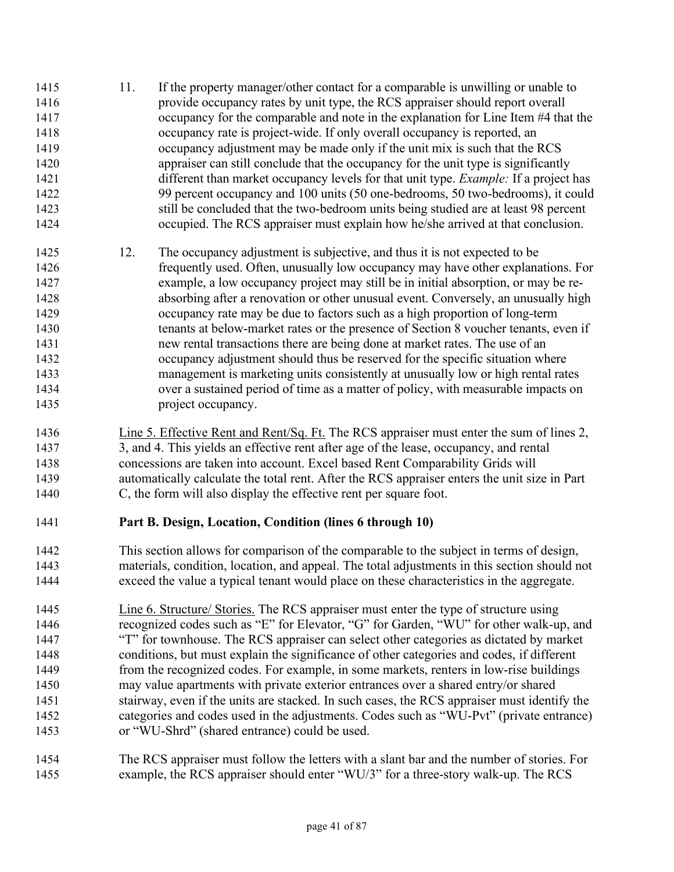- 11. If the property manager/other contact for a comparable is unwilling or unable to provide occupancy rates by unit type, the RCS appraiser should report overall occupancy for the comparable and note in the explanation for Line Item #4 that the occupancy rate is project-wide. If only overall occupancy is reported, an occupancy adjustment may be made only if the unit mix is such that the RCS appraiser can still conclude that the occupancy for the unit type is significantly different than market occupancy levels for that unit type. *Example:* If a project has 99 percent occupancy and 100 units (50 one-bedrooms, 50 two-bedrooms), it could still be concluded that the two-bedroom units being studied are at least 98 percent occupied. The RCS appraiser must explain how he/she arrived at that conclusion. 12. The occupancy adjustment is subjective, and thus it is not expected to be frequently used. Often, unusually low occupancy may have other explanations. For example, a low occupancy project may still be in initial absorption, or may be re-absorbing after a renovation or other unusual event. Conversely, an unusually high occupancy rate may be due to factors such as a high proportion of long-term tenants at below-market rates or the presence of Section 8 voucher tenants, even if new rental transactions there are being done at market rates. The use of an occupancy adjustment should thus be reserved for the specific situation where management is marketing units consistently at unusually low or high rental rates over a sustained period of time as a matter of policy, with measurable impacts on 1435 project occupancy. Line 5. Effective Rent and Rent/Sq. Ft. The RCS appraiser must enter the sum of lines 2,
- 3, and 4. This yields an effective rent after age of the lease, occupancy, and rental concessions are taken into account. Excel based Rent Comparability Grids will automatically calculate the total rent. After the RCS appraiser enters the unit size in Part C, the form will also display the effective rent per square foot.
- 

## **Part B. Design, Location, Condition (lines 6 through 10)**

- This section allows for comparison of the comparable to the subject in terms of design, materials, condition, location, and appeal. The total adjustments in this section should not exceed the value a typical tenant would place on these characteristics in the aggregate.
- Line 6. Structure/ Stories. The RCS appraiser must enter the type of structure using recognized codes such as "E" for Elevator, "G" for Garden, "WU" for other walk-up, and "T" for townhouse. The RCS appraiser can select other categories as dictated by market conditions, but must explain the significance of other categories and codes, if different from the recognized codes. For example, in some markets, renters in low-rise buildings may value apartments with private exterior entrances over a shared entry/or shared 1451 stairway, even if the units are stacked. In such cases, the RCS appraiser must identify the categories and codes used in the adjustments. Codes such as "WU-Pvt" (private entrance) or "WU-Shrd" (shared entrance) could be used.
- The RCS appraiser must follow the letters with a slant bar and the number of stories. For example, the RCS appraiser should enter "WU/3" for a three-story walk-up. The RCS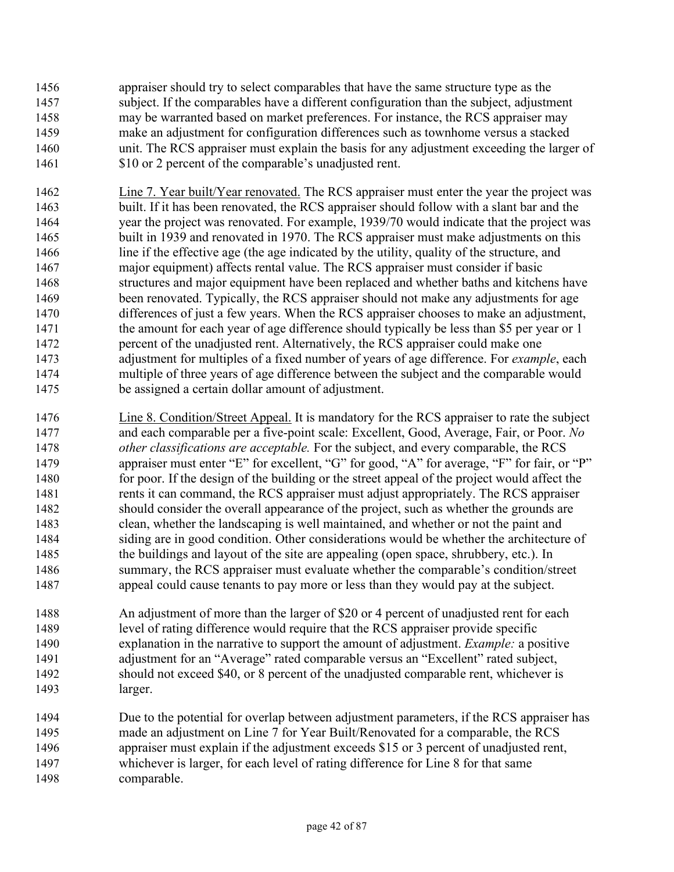appraiser should try to select comparables that have the same structure type as the subject. If the comparables have a different configuration than the subject, adjustment may be warranted based on market preferences. For instance, the RCS appraiser may make an adjustment for configuration differences such as townhome versus a stacked unit. The RCS appraiser must explain the basis for any adjustment exceeding the larger of 1461 \$10 or 2 percent of the comparable's unadjusted rent.

- Line 7. Year built/Year renovated. The RCS appraiser must enter the year the project was built. If it has been renovated, the RCS appraiser should follow with a slant bar and the year the project was renovated. For example, 1939/70 would indicate that the project was built in 1939 and renovated in 1970. The RCS appraiser must make adjustments on this line if the effective age (the age indicated by the utility, quality of the structure, and major equipment) affects rental value. The RCS appraiser must consider if basic structures and major equipment have been replaced and whether baths and kitchens have been renovated. Typically, the RCS appraiser should not make any adjustments for age differences of just a few years. When the RCS appraiser chooses to make an adjustment, 1471 the amount for each year of age difference should typically be less than \$5 per year or 1 percent of the unadjusted rent. Alternatively, the RCS appraiser could make one adjustment for multiples of a fixed number of years of age difference. For *example*, each multiple of three years of age difference between the subject and the comparable would be assigned a certain dollar amount of adjustment.
- Line 8. Condition/Street Appeal. It is mandatory for the RCS appraiser to rate the subject and each comparable per a five-point scale: Excellent, Good, Average, Fair, or Poor. *No other classifications are acceptable.* For the subject, and every comparable, the RCS appraiser must enter "E" for excellent, "G" for good, "A" for average, "F" for fair, or "P" for poor. If the design of the building or the street appeal of the project would affect the rents it can command, the RCS appraiser must adjust appropriately. The RCS appraiser should consider the overall appearance of the project, such as whether the grounds are clean, whether the landscaping is well maintained, and whether or not the paint and siding are in good condition. Other considerations would be whether the architecture of the buildings and layout of the site are appealing (open space, shrubbery, etc.). In summary, the RCS appraiser must evaluate whether the comparable's condition/street appeal could cause tenants to pay more or less than they would pay at the subject.
- An adjustment of more than the larger of \$20 or 4 percent of unadjusted rent for each level of rating difference would require that the RCS appraiser provide specific explanation in the narrative to support the amount of adjustment. *Example:* a positive adjustment for an "Average" rated comparable versus an "Excellent" rated subject, should not exceed \$40, or 8 percent of the unadjusted comparable rent, whichever is larger.
- Due to the potential for overlap between adjustment parameters, if the RCS appraiser has made an adjustment on Line 7 for Year Built/Renovated for a comparable, the RCS appraiser must explain if the adjustment exceeds \$15 or 3 percent of unadjusted rent, whichever is larger, for each level of rating difference for Line 8 for that same comparable.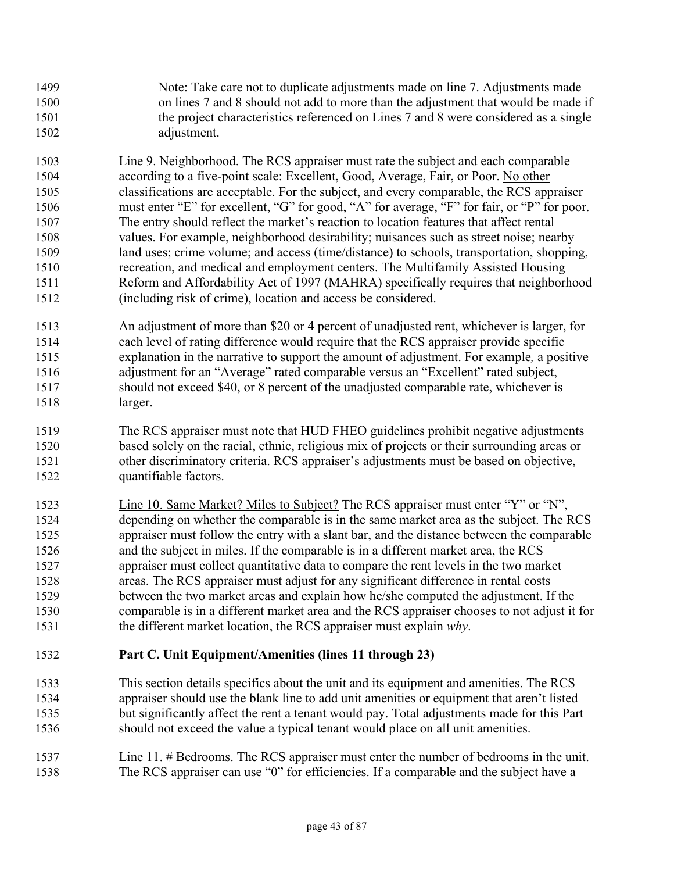- Note: Take care not to duplicate adjustments made on line 7. Adjustments made on lines 7 and 8 should not add to more than the adjustment that would be made if the project characteristics referenced on Lines 7 and 8 were considered as a single adjustment.
- Line 9. Neighborhood. The RCS appraiser must rate the subject and each comparable according to a five-point scale: Excellent, Good, Average, Fair, or Poor. No other classifications are acceptable. For the subject, and every comparable, the RCS appraiser must enter "E" for excellent, "G" for good, "A" for average, "F" for fair, or "P" for poor. The entry should reflect the market's reaction to location features that affect rental values. For example, neighborhood desirability; nuisances such as street noise; nearby land uses; crime volume; and access (time/distance) to schools, transportation, shopping, recreation, and medical and employment centers. The Multifamily Assisted Housing Reform and Affordability Act of 1997 (MAHRA) specifically requires that neighborhood (including risk of crime), location and access be considered.
- An adjustment of more than \$20 or 4 percent of unadjusted rent, whichever is larger, for each level of rating difference would require that the RCS appraiser provide specific explanation in the narrative to support the amount of adjustment. For example*,* a positive adjustment for an "Average" rated comparable versus an "Excellent" rated subject, should not exceed \$40, or 8 percent of the unadjusted comparable rate, whichever is larger.
- The RCS appraiser must note that HUD FHEO guidelines prohibit negative adjustments based solely on the racial, ethnic, religious mix of projects or their surrounding areas or other discriminatory criteria. RCS appraiser's adjustments must be based on objective, quantifiable factors.
- Line 10. Same Market? Miles to Subject? The RCS appraiser must enter "Y" or "N", depending on whether the comparable is in the same market area as the subject. The RCS appraiser must follow the entry with a slant bar, and the distance between the comparable and the subject in miles. If the comparable is in a different market area, the RCS appraiser must collect quantitative data to compare the rent levels in the two market areas. The RCS appraiser must adjust for any significant difference in rental costs between the two market areas and explain how he/she computed the adjustment. If the comparable is in a different market area and the RCS appraiser chooses to not adjust it for the different market location, the RCS appraiser must explain *why*.

## **Part C. Unit Equipment/Amenities (lines 11 through 23)**

- This section details specifics about the unit and its equipment and amenities. The RCS appraiser should use the blank line to add unit amenities or equipment that aren't listed but significantly affect the rent a tenant would pay. Total adjustments made for this Part should not exceed the value a typical tenant would place on all unit amenities.
- Line 11. # Bedrooms. The RCS appraiser must enter the number of bedrooms in the unit. The RCS appraiser can use "0" for efficiencies. If a comparable and the subject have a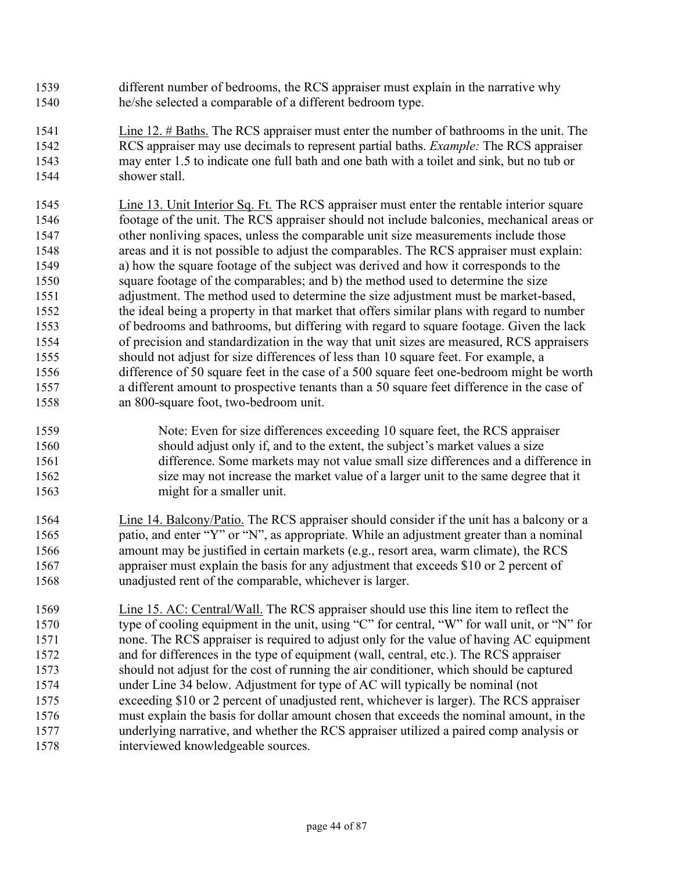- different number of bedrooms, the RCS appraiser must explain in the narrative why he/she selected a comparable of a different bedroom type.
- Line 12. # Baths. The RCS appraiser must enter the number of bathrooms in the unit. The RCS appraiser may use decimals to represent partial baths. *Example:* The RCS appraiser may enter 1.5 to indicate one full bath and one bath with a toilet and sink, but no tub or shower stall.
- Line 13. Unit Interior Sq. Ft. The RCS appraiser must enter the rentable interior square footage of the unit. The RCS appraiser should not include balconies, mechanical areas or other nonliving spaces, unless the comparable unit size measurements include those areas and it is not possible to adjust the comparables. The RCS appraiser must explain: a) how the square footage of the subject was derived and how it corresponds to the square footage of the comparables; and b) the method used to determine the size adjustment. The method used to determine the size adjustment must be market-based, the ideal being a property in that market that offers similar plans with regard to number of bedrooms and bathrooms, but differing with regard to square footage. Given the lack of precision and standardization in the way that unit sizes are measured, RCS appraisers should not adjust for size differences of less than 10 square feet. For example, a difference of 50 square feet in the case of a 500 square feet one-bedroom might be worth a different amount to prospective tenants than a 50 square feet difference in the case of an 800-square foot, two-bedroom unit.
- Note: Even for size differences exceeding 10 square feet, the RCS appraiser should adjust only if, and to the extent, the subject's market values a size difference. Some markets may not value small size differences and a difference in size may not increase the market value of a larger unit to the same degree that it might for a smaller unit.
- Line 14. Balcony/Patio. The RCS appraiser should consider if the unit has a balcony or a patio, and enter "Y" or "N", as appropriate. While an adjustment greater than a nominal amount may be justified in certain markets (e.g., resort area, warm climate), the RCS appraiser must explain the basis for any adjustment that exceeds \$10 or 2 percent of unadjusted rent of the comparable, whichever is larger.
- Line 15. AC: Central/Wall. The RCS appraiser should use this line item to reflect the type of cooling equipment in the unit, using "C" for central, "W" for wall unit, or "N" for none. The RCS appraiser is required to adjust only for the value of having AC equipment and for differences in the type of equipment (wall, central, etc.). The RCS appraiser should not adjust for the cost of running the air conditioner, which should be captured under Line 34 below. Adjustment for type of AC will typically be nominal (not exceeding \$10 or 2 percent of unadjusted rent, whichever is larger). The RCS appraiser must explain the basis for dollar amount chosen that exceeds the nominal amount, in the underlying narrative, and whether the RCS appraiser utilized a paired comp analysis or interviewed knowledgeable sources.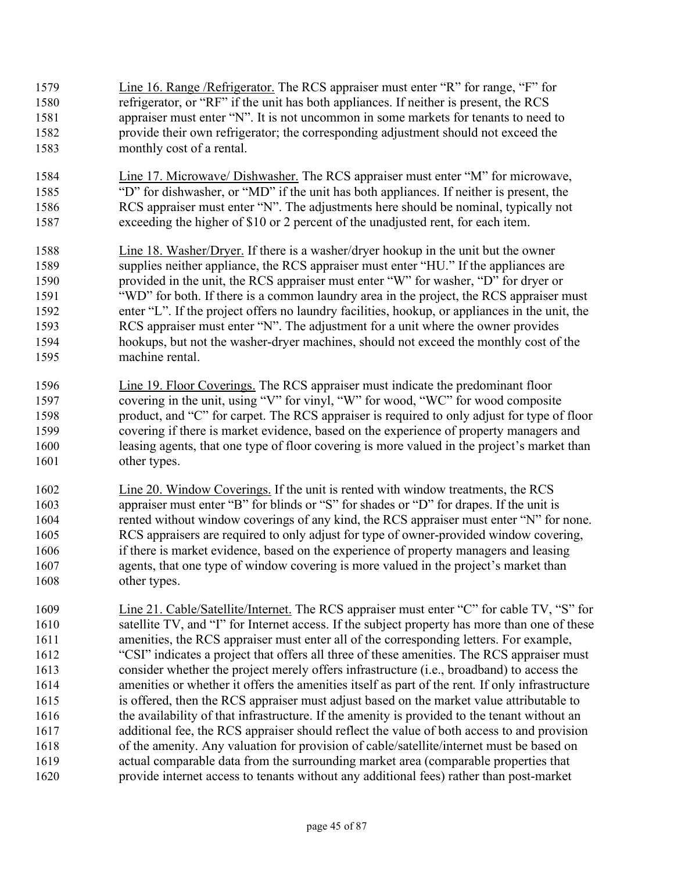Line 16. Range /Refrigerator. The RCS appraiser must enter "R" for range, "F" for refrigerator, or "RF" if the unit has both appliances. If neither is present, the RCS appraiser must enter "N". It is not uncommon in some markets for tenants to need to provide their own refrigerator; the corresponding adjustment should not exceed the monthly cost of a rental. Line 17. Microwave/ Dishwasher. The RCS appraiser must enter "M" for microwave, "D" for dishwasher, or "MD" if the unit has both appliances. If neither is present, the RCS appraiser must enter "N". The adjustments here should be nominal, typically not exceeding the higher of \$10 or 2 percent of the unadjusted rent, for each item. Line 18. Washer/Dryer. If there is a washer/dryer hookup in the unit but the owner supplies neither appliance, the RCS appraiser must enter "HU." If the appliances are provided in the unit, the RCS appraiser must enter "W" for washer, "D" for dryer or "WD" for both. If there is a common laundry area in the project, the RCS appraiser must enter "L". If the project offers no laundry facilities, hookup, or appliances in the unit, the RCS appraiser must enter "N". The adjustment for a unit where the owner provides hookups, but not the washer-dryer machines, should not exceed the monthly cost of the machine rental. Line 19. Floor Coverings. The RCS appraiser must indicate the predominant floor covering in the unit, using "V" for vinyl, "W" for wood, "WC" for wood composite product, and "C" for carpet. The RCS appraiser is required to only adjust for type of floor covering if there is market evidence, based on the experience of property managers and leasing agents, that one type of floor covering is more valued in the project's market than other types. Line 20. Window Coverings. If the unit is rented with window treatments, the RCS appraiser must enter "B" for blinds or "S" for shades or "D" for drapes. If the unit is 1604 rented without window coverings of any kind, the RCS appraiser must enter "N" for none. RCS appraisers are required to only adjust for type of owner-provided window covering, if there is market evidence, based on the experience of property managers and leasing agents, that one type of window covering is more valued in the project's market than other types. Line 21. Cable/Satellite/Internet. The RCS appraiser must enter "C" for cable TV, "S" for satellite TV, and "I" for Internet access. If the subject property has more than one of these amenities, the RCS appraiser must enter all of the corresponding letters. For example, "CSI" indicates a project that offers all three of these amenities. The RCS appraiser must consider whether the project merely offers infrastructure (i.e., broadband) to access the amenities or whether it offers the amenities itself as part of the rent*.* If only infrastructure is offered, then the RCS appraiser must adjust based on the market value attributable to the availability of that infrastructure. If the amenity is provided to the tenant without an additional fee, the RCS appraiser should reflect the value of both access to and provision of the amenity. Any valuation for provision of cable/satellite/internet must be based on actual comparable data from the surrounding market area (comparable properties that provide internet access to tenants without any additional fees) rather than post-market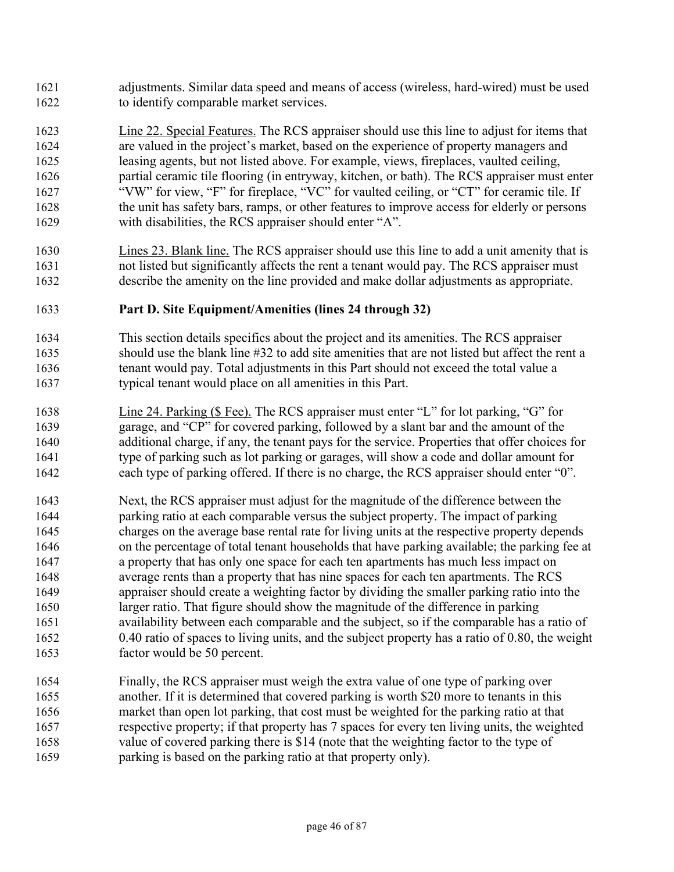- adjustments. Similar data speed and means of access (wireless, hard-wired) must be used to identify comparable market services.
- Line 22. Special Features. The RCS appraiser should use this line to adjust for items that are valued in the project's market, based on the experience of property managers and leasing agents, but not listed above. For example, views, fireplaces, vaulted ceiling, partial ceramic tile flooring (in entryway, kitchen, or bath). The RCS appraiser must enter 1627 "W" for view, "F" for fireplace, "VC" for vaulted ceiling, or "CT" for ceramic tile. If the unit has safety bars, ramps, or other features to improve access for elderly or persons with disabilities, the RCS appraiser should enter "A".
- Lines 23. Blank line. The RCS appraiser should use this line to add a unit amenity that is not listed but significantly affects the rent a tenant would pay. The RCS appraiser must describe the amenity on the line provided and make dollar adjustments as appropriate.

#### **Part D. Site Equipment/Amenities (lines 24 through 32)**

- This section details specifics about the project and its amenities. The RCS appraiser should use the blank line #32 to add site amenities that are not listed but affect the rent a tenant would pay. Total adjustments in this Part should not exceed the total value a typical tenant would place on all amenities in this Part.
- Line 24. Parking (\$ Fee). The RCS appraiser must enter "L" for lot parking, "G" for garage, and "CP" for covered parking, followed by a slant bar and the amount of the additional charge, if any, the tenant pays for the service. Properties that offer choices for type of parking such as lot parking or garages, will show a code and dollar amount for each type of parking offered. If there is no charge, the RCS appraiser should enter "0".
- Next, the RCS appraiser must adjust for the magnitude of the difference between the parking ratio at each comparable versus the subject property. The impact of parking charges on the average base rental rate for living units at the respective property depends on the percentage of total tenant households that have parking available; the parking fee at a property that has only one space for each ten apartments has much less impact on average rents than a property that has nine spaces for each ten apartments. The RCS appraiser should create a weighting factor by dividing the smaller parking ratio into the larger ratio. That figure should show the magnitude of the difference in parking availability between each comparable and the subject, so if the comparable has a ratio of 0.40 ratio of spaces to living units, and the subject property has a ratio of 0.80, the weight factor would be 50 percent.
- Finally, the RCS appraiser must weigh the extra value of one type of parking over another. If it is determined that covered parking is worth \$20 more to tenants in this market than open lot parking, that cost must be weighted for the parking ratio at that respective property; if that property has 7 spaces for every ten living units, the weighted value of covered parking there is \$14 (note that the weighting factor to the type of parking is based on the parking ratio at that property only).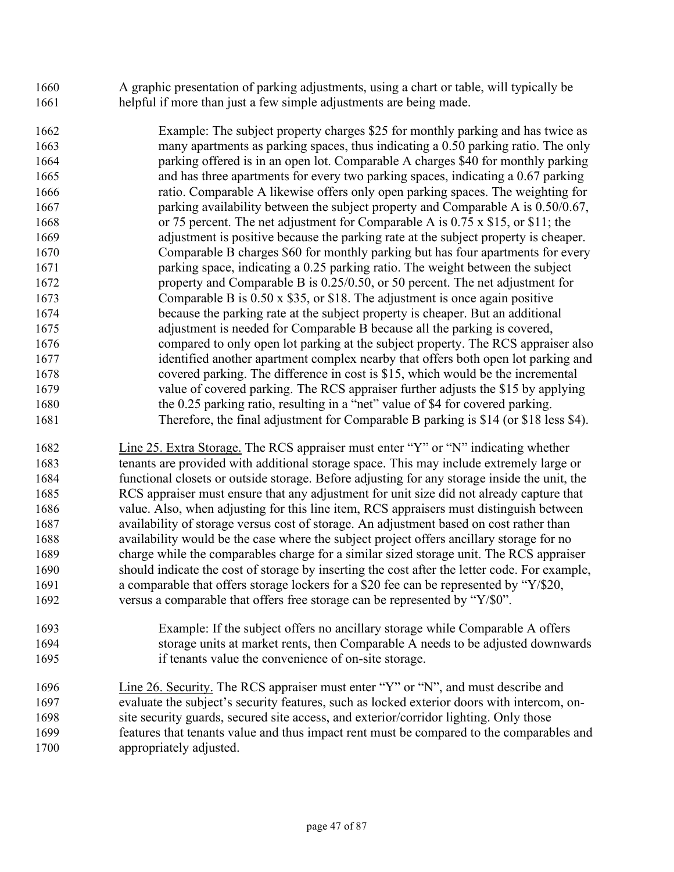- A graphic presentation of parking adjustments, using a chart or table, will typically be helpful if more than just a few simple adjustments are being made.
- Example: The subject property charges \$25 for monthly parking and has twice as many apartments as parking spaces, thus indicating a 0.50 parking ratio. The only parking offered is in an open lot. Comparable A charges \$40 for monthly parking and has three apartments for every two parking spaces, indicating a 0.67 parking ratio. Comparable A likewise offers only open parking spaces. The weighting for parking availability between the subject property and Comparable A is 0.50/0.67, or 75 percent. The net adjustment for Comparable A is 0.75 x \$15, or \$11; the adjustment is positive because the parking rate at the subject property is cheaper. Comparable B charges \$60 for monthly parking but has four apartments for every parking space, indicating a 0.25 parking ratio. The weight between the subject property and Comparable B is 0.25/0.50, or 50 percent. The net adjustment for Comparable B is 0.50 x \$35, or \$18. The adjustment is once again positive because the parking rate at the subject property is cheaper. But an additional adjustment is needed for Comparable B because all the parking is covered, compared to only open lot parking at the subject property. The RCS appraiser also identified another apartment complex nearby that offers both open lot parking and covered parking. The difference in cost is \$15, which would be the incremental value of covered parking. The RCS appraiser further adjusts the \$15 by applying the 0.25 parking ratio, resulting in a "net" value of \$4 for covered parking. Therefore, the final adjustment for Comparable B parking is \$14 (or \$18 less \$4).
- Line 25. Extra Storage. The RCS appraiser must enter "Y" or "N" indicating whether tenants are provided with additional storage space. This may include extremely large or functional closets or outside storage. Before adjusting for any storage inside the unit, the RCS appraiser must ensure that any adjustment for unit size did not already capture that value. Also, when adjusting for this line item, RCS appraisers must distinguish between availability of storage versus cost of storage. An adjustment based on cost rather than availability would be the case where the subject project offers ancillary storage for no charge while the comparables charge for a similar sized storage unit. The RCS appraiser should indicate the cost of storage by inserting the cost after the letter code. For example, a comparable that offers storage lockers for a \$20 fee can be represented by "Y/\$20, 1692 versus a comparable that offers free storage can be represented by "Y/\$0".
- Example: If the subject offers no ancillary storage while Comparable A offers storage units at market rents, then Comparable A needs to be adjusted downwards if tenants value the convenience of on-site storage.
- Line 26. Security. The RCS appraiser must enter "Y" or "N", and must describe and evaluate the subject's security features, such as locked exterior doors with intercom, on-site security guards, secured site access, and exterior/corridor lighting. Only those features that tenants value and thus impact rent must be compared to the comparables and appropriately adjusted.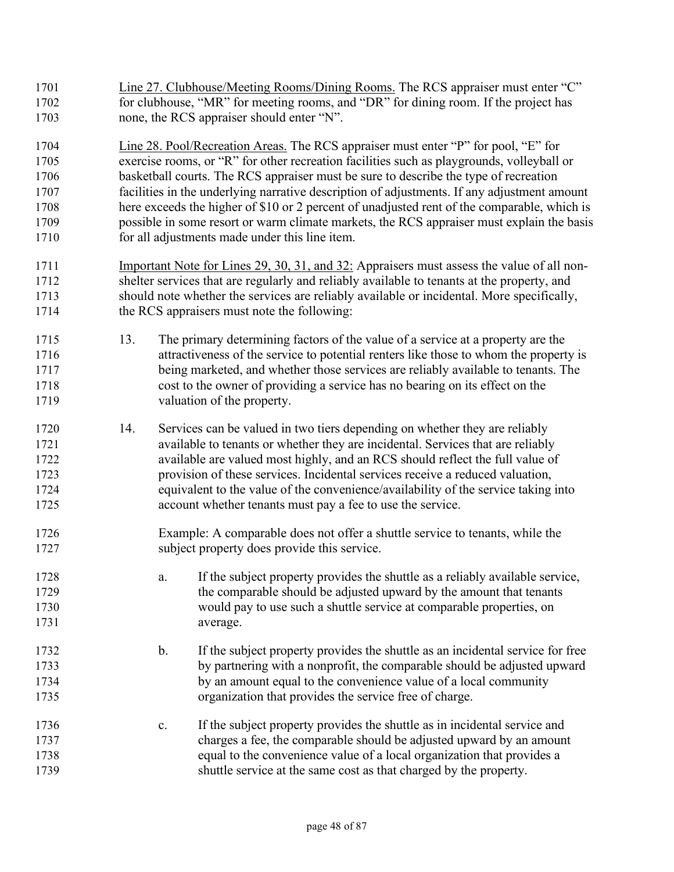- 1701 Line 27. Clubhouse/Meeting Rooms/Dining Rooms. The RCS appraiser must enter "C" 1702 for clubhouse, "MR" for meeting rooms, and "DR" for dining room. If the project has none, the RCS appraiser should enter "N".
- Line 28. Pool/Recreation Areas. The RCS appraiser must enter "P" for pool, "E" for exercise rooms, or "R" for other recreation facilities such as playgrounds, volleyball or basketball courts. The RCS appraiser must be sure to describe the type of recreation facilities in the underlying narrative description of adjustments. If any adjustment amount here exceeds the higher of \$10 or 2 percent of unadjusted rent of the comparable, which is possible in some resort or warm climate markets, the RCS appraiser must explain the basis for all adjustments made under this line item.
- 1711 Important Note for Lines 29, 30, 31, and 32: Appraisers must assess the value of all non-shelter services that are regularly and reliably available to tenants at the property, and should note whether the services are reliably available or incidental. More specifically, 1714 the RCS appraisers must note the following:
- 13. The primary determining factors of the value of a service at a property are the attractiveness of the service to potential renters like those to whom the property is being marketed, and whether those services are reliably available to tenants. The cost to the owner of providing a service has no bearing on its effect on the valuation of the property.
- 14. Services can be valued in two tiers depending on whether they are reliably available to tenants or whether they are incidental. Services that are reliably available are valued most highly, and an RCS should reflect the full value of provision of these services. Incidental services receive a reduced valuation, equivalent to the value of the convenience/availability of the service taking into account whether tenants must pay a fee to use the service.
- Example: A comparable does not offer a shuttle service to tenants, while the 1727 subject property does provide this service.
- a. If the subject property provides the shuttle as a reliably available service, the comparable should be adjusted upward by the amount that tenants would pay to use such a shuttle service at comparable properties, on average.
- b. If the subject property provides the shuttle as an incidental service for free by partnering with a nonprofit, the comparable should be adjusted upward by an amount equal to the convenience value of a local community organization that provides the service free of charge.
- c. If the subject property provides the shuttle as in incidental service and charges a fee, the comparable should be adjusted upward by an amount equal to the convenience value of a local organization that provides a shuttle service at the same cost as that charged by the property.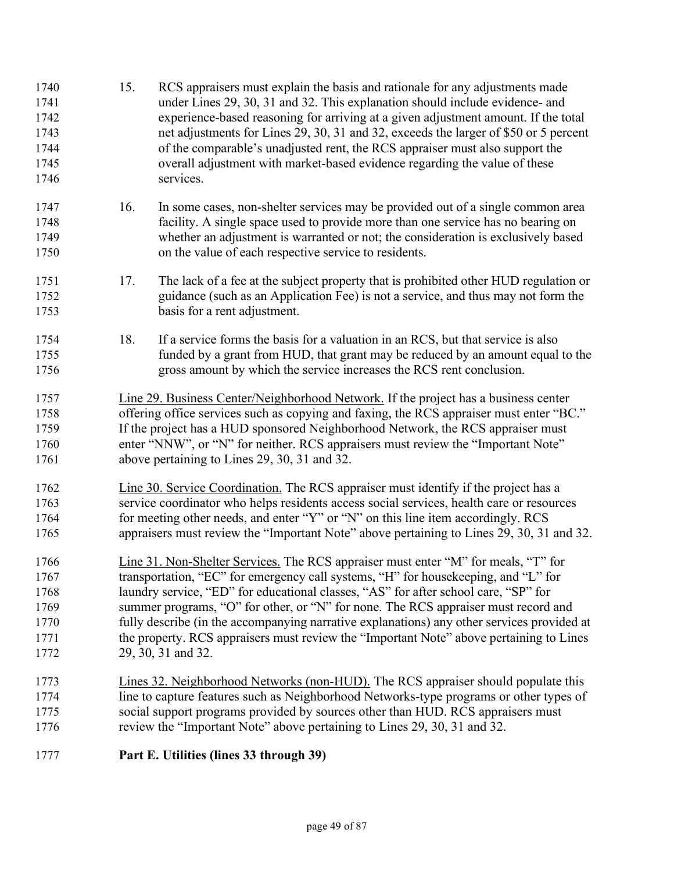| 1740<br>1741<br>1742<br>1743<br>1744<br>1745<br>1746 | 15.                                                                                      | RCS appraisers must explain the basis and rationale for any adjustments made<br>under Lines 29, 30, 31 and 32. This explanation should include evidence- and<br>experience-based reasoning for arriving at a given adjustment amount. If the total<br>net adjustments for Lines 29, 30, 31 and 32, exceeds the larger of \$50 or 5 percent<br>of the comparable's unadjusted rent, the RCS appraiser must also support the<br>overall adjustment with market-based evidence regarding the value of these<br>services. |  |  |  |  |  |  |
|------------------------------------------------------|------------------------------------------------------------------------------------------|-----------------------------------------------------------------------------------------------------------------------------------------------------------------------------------------------------------------------------------------------------------------------------------------------------------------------------------------------------------------------------------------------------------------------------------------------------------------------------------------------------------------------|--|--|--|--|--|--|
| 1747<br>1748<br>1749<br>1750                         | 16.                                                                                      | In some cases, non-shelter services may be provided out of a single common area<br>facility. A single space used to provide more than one service has no bearing on<br>whether an adjustment is warranted or not; the consideration is exclusively based<br>on the value of each respective service to residents.                                                                                                                                                                                                     |  |  |  |  |  |  |
| 1751<br>1752<br>1753                                 | 17.                                                                                      | The lack of a fee at the subject property that is prohibited other HUD regulation or<br>guidance (such as an Application Fee) is not a service, and thus may not form the<br>basis for a rent adjustment.                                                                                                                                                                                                                                                                                                             |  |  |  |  |  |  |
| 1754<br>1755<br>1756                                 | 18.                                                                                      | If a service forms the basis for a valuation in an RCS, but that service is also<br>funded by a grant from HUD, that grant may be reduced by an amount equal to the<br>gross amount by which the service increases the RCS rent conclusion.                                                                                                                                                                                                                                                                           |  |  |  |  |  |  |
| 1757                                                 |                                                                                          | Line 29. Business Center/Neighborhood Network. If the project has a business center                                                                                                                                                                                                                                                                                                                                                                                                                                   |  |  |  |  |  |  |
| 1758                                                 |                                                                                          | offering office services such as copying and faxing, the RCS appraiser must enter "BC."                                                                                                                                                                                                                                                                                                                                                                                                                               |  |  |  |  |  |  |
| 1759                                                 |                                                                                          | If the project has a HUD sponsored Neighborhood Network, the RCS appraiser must                                                                                                                                                                                                                                                                                                                                                                                                                                       |  |  |  |  |  |  |
| 1760                                                 | enter "NNW", or "N" for neither. RCS appraisers must review the "Important Note"         |                                                                                                                                                                                                                                                                                                                                                                                                                                                                                                                       |  |  |  |  |  |  |
| 1761                                                 | above pertaining to Lines 29, 30, 31 and 32.                                             |                                                                                                                                                                                                                                                                                                                                                                                                                                                                                                                       |  |  |  |  |  |  |
| 1762                                                 |                                                                                          | Line 30. Service Coordination. The RCS appraiser must identify if the project has a                                                                                                                                                                                                                                                                                                                                                                                                                                   |  |  |  |  |  |  |
| 1763                                                 | service coordinator who helps residents access social services, health care or resources |                                                                                                                                                                                                                                                                                                                                                                                                                                                                                                                       |  |  |  |  |  |  |
| 1764                                                 | for meeting other needs, and enter "Y" or "N" on this line item accordingly. RCS         |                                                                                                                                                                                                                                                                                                                                                                                                                                                                                                                       |  |  |  |  |  |  |
| 1765                                                 | appraisers must review the "Important Note" above pertaining to Lines 29, 30, 31 and 32. |                                                                                                                                                                                                                                                                                                                                                                                                                                                                                                                       |  |  |  |  |  |  |
| 1766                                                 |                                                                                          | Line 31. Non-Shelter Services. The RCS appraiser must enter "M" for meals, "T" for                                                                                                                                                                                                                                                                                                                                                                                                                                    |  |  |  |  |  |  |
| 1767                                                 |                                                                                          | transportation, "EC" for emergency call systems, "H" for housekeeping, and "L" for                                                                                                                                                                                                                                                                                                                                                                                                                                    |  |  |  |  |  |  |
| 1768                                                 |                                                                                          | laundry service, "ED" for educational classes, "AS" for after school care, "SP" for                                                                                                                                                                                                                                                                                                                                                                                                                                   |  |  |  |  |  |  |
| 1769                                                 |                                                                                          | summer programs, "O" for other, or "N" for none. The RCS appraiser must record and                                                                                                                                                                                                                                                                                                                                                                                                                                    |  |  |  |  |  |  |
| 1770                                                 |                                                                                          | fully describe (in the accompanying narrative explanations) any other services provided at                                                                                                                                                                                                                                                                                                                                                                                                                            |  |  |  |  |  |  |
| 1771                                                 |                                                                                          | the property. RCS appraisers must review the "Important Note" above pertaining to Lines                                                                                                                                                                                                                                                                                                                                                                                                                               |  |  |  |  |  |  |
| 1772                                                 |                                                                                          | 29, 30, 31 and 32.                                                                                                                                                                                                                                                                                                                                                                                                                                                                                                    |  |  |  |  |  |  |
| 1773                                                 |                                                                                          | Lines 32. Neighborhood Networks (non-HUD). The RCS appraiser should populate this                                                                                                                                                                                                                                                                                                                                                                                                                                     |  |  |  |  |  |  |
| 1774                                                 |                                                                                          | line to capture features such as Neighborhood Networks-type programs or other types of                                                                                                                                                                                                                                                                                                                                                                                                                                |  |  |  |  |  |  |
| 1775                                                 |                                                                                          | social support programs provided by sources other than HUD. RCS appraisers must                                                                                                                                                                                                                                                                                                                                                                                                                                       |  |  |  |  |  |  |
| 1776                                                 |                                                                                          | review the "Important Note" above pertaining to Lines 29, 30, 31 and 32.                                                                                                                                                                                                                                                                                                                                                                                                                                              |  |  |  |  |  |  |
| 1777                                                 |                                                                                          | Part E. Utilities (lines 33 through 39)                                                                                                                                                                                                                                                                                                                                                                                                                                                                               |  |  |  |  |  |  |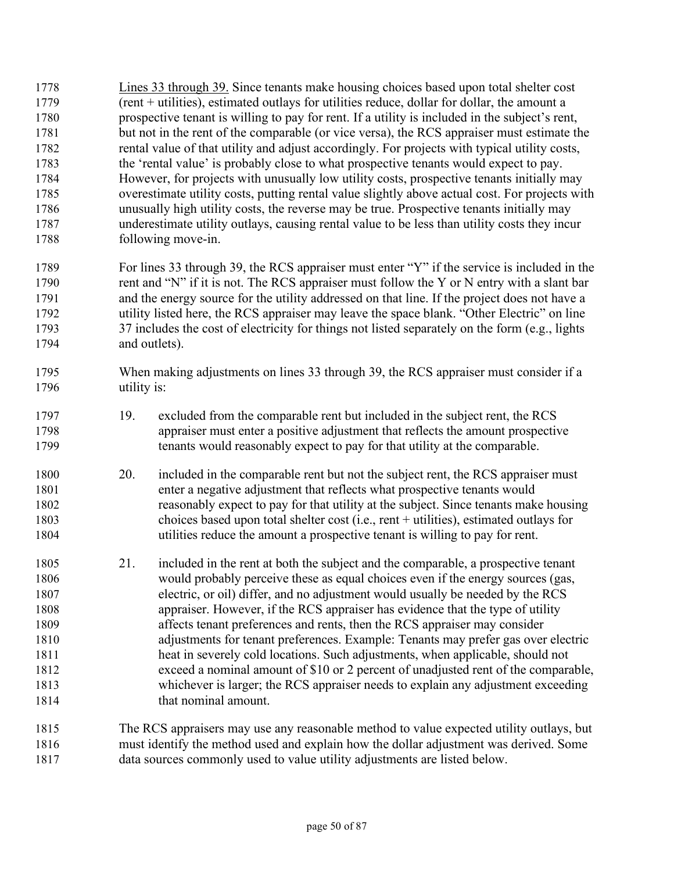Lines 33 through 39. Since tenants make housing choices based upon total shelter cost (rent + utilities), estimated outlays for utilities reduce, dollar for dollar, the amount a prospective tenant is willing to pay for rent. If a utility is included in the subject's rent, but not in the rent of the comparable (or vice versa), the RCS appraiser must estimate the rental value of that utility and adjust accordingly. For projects with typical utility costs, the 'rental value' is probably close to what prospective tenants would expect to pay. However, for projects with unusually low utility costs, prospective tenants initially may overestimate utility costs, putting rental value slightly above actual cost. For projects with unusually high utility costs, the reverse may be true. Prospective tenants initially may underestimate utility outlays, causing rental value to be less than utility costs they incur following move-in.

For lines 33 through 39, the RCS appraiser must enter "Y" if the service is included in the 1790 rent and "N" if it is not. The RCS appraiser must follow the Y or N entry with a slant bar and the energy source for the utility addressed on that line. If the project does not have a utility listed here, the RCS appraiser may leave the space blank. "Other Electric" on line 1793 37 includes the cost of electricity for things not listed separately on the form (e.g., lights and outlets).

- When making adjustments on lines 33 through 39, the RCS appraiser must consider if a utility is:
- 19. excluded from the comparable rent but included in the subject rent, the RCS appraiser must enter a positive adjustment that reflects the amount prospective tenants would reasonably expect to pay for that utility at the comparable.
- 20. included in the comparable rent but not the subject rent, the RCS appraiser must enter a negative adjustment that reflects what prospective tenants would reasonably expect to pay for that utility at the subject. Since tenants make housing choices based upon total shelter cost (i.e., rent + utilities), estimated outlays for utilities reduce the amount a prospective tenant is willing to pay for rent.
- 21. included in the rent at both the subject and the comparable, a prospective tenant would probably perceive these as equal choices even if the energy sources (gas, electric, or oil) differ, and no adjustment would usually be needed by the RCS appraiser. However, if the RCS appraiser has evidence that the type of utility affects tenant preferences and rents, then the RCS appraiser may consider adjustments for tenant preferences. Example: Tenants may prefer gas over electric heat in severely cold locations. Such adjustments, when applicable, should not exceed a nominal amount of \$10 or 2 percent of unadjusted rent of the comparable, whichever is larger; the RCS appraiser needs to explain any adjustment exceeding 1814 that nominal amount.
- The RCS appraisers may use any reasonable method to value expected utility outlays, but must identify the method used and explain how the dollar adjustment was derived. Some data sources commonly used to value utility adjustments are listed below.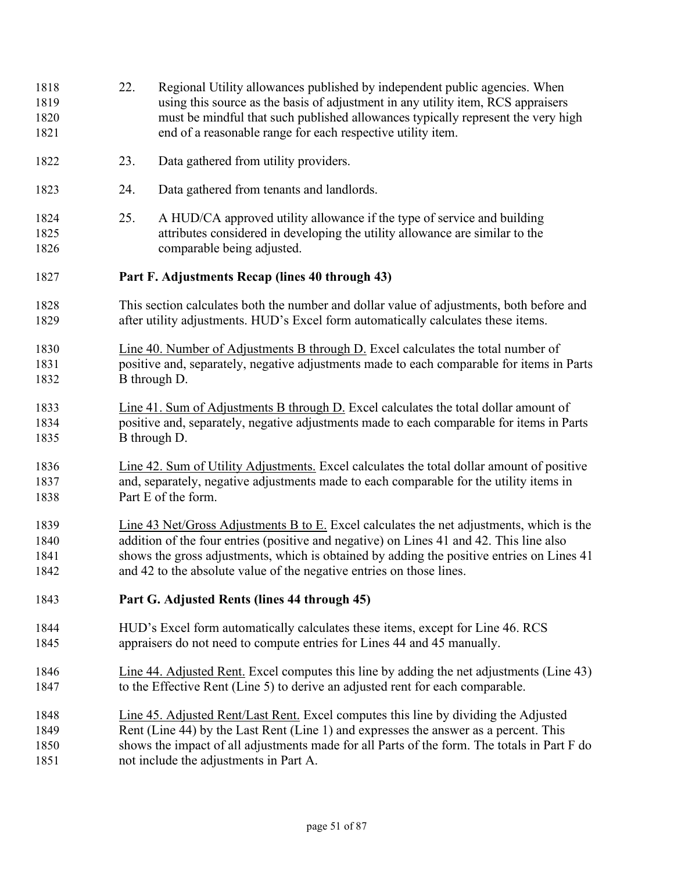| 1818<br>1819<br>1820<br>1821 | 22.                                                                                                                                                                                                        | Regional Utility allowances published by independent public agencies. When<br>using this source as the basis of adjustment in any utility item, RCS appraisers<br>must be mindful that such published allowances typically represent the very high<br>end of a reasonable range for each respective utility item.                                       |  |  |  |  |
|------------------------------|------------------------------------------------------------------------------------------------------------------------------------------------------------------------------------------------------------|---------------------------------------------------------------------------------------------------------------------------------------------------------------------------------------------------------------------------------------------------------------------------------------------------------------------------------------------------------|--|--|--|--|
| 1822                         | 23.                                                                                                                                                                                                        | Data gathered from utility providers.                                                                                                                                                                                                                                                                                                                   |  |  |  |  |
| 1823                         | 24.                                                                                                                                                                                                        | Data gathered from tenants and landlords.                                                                                                                                                                                                                                                                                                               |  |  |  |  |
| 1824<br>1825<br>1826         | 25.                                                                                                                                                                                                        | A HUD/CA approved utility allowance if the type of service and building<br>attributes considered in developing the utility allowance are similar to the<br>comparable being adjusted.                                                                                                                                                                   |  |  |  |  |
| 1827                         |                                                                                                                                                                                                            | Part F. Adjustments Recap (lines 40 through 43)                                                                                                                                                                                                                                                                                                         |  |  |  |  |
| 1828<br>1829                 |                                                                                                                                                                                                            | This section calculates both the number and dollar value of adjustments, both before and<br>after utility adjustments. HUD's Excel form automatically calculates these items.                                                                                                                                                                           |  |  |  |  |
| 1830<br>1831<br>1832         |                                                                                                                                                                                                            | Line 40. Number of Adjustments B through D. Excel calculates the total number of<br>positive and, separately, negative adjustments made to each comparable for items in Parts<br>B through D.                                                                                                                                                           |  |  |  |  |
| 1833<br>1834<br>1835         |                                                                                                                                                                                                            | Line 41. Sum of Adjustments B through D. Excel calculates the total dollar amount of<br>positive and, separately, negative adjustments made to each comparable for items in Parts<br>B through D.                                                                                                                                                       |  |  |  |  |
| 1836<br>1837<br>1838         | Line 42. Sum of Utility Adjustments. Excel calculates the total dollar amount of positive<br>and, separately, negative adjustments made to each comparable for the utility items in<br>Part E of the form. |                                                                                                                                                                                                                                                                                                                                                         |  |  |  |  |
| 1839<br>1840<br>1841<br>1842 |                                                                                                                                                                                                            | Line 43 Net/Gross Adjustments B to E. Excel calculates the net adjustments, which is the<br>addition of the four entries (positive and negative) on Lines 41 and 42. This line also<br>shows the gross adjustments, which is obtained by adding the positive entries on Lines 41<br>and 42 to the absolute value of the negative entries on those lines |  |  |  |  |
| 1843                         |                                                                                                                                                                                                            | Part G. Adjusted Rents (lines 44 through 45)                                                                                                                                                                                                                                                                                                            |  |  |  |  |
| 1844<br>1845                 |                                                                                                                                                                                                            | HUD's Excel form automatically calculates these items, except for Line 46. RCS<br>appraisers do not need to compute entries for Lines 44 and 45 manually.                                                                                                                                                                                               |  |  |  |  |
| 1846<br>1847                 |                                                                                                                                                                                                            | Line 44. Adjusted Rent. Excel computes this line by adding the net adjustments (Line 43)<br>to the Effective Rent (Line 5) to derive an adjusted rent for each comparable.                                                                                                                                                                              |  |  |  |  |
| 1848<br>1849<br>1850<br>1851 |                                                                                                                                                                                                            | Line 45. Adjusted Rent/Last Rent. Excel computes this line by dividing the Adjusted<br>Rent (Line 44) by the Last Rent (Line 1) and expresses the answer as a percent. This<br>shows the impact of all adjustments made for all Parts of the form. The totals in Part F do<br>not include the adjustments in Part A.                                    |  |  |  |  |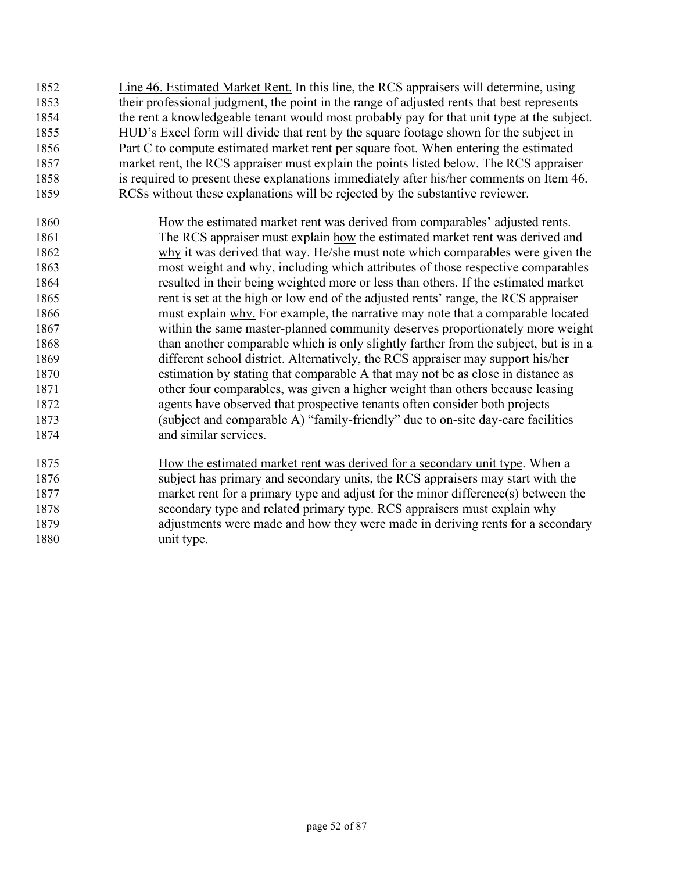- Line 46. Estimated Market Rent. In this line, the RCS appraisers will determine, using their professional judgment, the point in the range of adjusted rents that best represents the rent a knowledgeable tenant would most probably pay for that unit type at the subject. HUD's Excel form will divide that rent by the square footage shown for the subject in Part C to compute estimated market rent per square foot. When entering the estimated market rent, the RCS appraiser must explain the points listed below. The RCS appraiser is required to present these explanations immediately after his/her comments on Item 46. RCSs without these explanations will be rejected by the substantive reviewer.
- How the estimated market rent was derived from comparables' adjusted rents. The RCS appraiser must explain how the estimated market rent was derived and why it was derived that way. He/she must note which comparables were given the most weight and why, including which attributes of those respective comparables resulted in their being weighted more or less than others. If the estimated market rent is set at the high or low end of the adjusted rents' range, the RCS appraiser must explain why. For example, the narrative may note that a comparable located within the same master-planned community deserves proportionately more weight 1868 than another comparable which is only slightly farther from the subject, but is in a different school district. Alternatively, the RCS appraiser may support his/her estimation by stating that comparable A that may not be as close in distance as other four comparables, was given a higher weight than others because leasing agents have observed that prospective tenants often consider both projects (subject and comparable A) "family-friendly" due to on-site day-care facilities and similar services.
- How the estimated market rent was derived for a secondary unit type. When a subject has primary and secondary units, the RCS appraisers may start with the market rent for a primary type and adjust for the minor difference(s) between the secondary type and related primary type. RCS appraisers must explain why adjustments were made and how they were made in deriving rents for a secondary unit type.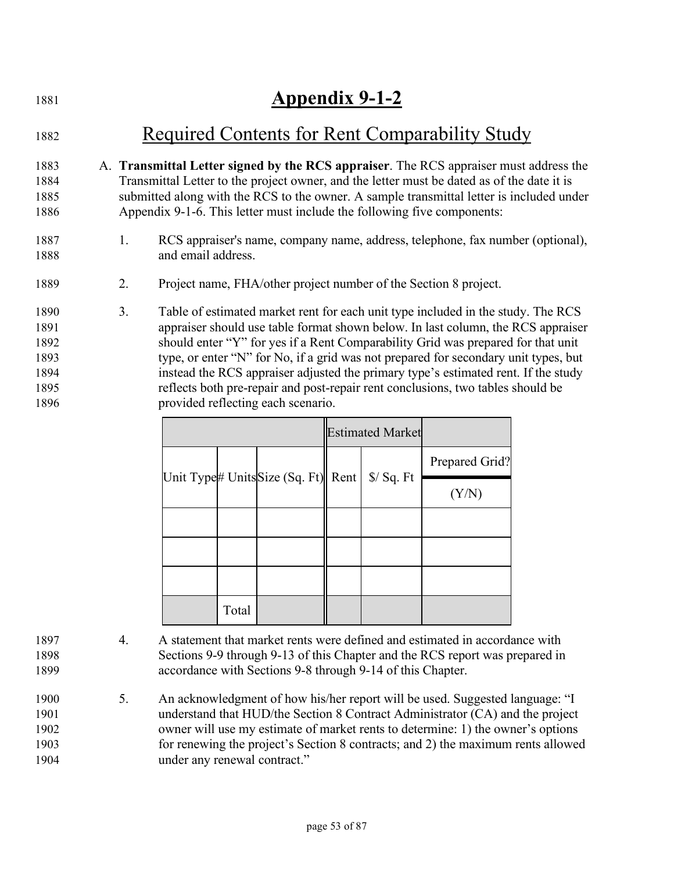| 1881                                         | <b>Appendix 9-1-2</b>                                                                                                                                                                                                                                                                                                                                                                                                                                                                                                          |
|----------------------------------------------|--------------------------------------------------------------------------------------------------------------------------------------------------------------------------------------------------------------------------------------------------------------------------------------------------------------------------------------------------------------------------------------------------------------------------------------------------------------------------------------------------------------------------------|
| 1882                                         | Required Contents for Rent Comparability Study                                                                                                                                                                                                                                                                                                                                                                                                                                                                                 |
| 1883<br>1884<br>1885<br>1886                 | A. Transmittal Letter signed by the RCS appraiser. The RCS appraiser must address the<br>Transmittal Letter to the project owner, and the letter must be dated as of the date it is<br>submitted along with the RCS to the owner. A sample transmittal letter is included under<br>Appendix 9-1-6. This letter must include the following five components:                                                                                                                                                                     |
| 1887<br>1888                                 | RCS appraiser's name, company name, address, telephone, fax number (optional),<br>1.<br>and email address.                                                                                                                                                                                                                                                                                                                                                                                                                     |
| 1889                                         | 2.<br>Project name, FHA/other project number of the Section 8 project.                                                                                                                                                                                                                                                                                                                                                                                                                                                         |
| 1890<br>1891<br>1892<br>1893<br>1894<br>1895 | Table of estimated market rent for each unit type included in the study. The RCS<br>3.<br>appraiser should use table format shown below. In last column, the RCS appraiser<br>should enter "Y" for yes if a Rent Comparability Grid was prepared for that unit<br>type, or enter "N" for No, if a grid was not prepared for secondary unit types, but<br>instead the RCS appraiser adjusted the primary type's estimated rent. If the study<br>reflects both pre-repair and post-repair rent conclusions, two tables should be |
| 1896                                         | provided reflecting each scenario.                                                                                                                                                                                                                                                                                                                                                                                                                                                                                             |

|       |                                    | <b>Estimated Market</b> |                     |                |
|-------|------------------------------------|-------------------------|---------------------|----------------|
|       |                                    |                         |                     | Prepared Grid? |
|       | Unit Type# UnitsSize (Sq. Ft) Rent |                         | $\sqrt{$}$ / Sq. Ft | (Y/N)          |
|       |                                    |                         |                     |                |
|       |                                    |                         |                     |                |
|       |                                    |                         |                     |                |
| Total |                                    |                         |                     |                |

4. A statement that market rents were defined and estimated in accordance with Sections 9-9 through 9-13 of this Chapter and the RCS report was prepared in accordance with Sections 9-8 through 9-14 of this Chapter.

5. An acknowledgment of how his/her report will be used. Suggested language: "I understand that HUD/the Section 8 Contract Administrator (CA) and the project owner will use my estimate of market rents to determine: 1) the owner's options for renewing the project's Section 8 contracts; and 2) the maximum rents allowed under any renewal contract."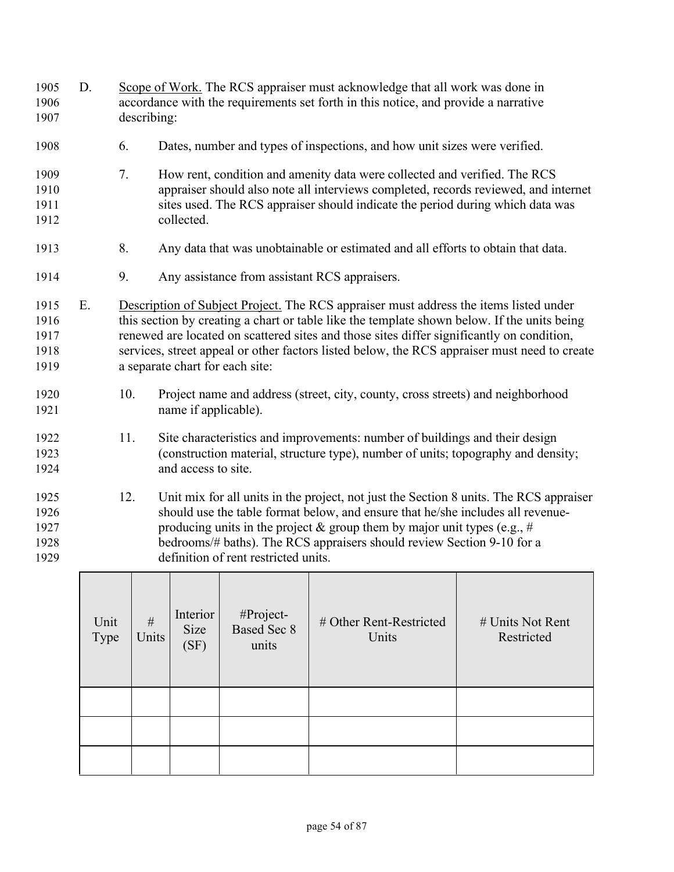| 1905<br>1906<br>1907                 | D. |     | describing:                                                                                                                                                                                                                                                                                                                                                                | Scope of Work. The RCS appraiser must acknowledge that all work was done in<br>accordance with the requirements set forth in this notice, and provide a narrative                                                                                                                                                                                                                                                    |                                                                                  |  |  |  |  |  |  |
|--------------------------------------|----|-----|----------------------------------------------------------------------------------------------------------------------------------------------------------------------------------------------------------------------------------------------------------------------------------------------------------------------------------------------------------------------------|----------------------------------------------------------------------------------------------------------------------------------------------------------------------------------------------------------------------------------------------------------------------------------------------------------------------------------------------------------------------------------------------------------------------|----------------------------------------------------------------------------------|--|--|--|--|--|--|
| 1908                                 |    | 6.  |                                                                                                                                                                                                                                                                                                                                                                            |                                                                                                                                                                                                                                                                                                                                                                                                                      | Dates, number and types of inspections, and how unit sizes were verified.        |  |  |  |  |  |  |
| 1909<br>1910<br>1911<br>1912         |    | 7.  | collected.                                                                                                                                                                                                                                                                                                                                                                 | How rent, condition and amenity data were collected and verified. The RCS<br>appraiser should also note all interviews completed, records reviewed, and internet<br>sites used. The RCS appraiser should indicate the period during which data was                                                                                                                                                                   |                                                                                  |  |  |  |  |  |  |
| 1913                                 |    | 8.  |                                                                                                                                                                                                                                                                                                                                                                            |                                                                                                                                                                                                                                                                                                                                                                                                                      | Any data that was unobtainable or estimated and all efforts to obtain that data. |  |  |  |  |  |  |
| 1914                                 |    | 9.  |                                                                                                                                                                                                                                                                                                                                                                            |                                                                                                                                                                                                                                                                                                                                                                                                                      | Any assistance from assistant RCS appraisers.                                    |  |  |  |  |  |  |
| 1915<br>1916<br>1917<br>1918<br>1919 | E. |     |                                                                                                                                                                                                                                                                                                                                                                            | Description of Subject Project. The RCS appraiser must address the items listed under<br>this section by creating a chart or table like the template shown below. If the units being<br>renewed are located on scattered sites and those sites differ significantly on condition,<br>services, street appeal or other factors listed below, the RCS appraiser must need to create<br>a separate chart for each site: |                                                                                  |  |  |  |  |  |  |
| 1920<br>1921                         |    | 10. |                                                                                                                                                                                                                                                                                                                                                                            | Project name and address (street, city, county, cross streets) and neighborhood<br>name if applicable).                                                                                                                                                                                                                                                                                                              |                                                                                  |  |  |  |  |  |  |
| 1922<br>1923<br>1924                 |    | 11. | Site characteristics and improvements: number of buildings and their design<br>(construction material, structure type), number of units; topography and density;<br>and access to site.                                                                                                                                                                                    |                                                                                                                                                                                                                                                                                                                                                                                                                      |                                                                                  |  |  |  |  |  |  |
| 1925<br>1926<br>1927<br>1928<br>1929 |    | 12. | Unit mix for all units in the project, not just the Section 8 units. The RCS appraiser<br>should use the table format below, and ensure that he/she includes all revenue-<br>producing units in the project $\&$ group them by major unit types (e.g., #<br>bedrooms/# baths). The RCS appraisers should review Section 9-10 for a<br>definition of rent restricted units. |                                                                                                                                                                                                                                                                                                                                                                                                                      |                                                                                  |  |  |  |  |  |  |
|                                      |    |     |                                                                                                                                                                                                                                                                                                                                                                            |                                                                                                                                                                                                                                                                                                                                                                                                                      |                                                                                  |  |  |  |  |  |  |

| Unit<br>Type | $\#$<br>Units | Interior<br>Size<br>(SF) | #Project-<br><b>Based Sec 8</b><br>units | # Other Rent-Restricted<br>Units | # Units Not Rent<br>Restricted |
|--------------|---------------|--------------------------|------------------------------------------|----------------------------------|--------------------------------|
|              |               |                          |                                          |                                  |                                |
|              |               |                          |                                          |                                  |                                |
|              |               |                          |                                          |                                  |                                |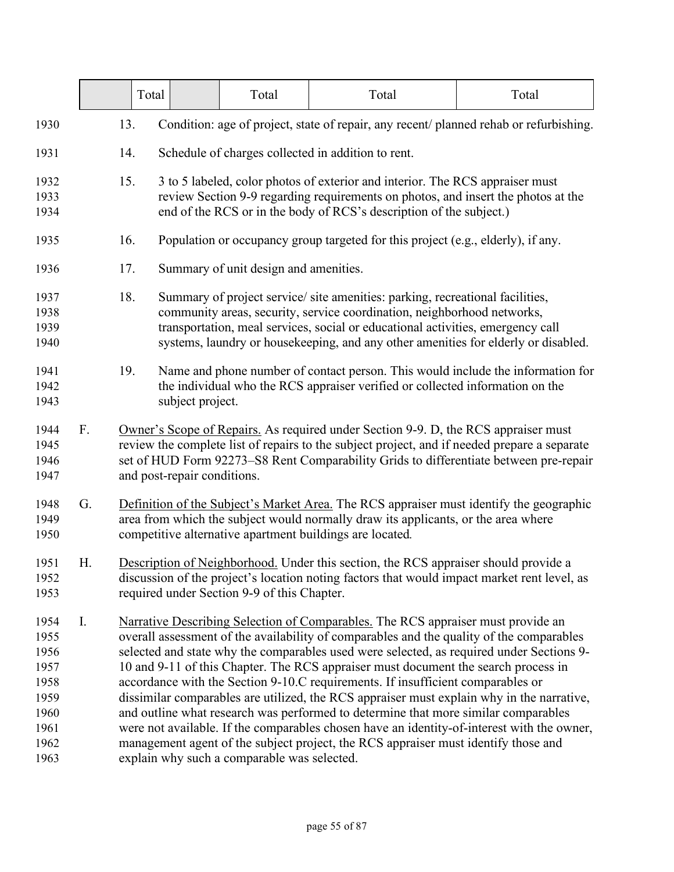|                                                                              |    | Total |                                                                                                                                                                                                                                                                                                            | Total                                       | Total                                                                                                                                                                                                                                                                                                                                                                                                                                                                                                                                                                                                                                                                                                                                                                                                                    | Total |  |  |
|------------------------------------------------------------------------------|----|-------|------------------------------------------------------------------------------------------------------------------------------------------------------------------------------------------------------------------------------------------------------------------------------------------------------------|---------------------------------------------|--------------------------------------------------------------------------------------------------------------------------------------------------------------------------------------------------------------------------------------------------------------------------------------------------------------------------------------------------------------------------------------------------------------------------------------------------------------------------------------------------------------------------------------------------------------------------------------------------------------------------------------------------------------------------------------------------------------------------------------------------------------------------------------------------------------------------|-------|--|--|
| 1930                                                                         |    | 13.   |                                                                                                                                                                                                                                                                                                            |                                             | Condition: age of project, state of repair, any recent/ planned rehab or refurbishing.                                                                                                                                                                                                                                                                                                                                                                                                                                                                                                                                                                                                                                                                                                                                   |       |  |  |
| 1931                                                                         |    | 14.   | Schedule of charges collected in addition to rent.                                                                                                                                                                                                                                                         |                                             |                                                                                                                                                                                                                                                                                                                                                                                                                                                                                                                                                                                                                                                                                                                                                                                                                          |       |  |  |
| 1932<br>1933<br>1934                                                         |    | 15.   | 3 to 5 labeled, color photos of exterior and interior. The RCS appraiser must<br>review Section 9-9 regarding requirements on photos, and insert the photos at the<br>end of the RCS or in the body of RCS's description of the subject.)                                                                  |                                             |                                                                                                                                                                                                                                                                                                                                                                                                                                                                                                                                                                                                                                                                                                                                                                                                                          |       |  |  |
| 1935                                                                         |    | 16.   |                                                                                                                                                                                                                                                                                                            |                                             | Population or occupancy group targeted for this project (e.g., elderly), if any.                                                                                                                                                                                                                                                                                                                                                                                                                                                                                                                                                                                                                                                                                                                                         |       |  |  |
| 1936                                                                         |    | 17.   |                                                                                                                                                                                                                                                                                                            | Summary of unit design and amenities.       |                                                                                                                                                                                                                                                                                                                                                                                                                                                                                                                                                                                                                                                                                                                                                                                                                          |       |  |  |
| 1937<br>1938<br>1939<br>1940                                                 |    | 18.   |                                                                                                                                                                                                                                                                                                            |                                             | Summary of project service/ site amenities: parking, recreational facilities,<br>community areas, security, service coordination, neighborhood networks,<br>transportation, meal services, social or educational activities, emergency call<br>systems, laundry or housekeeping, and any other amenities for elderly or disabled.                                                                                                                                                                                                                                                                                                                                                                                                                                                                                        |       |  |  |
| 1941<br>1942<br>1943                                                         |    | 19.   | subject project.                                                                                                                                                                                                                                                                                           |                                             | Name and phone number of contact person. This would include the information for<br>the individual who the RCS appraiser verified or collected information on the                                                                                                                                                                                                                                                                                                                                                                                                                                                                                                                                                                                                                                                         |       |  |  |
| 1944<br>1945<br>1946<br>1947                                                 | F. |       | Owner's Scope of Repairs. As required under Section 9-9. D, the RCS appraiser must<br>review the complete list of repairs to the subject project, and if needed prepare a separate<br>set of HUD Form 92273–S8 Rent Comparability Grids to differentiate between pre-repair<br>and post-repair conditions. |                                             |                                                                                                                                                                                                                                                                                                                                                                                                                                                                                                                                                                                                                                                                                                                                                                                                                          |       |  |  |
| 1948<br>1949<br>1950                                                         | G. |       | Definition of the Subject's Market Area. The RCS appraiser must identify the geographic<br>area from which the subject would normally draw its applicants, or the area where<br>competitive alternative apartment buildings are located.                                                                   |                                             |                                                                                                                                                                                                                                                                                                                                                                                                                                                                                                                                                                                                                                                                                                                                                                                                                          |       |  |  |
| 1951<br>1952<br>1953                                                         | Η. |       | Description of Neighborhood. Under this section, the RCS appraiser should provide a<br>discussion of the project's location noting factors that would impact market rent level, as<br>required under Section 9-9 of this Chapter.                                                                          |                                             |                                                                                                                                                                                                                                                                                                                                                                                                                                                                                                                                                                                                                                                                                                                                                                                                                          |       |  |  |
| 1954<br>1955<br>1956<br>1957<br>1958<br>1959<br>1960<br>1961<br>1962<br>1963 | I. |       |                                                                                                                                                                                                                                                                                                            | explain why such a comparable was selected. | Narrative Describing Selection of Comparables. The RCS appraiser must provide an<br>overall assessment of the availability of comparables and the quality of the comparables<br>selected and state why the comparables used were selected, as required under Sections 9-<br>10 and 9-11 of this Chapter. The RCS appraiser must document the search process in<br>accordance with the Section 9-10.C requirements. If insufficient comparables or<br>dissimilar comparables are utilized, the RCS appraiser must explain why in the narrative,<br>and outline what research was performed to determine that more similar comparables<br>were not available. If the comparables chosen have an identity-of-interest with the owner,<br>management agent of the subject project, the RCS appraiser must identify those and |       |  |  |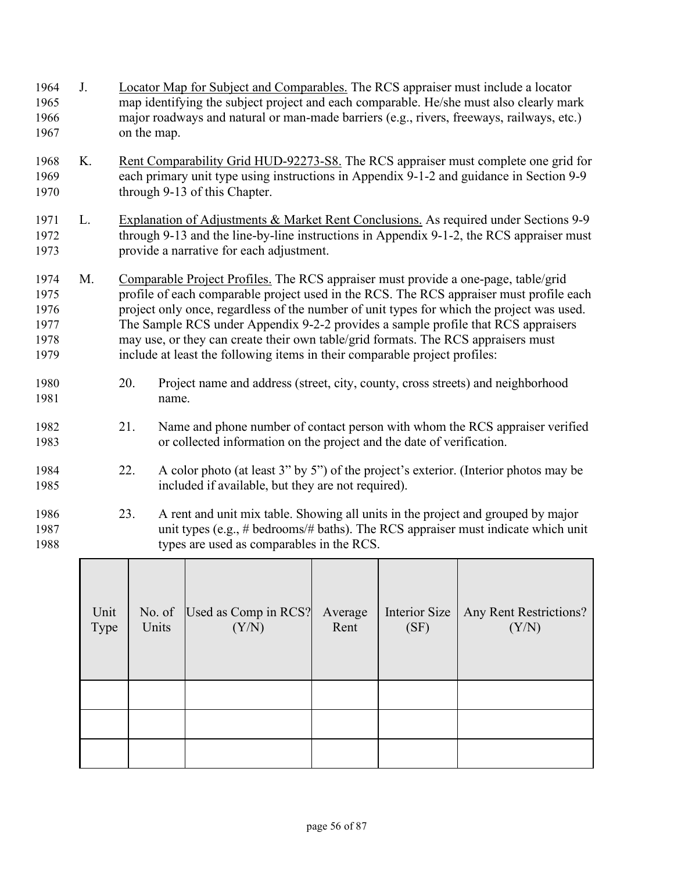| 1964<br>1965<br>1966<br>1967                 | J. | on the map. | Locator Map for Subject and Comparables. The RCS appraiser must include a locator<br>map identifying the subject project and each comparable. He/she must also clearly mark<br>major roadways and natural or man-made barriers (e.g., rivers, freeways, railways, etc.)                                                                                                                                                                                                                                                            |  |  |
|----------------------------------------------|----|-------------|------------------------------------------------------------------------------------------------------------------------------------------------------------------------------------------------------------------------------------------------------------------------------------------------------------------------------------------------------------------------------------------------------------------------------------------------------------------------------------------------------------------------------------|--|--|
| 1968<br>1969<br>1970                         | K. |             | Rent Comparability Grid HUD-92273-S8. The RCS appraiser must complete one grid for<br>each primary unit type using instructions in Appendix 9-1-2 and guidance in Section 9-9<br>through 9-13 of this Chapter.                                                                                                                                                                                                                                                                                                                     |  |  |
| 1971<br>1972<br>1973                         | L. |             | Explanation of Adjustments & Market Rent Conclusions. As required under Sections 9-9<br>through 9-13 and the line-by-line instructions in Appendix 9-1-2, the RCS appraiser must<br>provide a narrative for each adjustment.                                                                                                                                                                                                                                                                                                       |  |  |
| 1974<br>1975<br>1976<br>1977<br>1978<br>1979 | M. |             | Comparable Project Profiles. The RCS appraiser must provide a one-page, table/grid<br>profile of each comparable project used in the RCS. The RCS appraiser must profile each<br>project only once, regardless of the number of unit types for which the project was used.<br>The Sample RCS under Appendix 9-2-2 provides a sample profile that RCS appraisers<br>may use, or they can create their own table/grid formats. The RCS appraisers must<br>include at least the following items in their comparable project profiles: |  |  |
| 1980<br>1981                                 |    | 20.         | Project name and address (street, city, county, cross streets) and neighborhood<br>name.                                                                                                                                                                                                                                                                                                                                                                                                                                           |  |  |
| 1982<br>1983                                 |    | 21.         | Name and phone number of contact person with whom the RCS appraiser verified<br>or collected information on the project and the date of verification.                                                                                                                                                                                                                                                                                                                                                                              |  |  |
| 1984<br>1985                                 |    | 22.         | A color photo (at least 3" by 5") of the project's exterior. (Interior photos may be<br>included if available, but they are not required).                                                                                                                                                                                                                                                                                                                                                                                         |  |  |
| 1986<br>1987<br>1988                         |    | 23.         | A rent and unit mix table. Showing all units in the project and grouped by major<br>unit types (e.g., # bedrooms/# baths). The RCS appraiser must indicate which unit<br>types are used as comparables in the RCS.                                                                                                                                                                                                                                                                                                                 |  |  |

| Unit<br>Type | No. of<br>Units | Used as Comp in RCS?<br>(Y/N) | Average<br>Rent | Interior Size<br>(SF) | Any Rent Restrictions?<br>(Y/N) |
|--------------|-----------------|-------------------------------|-----------------|-----------------------|---------------------------------|
|              |                 |                               |                 |                       |                                 |
|              |                 |                               |                 |                       |                                 |
|              |                 |                               |                 |                       |                                 |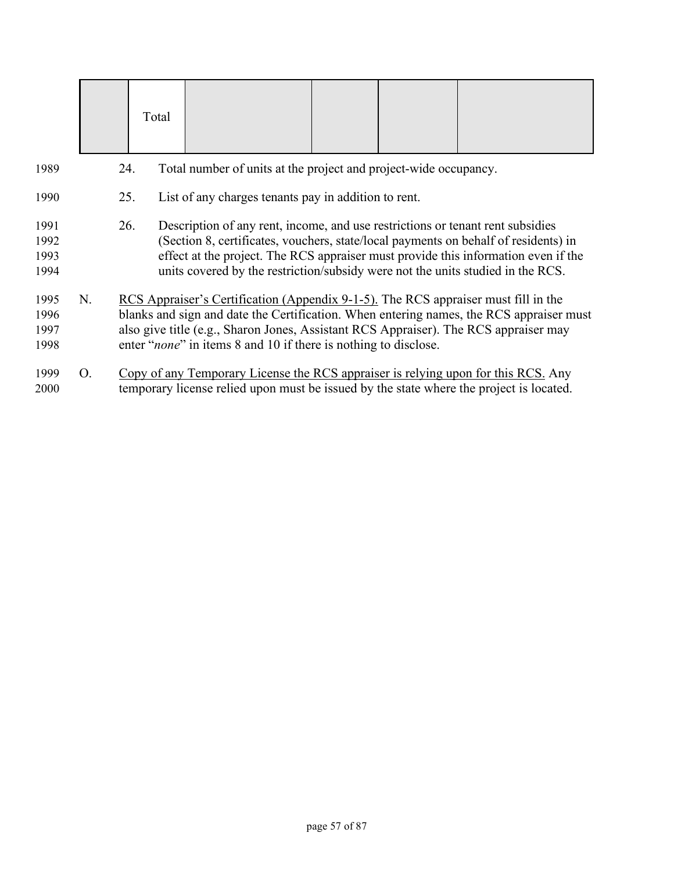|                              |    | Total |                                                                                                                                                                                                                                                          |  |                                                                                         |
|------------------------------|----|-------|----------------------------------------------------------------------------------------------------------------------------------------------------------------------------------------------------------------------------------------------------------|--|-----------------------------------------------------------------------------------------|
| 1989                         |    | 24.   | Total number of units at the project and project-wide occupancy.                                                                                                                                                                                         |  |                                                                                         |
| 1990                         |    | 25.   | List of any charges tenants pay in addition to rent.                                                                                                                                                                                                     |  |                                                                                         |
| 1991<br>1992<br>1993<br>1994 |    | 26.   | Description of any rent, income, and use restrictions or tenant rent subsidies<br>(Section 8, certificates, vouchers, state/local payments on behalf of residents) in<br>units covered by the restriction/subsidy were not the units studied in the RCS. |  | effect at the project. The RCS appraiser must provide this information even if the      |
| 1995<br>1996<br>1997<br>1998 | N. |       | RCS Appraiser's Certification (Appendix 9-1-5). The RCS appraiser must fill in the<br>also give title (e.g., Sharon Jones, Assistant RCS Appraiser). The RCS appraiser may<br>enter " <i>none</i> " in items 8 and 10 if there is nothing to disclose.   |  | blanks and sign and date the Certification. When entering names, the RCS appraiser must |
| 1999<br>2000                 | O. |       | Copy of any Temporary License the RCS appraiser is relying upon for this RCS. Any<br>temporary license relied upon must be issued by the state where the project is located.                                                                             |  |                                                                                         |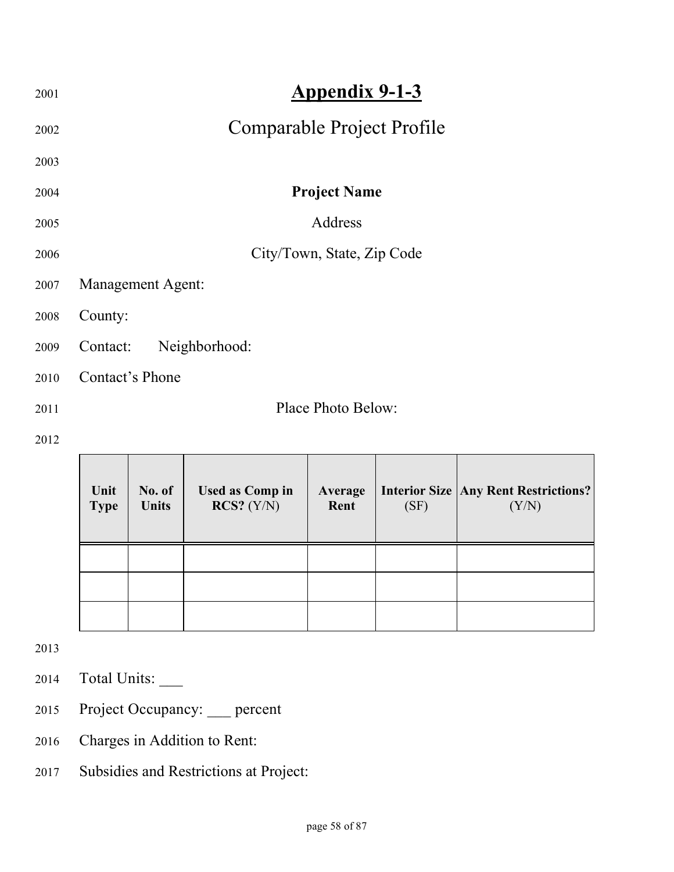| 2001 | <b>Appendix 9-1-3</b>      |
|------|----------------------------|
| 2002 | Comparable Project Profile |
| 2003 |                            |
| 2004 | <b>Project Name</b>        |
| 2005 | Address                    |
| 2006 | City/Town, State, Zip Code |
| 2007 | <b>Management Agent:</b>   |
| 2008 | County:                    |
| 2009 | Neighborhood:<br>Contact:  |
| 2010 | Contact's Phone            |
| 2011 | Place Photo Below:         |
| 2012 |                            |

| Unit<br><b>Type</b> | No. of<br><b>Units</b> | <b>Used as Comp in</b><br>$RCS?$ $(Y/N)$ | Average<br>Rent | (SF) | <b>Interior Size   Any Rent Restrictions?  </b><br>(Y/N) |
|---------------------|------------------------|------------------------------------------|-----------------|------|----------------------------------------------------------|
|                     |                        |                                          |                 |      |                                                          |
|                     |                        |                                          |                 |      |                                                          |
|                     |                        |                                          |                 |      |                                                          |

 $\overline{\phantom{0}}$ 

2013

- 2014 Total Units: \_\_\_
- 2015 Project Occupancy: \_\_\_ percent
- 2016 Charges in Addition to Rent:
- 2017 Subsidies and Restrictions at Project: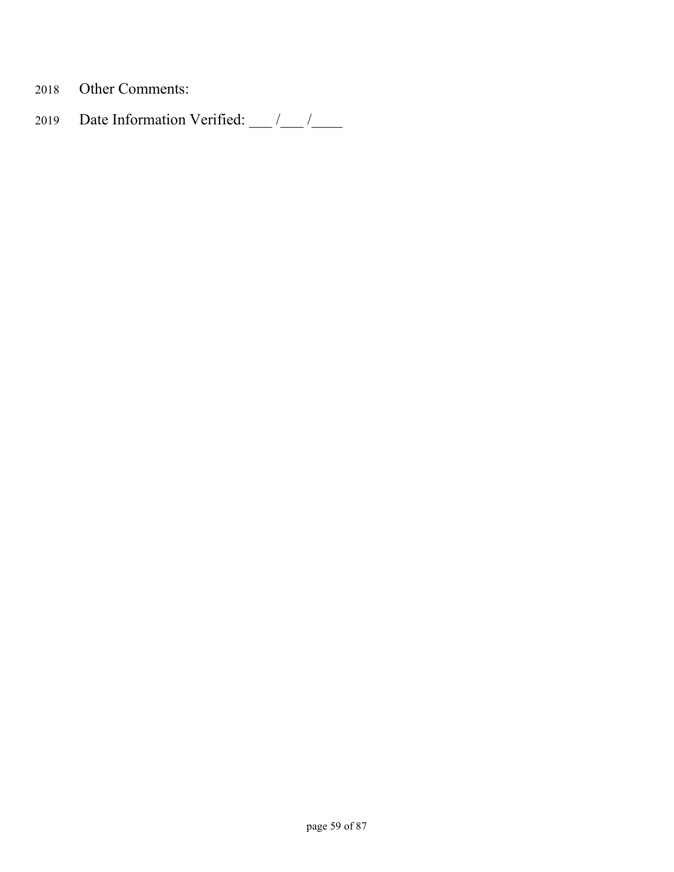- 2018 Other Comments:
- 2019 Date Information Verified:  $\frac{1}{\sqrt{2\pi}}$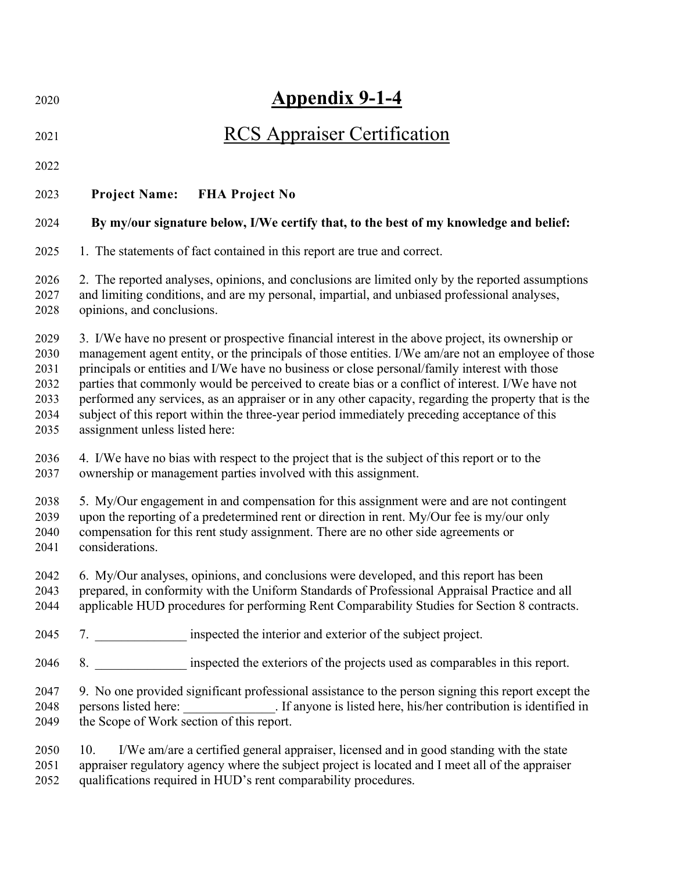| 2020                                                 | <b>Appendix 9-1-4</b>                                                                                                                                                                                                                                                                                                                                                                                                                                                                                                                                                                                                                                 |
|------------------------------------------------------|-------------------------------------------------------------------------------------------------------------------------------------------------------------------------------------------------------------------------------------------------------------------------------------------------------------------------------------------------------------------------------------------------------------------------------------------------------------------------------------------------------------------------------------------------------------------------------------------------------------------------------------------------------|
| 2021                                                 | <b>RCS Appraiser Certification</b>                                                                                                                                                                                                                                                                                                                                                                                                                                                                                                                                                                                                                    |
| 2022                                                 |                                                                                                                                                                                                                                                                                                                                                                                                                                                                                                                                                                                                                                                       |
| 2023                                                 | <b>Project Name:</b><br><b>FHA Project No</b>                                                                                                                                                                                                                                                                                                                                                                                                                                                                                                                                                                                                         |
| 2024                                                 | By my/our signature below, I/We certify that, to the best of my knowledge and belief:                                                                                                                                                                                                                                                                                                                                                                                                                                                                                                                                                                 |
| 2025                                                 | 1. The statements of fact contained in this report are true and correct.                                                                                                                                                                                                                                                                                                                                                                                                                                                                                                                                                                              |
| 2026<br>2027<br>2028                                 | 2. The reported analyses, opinions, and conclusions are limited only by the reported assumptions<br>and limiting conditions, and are my personal, impartial, and unbiased professional analyses,<br>opinions, and conclusions.                                                                                                                                                                                                                                                                                                                                                                                                                        |
| 2029<br>2030<br>2031<br>2032<br>2033<br>2034<br>2035 | 3. I/We have no present or prospective financial interest in the above project, its ownership or<br>management agent entity, or the principals of those entities. I/We am/are not an employee of those<br>principals or entities and I/We have no business or close personal/family interest with those<br>parties that commonly would be perceived to create bias or a conflict of interest. I/We have not<br>performed any services, as an appraiser or in any other capacity, regarding the property that is the<br>subject of this report within the three-year period immediately preceding acceptance of this<br>assignment unless listed here: |
| 2036<br>2037                                         | 4. I/We have no bias with respect to the project that is the subject of this report or to the<br>ownership or management parties involved with this assignment.                                                                                                                                                                                                                                                                                                                                                                                                                                                                                       |
| 2038<br>2039<br>2040<br>2041                         | 5. My/Our engagement in and compensation for this assignment were and are not contingent<br>upon the reporting of a predetermined rent or direction in rent. My/Our fee is my/our only<br>compensation for this rent study assignment. There are no other side agreements or<br>considerations.                                                                                                                                                                                                                                                                                                                                                       |
| 2042<br>2043<br>2044                                 | 6. My/Our analyses, opinions, and conclusions were developed, and this report has been<br>prepared, in conformity with the Uniform Standards of Professional Appraisal Practice and all<br>applicable HUD procedures for performing Rent Comparability Studies for Section 8 contracts.                                                                                                                                                                                                                                                                                                                                                               |
| 2045                                                 | 7. ________________ inspected the interior and exterior of the subject project.                                                                                                                                                                                                                                                                                                                                                                                                                                                                                                                                                                       |
| 2046                                                 | 8. _________________ inspected the exteriors of the projects used as comparables in this report.                                                                                                                                                                                                                                                                                                                                                                                                                                                                                                                                                      |
| 2047<br>2048<br>2049                                 | 9. No one provided significant professional assistance to the person signing this report except the<br>persons listed here: _______________. If anyone is listed here, his/her contribution is identified in the Scope of Work section of this report.                                                                                                                                                                                                                                                                                                                                                                                                |
| 2050<br>2051<br>2052                                 | I/We am/are a certified general appraiser, licensed and in good standing with the state<br>10.<br>appraiser regulatory agency where the subject project is located and I meet all of the appraiser<br>qualifications required in HUD's rent comparability procedures.                                                                                                                                                                                                                                                                                                                                                                                 |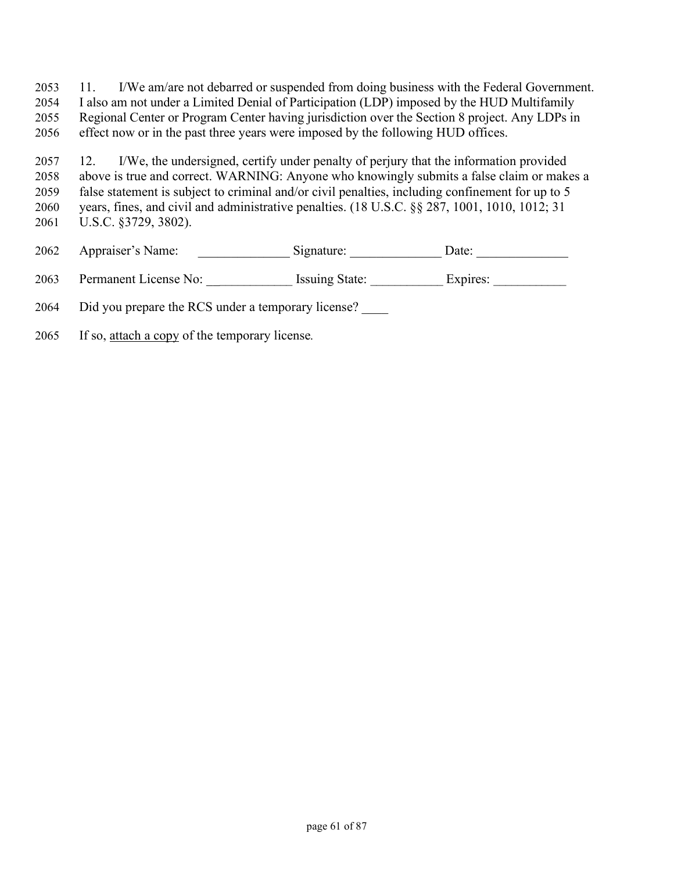11. I/We am/are not debarred or suspended from doing business with the Federal Government. I also am not under a Limited Denial of Participation (LDP) imposed by the HUD Multifamily Regional Center or Program Center having jurisdiction over the Section 8 project. Any LDPs in effect now or in the past three years were imposed by the following HUD offices.

12. I/We, the undersigned, certify under penalty of perjury that the information provided above is true and correct. WARNING: Anyone who knowingly submits a false claim or makes a false statement is subject to criminal and/or civil penalties, including confinement for up to 5 years, fines, and civil and administrative penalties. (18 U.S.C. §§ 287, 1001, 1010, 1012; 31 U.S.C. §3729, 3802).

2062 Appraiser's Name: Signature: Date: Date:

2063 Permanent License No: <br>
Issuing State: Expires:

Did you prepare the RCS under a temporary license? \_\_\_\_

If so, attach a copy of the temporary license*.*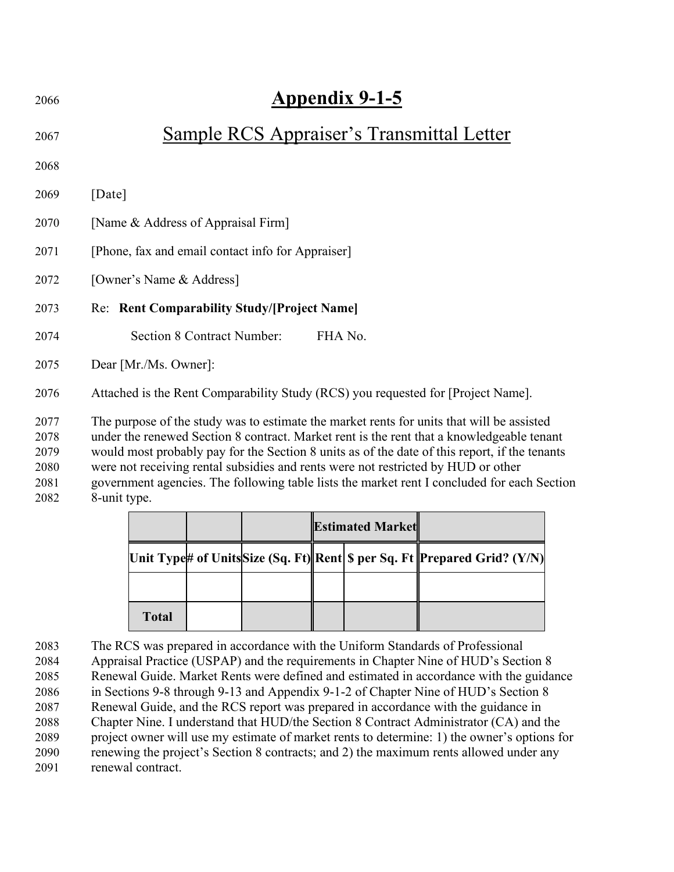| 2066                 | Appendix 9-1-5                                                                                                                                                                                                                                                                          |
|----------------------|-----------------------------------------------------------------------------------------------------------------------------------------------------------------------------------------------------------------------------------------------------------------------------------------|
| 2067                 | Sample RCS Appraiser's Transmittal Letter                                                                                                                                                                                                                                               |
| 2068                 |                                                                                                                                                                                                                                                                                         |
| 2069                 | [Date]                                                                                                                                                                                                                                                                                  |
| 2070                 | [Name & Address of Appraisal Firm]                                                                                                                                                                                                                                                      |
| 2071                 | [Phone, fax and email contact info for Appraiser]                                                                                                                                                                                                                                       |
| 2072                 | [Owner's Name & Address]                                                                                                                                                                                                                                                                |
| 2073                 | Re: Rent Comparability Study/[Project Name]                                                                                                                                                                                                                                             |
| 2074                 | <b>Section 8 Contract Number:</b><br>FHA No.                                                                                                                                                                                                                                            |
| 2075                 | Dear [Mr./Ms. Owner]:                                                                                                                                                                                                                                                                   |
| 2076                 | Attached is the Rent Comparability Study (RCS) you requested for [Project Name].                                                                                                                                                                                                        |
| 2077<br>2078<br>2079 | The purpose of the study was to estimate the market rents for units that will be assisted<br>under the renewed Section 8 contract. Market rent is the rent that a knowledgeable tenant<br>would most probably pay for the Section 8 units as of the date of this report, if the tenants |

were not receiving rental subsidies and rents were not restricted by HUD or other

government agencies. The following table lists the market rent I concluded for each Section 8-unit type.

|              |  | <b>Estimated Market</b> |  |                                                                               |
|--------------|--|-------------------------|--|-------------------------------------------------------------------------------|
|              |  |                         |  | Unit Type# of Units Size (Sq. Ft)  Rent  \$ per Sq. Ft   Prepared Grid? (Y/N) |
|              |  |                         |  |                                                                               |
| <b>Total</b> |  |                         |  |                                                                               |

The RCS was prepared in accordance with the Uniform Standards of Professional Appraisal Practice (USPAP) and the requirements in Chapter Nine of HUD's Section 8 Renewal Guide. Market Rents were defined and estimated in accordance with the guidance in Sections 9-8 through 9-13 and Appendix 9-1-2 of Chapter Nine of HUD's Section 8 Renewal Guide, and the RCS report was prepared in accordance with the guidance in Chapter Nine. I understand that HUD/the Section 8 Contract Administrator (CA) and the project owner will use my estimate of market rents to determine: 1) the owner's options for renewing the project's Section 8 contracts; and 2) the maximum rents allowed under any renewal contract.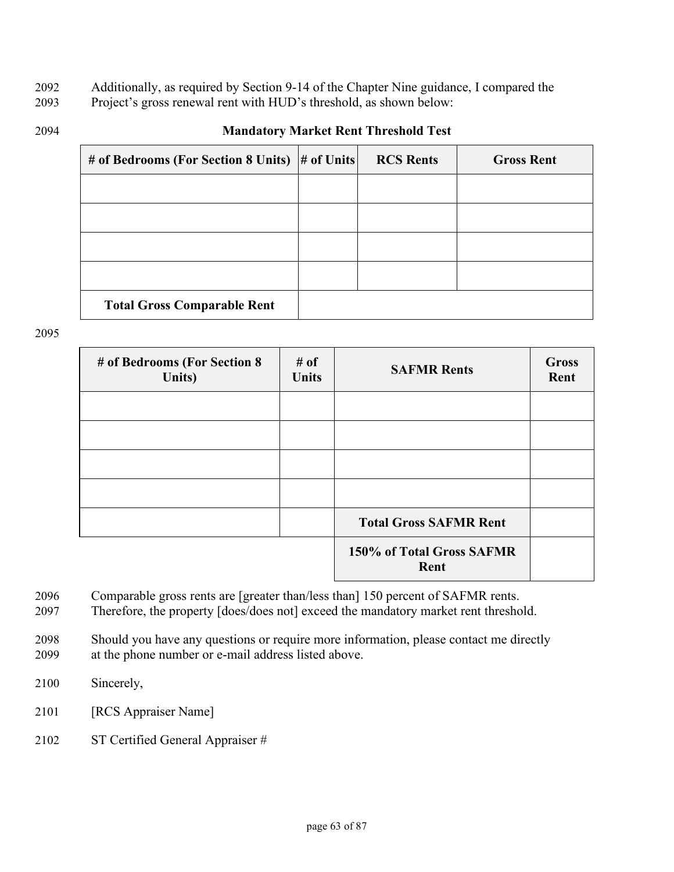- 2092 Additionally, as required by Section 9-14 of the Chapter Nine guidance, I compared the
- 2093 Project's gross renewal rent with HUD's threshold, as shown below:
- 

### 2094 **Mandatory Market Rent Threshold Test**

| # of Bedrooms (For Section 8 Units)  # of Units | <b>RCS Rents</b> | <b>Gross Rent</b> |
|-------------------------------------------------|------------------|-------------------|
|                                                 |                  |                   |
|                                                 |                  |                   |
|                                                 |                  |                   |
|                                                 |                  |                   |
| <b>Total Gross Comparable Rent</b>              |                  |                   |

2095

| # of Bedrooms (For Section 8<br>Units) | # of<br><b>Units</b> | <b>SAFMR Rents</b>                | <b>Gross</b><br>Rent |
|----------------------------------------|----------------------|-----------------------------------|----------------------|
|                                        |                      |                                   |                      |
|                                        |                      |                                   |                      |
|                                        |                      |                                   |                      |
|                                        |                      |                                   |                      |
|                                        |                      | <b>Total Gross SAFMR Rent</b>     |                      |
|                                        |                      | 150% of Total Gross SAFMR<br>Rent |                      |

- 2096 Comparable gross rents are [greater than/less than] 150 percent of SAFMR rents.
- 2097 Therefore, the property [does/does not] exceed the mandatory market rent threshold.
- 2098 Should you have any questions or require more information, please contact me directly 2099 at the phone number or e-mail address listed above.
- 2100 Sincerely,
- 2101 [RCS Appraiser Name]
- 2102 ST Certified General Appraiser #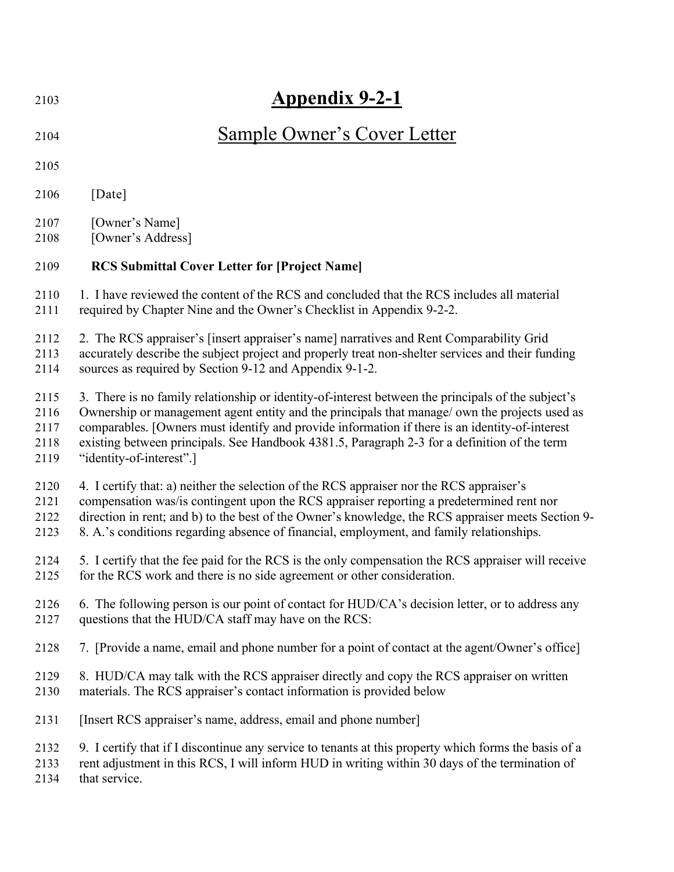| 2103 | <b>Appendix 9-2-1</b>                                                                                 |
|------|-------------------------------------------------------------------------------------------------------|
| 2104 | <b>Sample Owner's Cover Letter</b>                                                                    |
| 2105 |                                                                                                       |
| 2106 | [Date]                                                                                                |
| 2107 | [Owner's Name]                                                                                        |
| 2108 | [Owner's Address]                                                                                     |
| 2109 | <b>RCS Submittal Cover Letter for [Project Name]</b>                                                  |
| 2110 | 1. I have reviewed the content of the RCS and concluded that the RCS includes all material            |
| 2111 | required by Chapter Nine and the Owner's Checklist in Appendix 9-2-2.                                 |
| 2112 | 2. The RCS appraiser's [insert appraiser's name] narratives and Rent Comparability Grid               |
| 2113 | accurately describe the subject project and properly treat non-shelter services and their funding     |
| 2114 | sources as required by Section 9-12 and Appendix 9-1-2.                                               |
| 2115 | 3. There is no family relationship or identity-of-interest between the principals of the subject's    |
| 2116 | Ownership or management agent entity and the principals that manage/own the projects used as          |
| 2117 | comparables. [Owners must identify and provide information if there is an identity-of-interest        |
| 2118 | existing between principals. See Handbook 4381.5, Paragraph 2-3 for a definition of the term          |
| 2119 | "identity-of-interest".]                                                                              |
| 2120 | 4. I certify that: a) neither the selection of the RCS appraiser nor the RCS appraiser's              |
| 2121 | compensation was/is contingent upon the RCS appraiser reporting a predetermined rent nor              |
| 2122 | direction in rent; and b) to the best of the Owner's knowledge, the RCS appraiser meets Section 9-    |
| 2123 | 8. A.'s conditions regarding absence of financial, employment, and family relationships.              |
| 2124 | 5. I certify that the fee paid for the RCS is the only compensation the RCS appraiser will receive    |
| 2125 | for the RCS work and there is no side agreement or other consideration.                               |
| 2126 | 6. The following person is our point of contact for HUD/CA's decision letter, or to address any       |
| 2127 | questions that the HUD/CA staff may have on the RCS:                                                  |
| 2128 | 7. [Provide a name, email and phone number for a point of contact at the agent/Owner's office]        |
| 2129 | 8. HUD/CA may talk with the RCS appraiser directly and copy the RCS appraiser on written              |
| 2130 | materials. The RCS appraiser's contact information is provided below                                  |
| 2131 | [Insert RCS appraiser's name, address, email and phone number]                                        |
| 2132 | 9. I certify that if I discontinue any service to tenants at this property which forms the basis of a |
| 2133 | rent adjustment in this RCS, I will inform HUD in writing within 30 days of the termination of        |
| 2134 | that service.                                                                                         |
|      |                                                                                                       |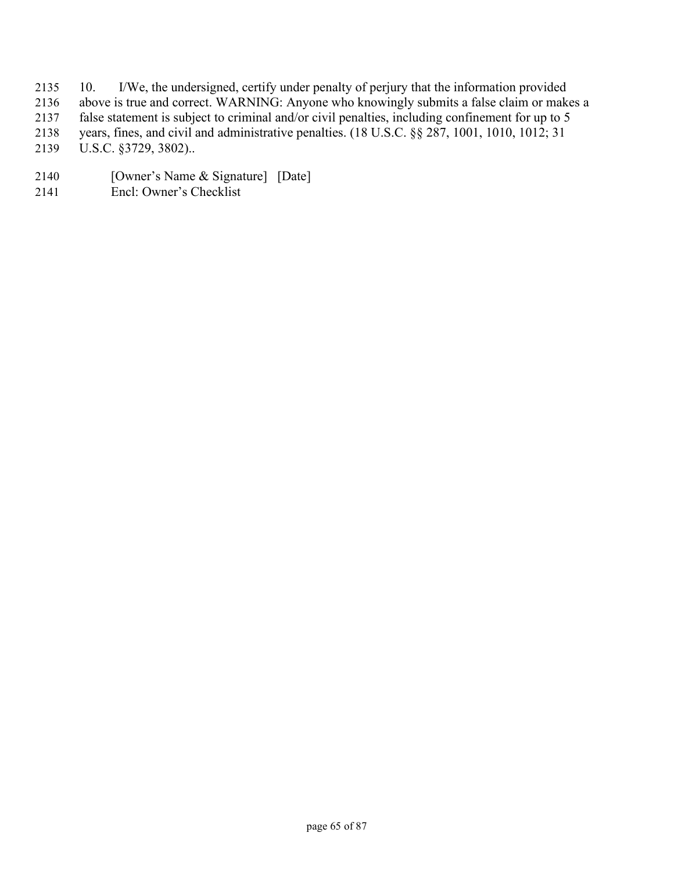- 10. I/We, the undersigned, certify under penalty of perjury that the information provided
- above is true and correct. WARNING: Anyone who knowingly submits a false claim or makes a
- false statement is subject to criminal and/or civil penalties, including confinement for up to 5
- years, fines, and civil and administrative penalties. (18 U.S.C. §§ 287, 1001, 1010, 1012; 31
- U.S.C. §3729, 3802)..
- [Owner's Name & Signature] [Date]
- Encl: Owner's Checklist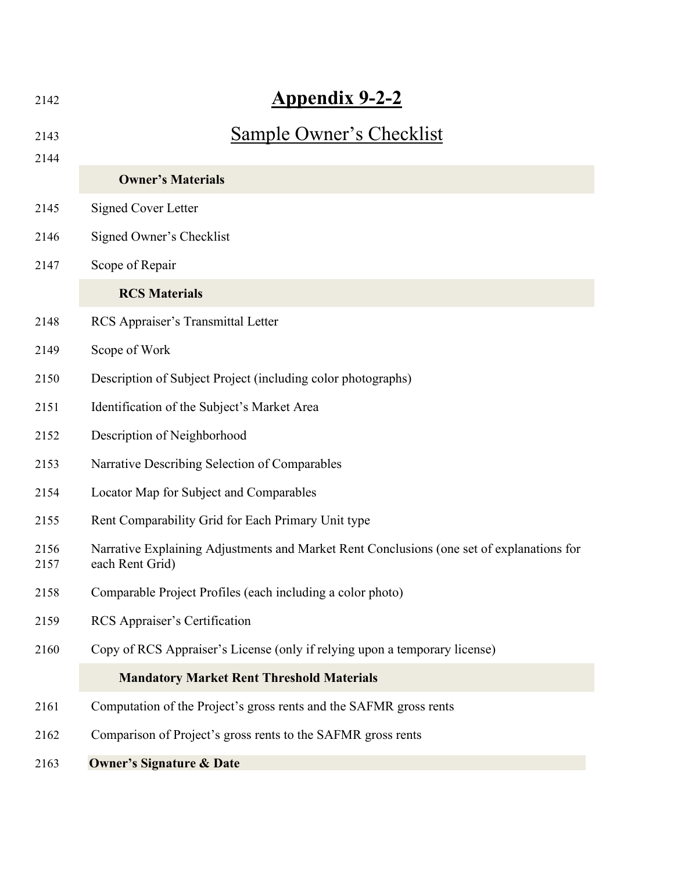| 2142         | <b>Appendix 9-2-2</b>                                                                                        |
|--------------|--------------------------------------------------------------------------------------------------------------|
| 2143         | Sample Owner's Checklist                                                                                     |
| 2144         |                                                                                                              |
|              | <b>Owner's Materials</b>                                                                                     |
| 2145         | <b>Signed Cover Letter</b>                                                                                   |
| 2146         | Signed Owner's Checklist                                                                                     |
| 2147         | Scope of Repair                                                                                              |
|              | <b>RCS Materials</b>                                                                                         |
| 2148         | RCS Appraiser's Transmittal Letter                                                                           |
| 2149         | Scope of Work                                                                                                |
| 2150         | Description of Subject Project (including color photographs)                                                 |
| 2151         | Identification of the Subject's Market Area                                                                  |
| 2152         | Description of Neighborhood                                                                                  |
| 2153         | Narrative Describing Selection of Comparables                                                                |
| 2154         | Locator Map for Subject and Comparables                                                                      |
| 2155         | Rent Comparability Grid for Each Primary Unit type                                                           |
| 2156<br>2157 | Narrative Explaining Adjustments and Market Rent Conclusions (one set of explanations for<br>each Rent Grid) |
| 2158         | Comparable Project Profiles (each including a color photo)                                                   |
| 2159         | RCS Appraiser's Certification                                                                                |
| 2160         | Copy of RCS Appraiser's License (only if relying upon a temporary license)                                   |
|              | <b>Mandatory Market Rent Threshold Materials</b>                                                             |
| 2161         | Computation of the Project's gross rents and the SAFMR gross rents                                           |
| 2162         | Comparison of Project's gross rents to the SAFMR gross rents                                                 |
| 2163         | <b>Owner's Signature &amp; Date</b>                                                                          |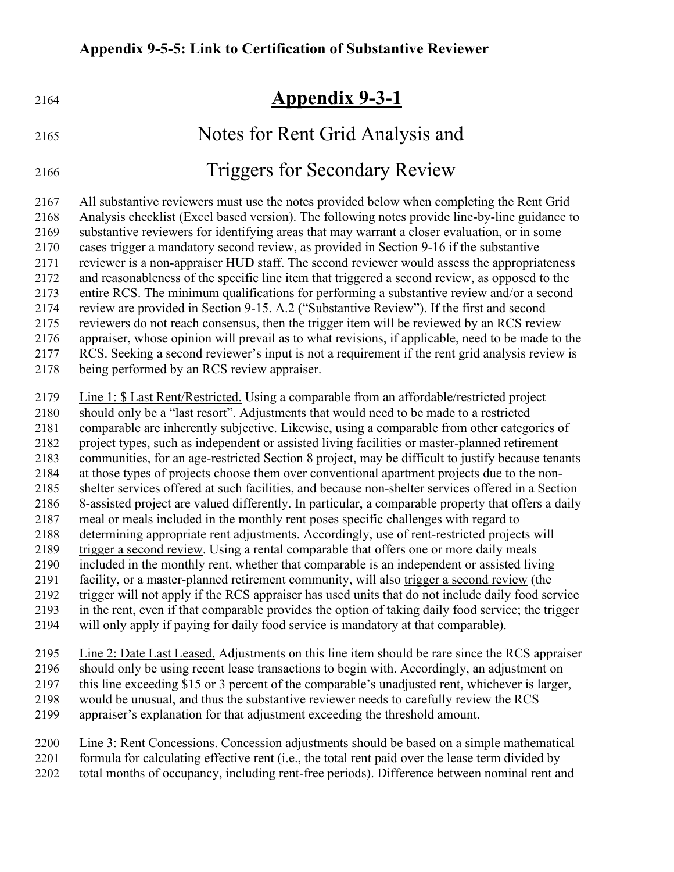| 2164                                                                                                 | <b>Appendix 9-3-1</b>                                                                                                                                                                                                                                                                                                                                                                                                                                                                                                                                                                                                                                                                                                                                                                                                                                                                                                                                                                                                                                                                                                                                                                                                                                                            |
|------------------------------------------------------------------------------------------------------|----------------------------------------------------------------------------------------------------------------------------------------------------------------------------------------------------------------------------------------------------------------------------------------------------------------------------------------------------------------------------------------------------------------------------------------------------------------------------------------------------------------------------------------------------------------------------------------------------------------------------------------------------------------------------------------------------------------------------------------------------------------------------------------------------------------------------------------------------------------------------------------------------------------------------------------------------------------------------------------------------------------------------------------------------------------------------------------------------------------------------------------------------------------------------------------------------------------------------------------------------------------------------------|
| 2165                                                                                                 | Notes for Rent Grid Analysis and                                                                                                                                                                                                                                                                                                                                                                                                                                                                                                                                                                                                                                                                                                                                                                                                                                                                                                                                                                                                                                                                                                                                                                                                                                                 |
| 2166                                                                                                 | <b>Triggers for Secondary Review</b>                                                                                                                                                                                                                                                                                                                                                                                                                                                                                                                                                                                                                                                                                                                                                                                                                                                                                                                                                                                                                                                                                                                                                                                                                                             |
| 2167<br>2168<br>2169<br>2170<br>2171<br>2172<br>2173<br>2174<br>2175<br>2176<br>2177<br>2178         | All substantive reviewers must use the notes provided below when completing the Rent Grid<br>Analysis checklist (Excel based version). The following notes provide line-by-line guidance to<br>substantive reviewers for identifying areas that may warrant a closer evaluation, or in some<br>cases trigger a mandatory second review, as provided in Section 9-16 if the substantive<br>reviewer is a non-appraiser HUD staff. The second reviewer would assess the appropriateness<br>and reasonableness of the specific line item that triggered a second review, as opposed to the<br>entire RCS. The minimum qualifications for performing a substantive review and/or a second<br>review are provided in Section 9-15. A.2 ("Substantive Review"). If the first and second<br>reviewers do not reach consensus, then the trigger item will be reviewed by an RCS review<br>appraiser, whose opinion will prevail as to what revisions, if applicable, need to be made to the<br>RCS. Seeking a second reviewer's input is not a requirement if the rent grid analysis review is<br>being performed by an RCS review appraiser.                                                                                                                                            |
| 2179<br>2180<br>2181<br>2182<br>2183<br>2184<br>2185<br>2186<br>2187<br>2188<br>2189<br>2190<br>2191 | Line 1: \$ Last Rent/Restricted. Using a comparable from an affordable/restricted project<br>should only be a "last resort". Adjustments that would need to be made to a restricted<br>comparable are inherently subjective. Likewise, using a comparable from other categories of<br>project types, such as independent or assisted living facilities or master-planned retirement<br>communities, for an age-restricted Section 8 project, may be difficult to justify because tenants<br>at those types of projects choose them over conventional apartment projects due to the non-<br>shelter services offered at such facilities, and because non-shelter services offered in a Section<br>8-assisted project are valued differently. In particular, a comparable property that offers a daily<br>meal or meals included in the monthly rent poses specific challenges with regard to<br>determining appropriate rent adjustments. Accordingly, use of rent-restricted projects will<br>trigger a second review. Using a rental comparable that offers one or more daily meals<br>included in the monthly rent, whether that comparable is an independent or assisted living<br>facility, or a master-planned retirement community, will also trigger a second review (the |

- trigger will not apply if the RCS appraiser has used units that do not include daily food service in the rent, even if that comparable provides the option of taking daily food service; the trigger
- will only apply if paying for daily food service is mandatory at that comparable).
- Line 2: Date Last Leased. Adjustments on this line item should be rare since the RCS appraiser should only be using recent lease transactions to begin with. Accordingly, an adjustment on
- this line exceeding \$15 or 3 percent of the comparable's unadjusted rent, whichever is larger,
- would be unusual, and thus the substantive reviewer needs to carefully review the RCS
- appraiser's explanation for that adjustment exceeding the threshold amount.
- Line 3: Rent Concessions. Concession adjustments should be based on a simple mathematical
- formula for calculating effective rent (i.e., the total rent paid over the lease term divided by
- total months of occupancy, including rent-free periods). Difference between nominal rent and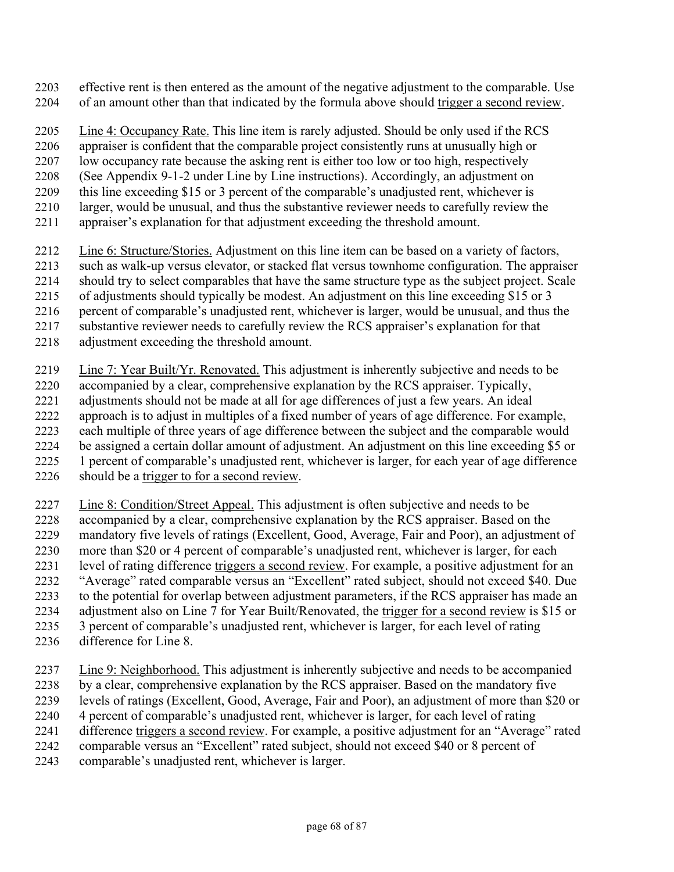- effective rent is then entered as the amount of the negative adjustment to the comparable. Use of an amount other than that indicated by the formula above should trigger a second review.
- Line 4: Occupancy Rate. This line item is rarely adjusted. Should be only used if the RCS
- appraiser is confident that the comparable project consistently runs at unusually high or
- low occupancy rate because the asking rent is either too low or too high, respectively
- (See Appendix 9-1-2 under Line by Line instructions). Accordingly, an adjustment on
- this line exceeding \$15 or 3 percent of the comparable's unadjusted rent, whichever is
- 2210 larger, would be unusual, and thus the substantive reviewer needs to carefully review the
- appraiser's explanation for that adjustment exceeding the threshold amount.
- Line 6: Structure/Stories. Adjustment on this line item can be based on a variety of factors,
- such as walk-up versus elevator, or stacked flat versus townhome configuration. The appraiser
- should try to select comparables that have the same structure type as the subject project. Scale
- of adjustments should typically be modest. An adjustment on this line exceeding \$15 or 3
- percent of comparable's unadjusted rent, whichever is larger, would be unusual, and thus the
- substantive reviewer needs to carefully review the RCS appraiser's explanation for that
- adjustment exceeding the threshold amount.
- Line 7: Year Built/Yr. Renovated. This adjustment is inherently subjective and needs to be
- accompanied by a clear, comprehensive explanation by the RCS appraiser. Typically,
- adjustments should not be made at all for age differences of just a few years. An ideal approach is to adjust in multiples of a fixed number of years of age difference. For example,
- each multiple of three years of age difference between the subject and the comparable would
- be assigned a certain dollar amount of adjustment. An adjustment on this line exceeding \$5 or
- 1 percent of comparable's unadjusted rent, whichever is larger, for each year of age difference
- should be a trigger to for a second review.
- Line 8: Condition/Street Appeal. This adjustment is often subjective and needs to be
- accompanied by a clear, comprehensive explanation by the RCS appraiser. Based on the
- mandatory five levels of ratings (Excellent, Good, Average, Fair and Poor), an adjustment of
- more than \$20 or 4 percent of comparable's unadjusted rent, whichever is larger, for each 2231 level of rating difference triggers a second review. For example, a positive adjustment for an
- "Average" rated comparable versus an "Excellent" rated subject, should not exceed \$40. Due
- to the potential for overlap between adjustment parameters, if the RCS appraiser has made an
- adjustment also on Line 7 for Year Built/Renovated, the trigger for a second review is \$15 or
- 3 percent of comparable's unadjusted rent, whichever is larger, for each level of rating
- difference for Line 8.
- Line 9: Neighborhood. This adjustment is inherently subjective and needs to be accompanied
- by a clear, comprehensive explanation by the RCS appraiser. Based on the mandatory five
- levels of ratings (Excellent, Good, Average, Fair and Poor), an adjustment of more than \$20 or
- 4 percent of comparable's unadjusted rent, whichever is larger, for each level of rating
- difference triggers a second review. For example, a positive adjustment for an "Average" rated
- comparable versus an "Excellent" rated subject, should not exceed \$40 or 8 percent of
- comparable's unadjusted rent, whichever is larger.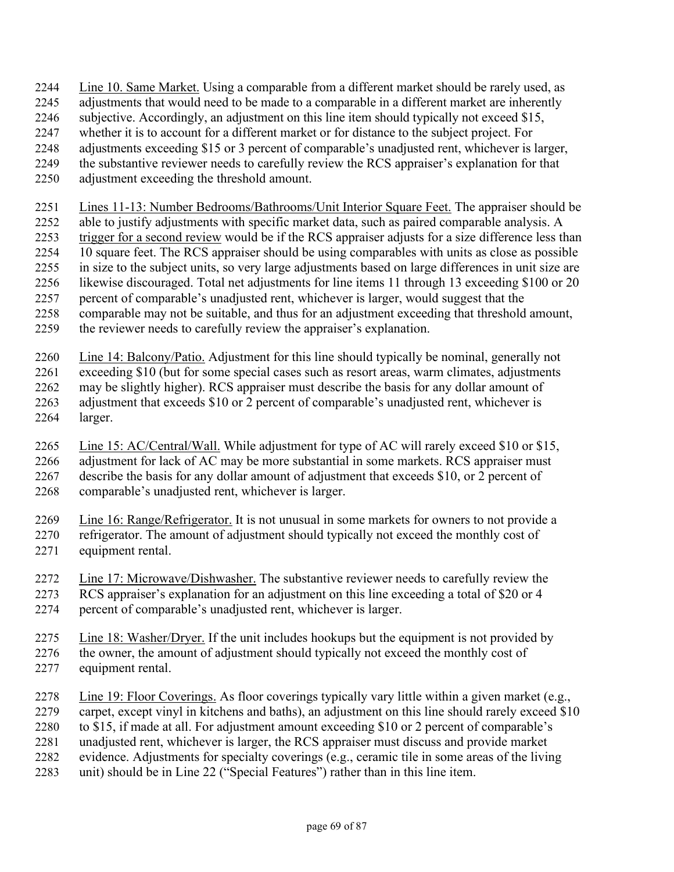- Line 10. Same Market. Using a comparable from a different market should be rarely used, as
- adjustments that would need to be made to a comparable in a different market are inherently
- 2246 subjective. Accordingly, an adjustment on this line item should typically not exceed \$15,
- whether it is to account for a different market or for distance to the subject project. For
- adjustments exceeding \$15 or 3 percent of comparable's unadjusted rent, whichever is larger,
- the substantive reviewer needs to carefully review the RCS appraiser's explanation for that
- adjustment exceeding the threshold amount.
- Lines 11-13: Number Bedrooms/Bathrooms/Unit Interior Square Feet. The appraiser should be
- able to justify adjustments with specific market data, such as paired comparable analysis. A
- trigger for a second review would be if the RCS appraiser adjusts for a size difference less than
- 10 square feet. The RCS appraiser should be using comparables with units as close as possible
- in size to the subject units, so very large adjustments based on large differences in unit size are likewise discouraged. Total net adjustments for line items 11 through 13 exceeding \$100 or 20
- percent of comparable's unadjusted rent, whichever is larger, would suggest that the
- comparable may not be suitable, and thus for an adjustment exceeding that threshold amount,
- the reviewer needs to carefully review the appraiser's explanation.
- Line 14: Balcony/Patio. Adjustment for this line should typically be nominal, generally not
- exceeding \$10 (but for some special cases such as resort areas, warm climates, adjustments may be slightly higher). RCS appraiser must describe the basis for any dollar amount of adjustment that exceeds \$10 or 2 percent of comparable's unadjusted rent, whichever is larger.
- Line 15: AC/Central/Wall. While adjustment for type of AC will rarely exceed \$10 or \$15, adjustment for lack of AC may be more substantial in some markets. RCS appraiser must describe the basis for any dollar amount of adjustment that exceeds \$10, or 2 percent of comparable's unadjusted rent, whichever is larger.
- Line 16: Range/Refrigerator. It is not unusual in some markets for owners to not provide a refrigerator. The amount of adjustment should typically not exceed the monthly cost of equipment rental.
- Line 17: Microwave/Dishwasher. The substantive reviewer needs to carefully review the RCS appraiser's explanation for an adjustment on this line exceeding a total of \$20 or 4
- percent of comparable's unadjusted rent, whichever is larger.
- Line 18: Washer/Dryer. If the unit includes hookups but the equipment is not provided by 2276 the owner, the amount of adjustment should typically not exceed the monthly cost of
- equipment rental.
- Line 19: Floor Coverings. As floor coverings typically vary little within a given market (e.g.,
- carpet, except vinyl in kitchens and baths), an adjustment on this line should rarely exceed \$10
- to \$15, if made at all. For adjustment amount exceeding \$10 or 2 percent of comparable's
- unadjusted rent, whichever is larger, the RCS appraiser must discuss and provide market
- evidence. Adjustments for specialty coverings (e.g., ceramic tile in some areas of the living
- unit) should be in Line 22 ("Special Features") rather than in this line item.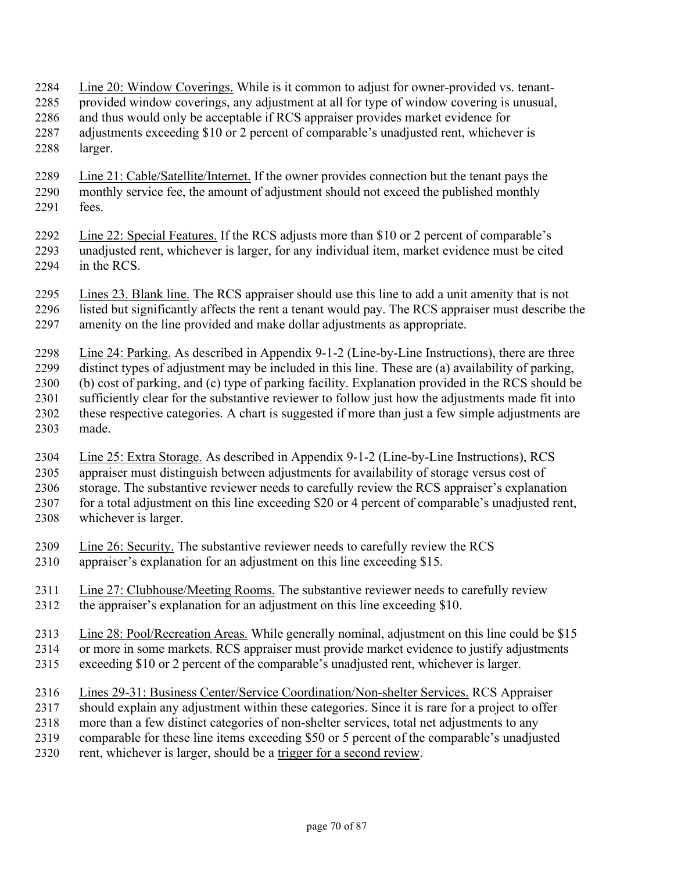Line 20: Window Coverings. While is it common to adjust for owner-provided vs. tenant-

- provided window coverings, any adjustment at all for type of window covering is unusual,
- and thus would only be acceptable if RCS appraiser provides market evidence for
- adjustments exceeding \$10 or 2 percent of comparable's unadjusted rent, whichever is larger.
- Line 21: Cable/Satellite/Internet. If the owner provides connection but the tenant pays the monthly service fee, the amount of adjustment should not exceed the published monthly fees.
- Line 22: Special Features. If the RCS adjusts more than \$10 or 2 percent of comparable's unadjusted rent, whichever is larger, for any individual item, market evidence must be cited in the RCS.
- Lines 23. Blank line. The RCS appraiser should use this line to add a unit amenity that is not listed but significantly affects the rent a tenant would pay. The RCS appraiser must describe the amenity on the line provided and make dollar adjustments as appropriate.
- Line 24: Parking. As described in Appendix 9-1-2 (Line-by-Line Instructions), there are three
- distinct types of adjustment may be included in this line. These are (a) availability of parking,
- (b) cost of parking, and (c) type of parking facility. Explanation provided in the RCS should be sufficiently clear for the substantive reviewer to follow just how the adjustments made fit into these respective categories. A chart is suggested if more than just a few simple adjustments are
- made.
- Line 25: Extra Storage. As described in Appendix 9-1-2 (Line-by-Line Instructions), RCS appraiser must distinguish between adjustments for availability of storage versus cost of
- storage. The substantive reviewer needs to carefully review the RCS appraiser's explanation
- for a total adjustment on this line exceeding \$20 or 4 percent of comparable's unadjusted rent, whichever is larger.
- Line 26: Security. The substantive reviewer needs to carefully review the RCS
- appraiser's explanation for an adjustment on this line exceeding \$15.
- Line 27: Clubhouse/Meeting Rooms. The substantive reviewer needs to carefully review the appraiser's explanation for an adjustment on this line exceeding \$10.
- Line 28: Pool/Recreation Areas. While generally nominal, adjustment on this line could be \$15
- or more in some markets. RCS appraiser must provide market evidence to justify adjustments
- exceeding \$10 or 2 percent of the comparable's unadjusted rent, whichever is larger.
- Lines 29-31: Business Center/Service Coordination/Non-shelter Services. RCS Appraiser
- should explain any adjustment within these categories. Since it is rare for a project to offer
- more than a few distinct categories of non-shelter services, total net adjustments to any
- comparable for these line items exceeding \$50 or 5 percent of the comparable's unadjusted
- rent, whichever is larger, should be a trigger for a second review.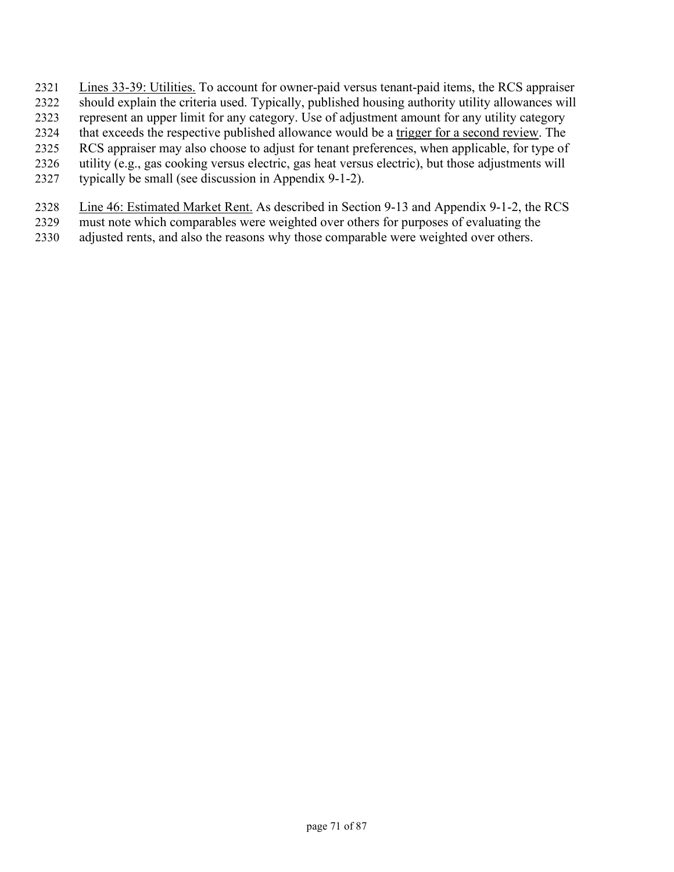- Lines 33-39: Utilities. To account for owner-paid versus tenant-paid items, the RCS appraiser
- should explain the criteria used. Typically, published housing authority utility allowances will
- represent an upper limit for any category. Use of adjustment amount for any utility category
- that exceeds the respective published allowance would be a trigger for a second review. The
- RCS appraiser may also choose to adjust for tenant preferences, when applicable, for type of
- utility (e.g., gas cooking versus electric, gas heat versus electric), but those adjustments will
- typically be small (see discussion in Appendix 9-1-2).
- Line 46: Estimated Market Rent. As described in Section 9-13 and Appendix 9-1-2, the RCS
- must note which comparables were weighted over others for purposes of evaluating the
- adjusted rents, and also the reasons why those comparable were weighted over others.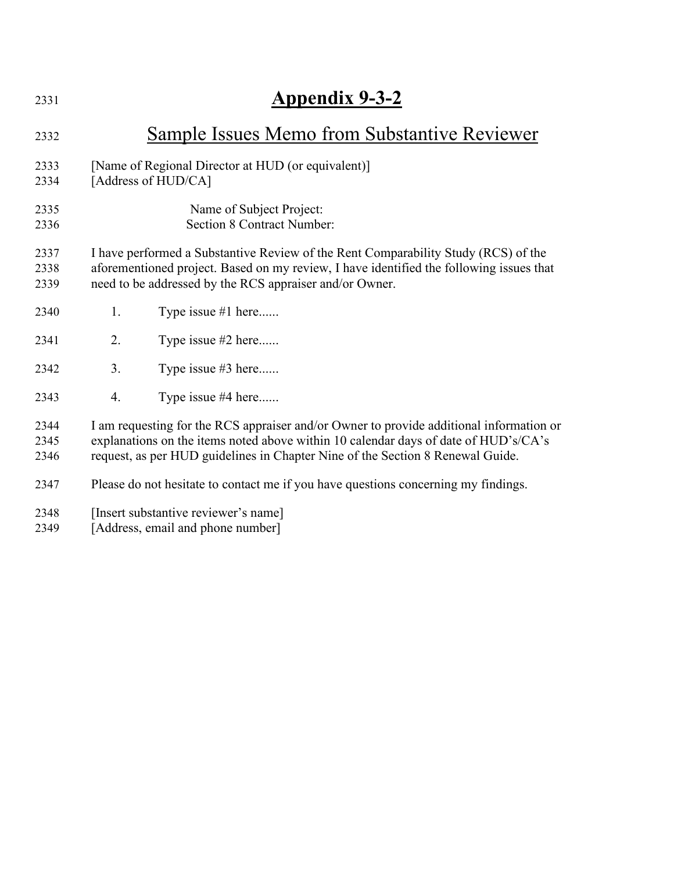| 2331 | <b>Appendix 9-3-2</b>                                                                   |  |  |  |
|------|-----------------------------------------------------------------------------------------|--|--|--|
| 2332 | Sample Issues Memo from Substantive Reviewer                                            |  |  |  |
| 2333 | [Name of Regional Director at HUD (or equivalent)]                                      |  |  |  |
| 2334 | [Address of HUD/CA]                                                                     |  |  |  |
| 2335 | Name of Subject Project:                                                                |  |  |  |
| 2336 | <b>Section 8 Contract Number:</b>                                                       |  |  |  |
| 2337 | I have performed a Substantive Review of the Rent Comparability Study (RCS) of the      |  |  |  |
| 2338 | aforementioned project. Based on my review, I have identified the following issues that |  |  |  |
| 2339 | need to be addressed by the RCS appraiser and/or Owner.                                 |  |  |  |
| 2340 | Type issue #1 here<br>1.                                                                |  |  |  |
| 2341 | 2.<br>Type issue #2 here                                                                |  |  |  |
| 2342 | 3.<br>Type issue #3 here                                                                |  |  |  |
| 2343 | Type issue #4 here<br>4.                                                                |  |  |  |
| 2344 | I am requesting for the RCS appraiser and/or Owner to provide additional information or |  |  |  |
| 2345 | explanations on the items noted above within 10 calendar days of date of HUD's/CA's     |  |  |  |
| 2346 | request, as per HUD guidelines in Chapter Nine of the Section 8 Renewal Guide.          |  |  |  |
| 2347 | Please do not hesitate to contact me if you have questions concerning my findings.      |  |  |  |
| 2348 | [Insert substantive reviewer's name]                                                    |  |  |  |
| 2349 | [Address, email and phone number]                                                       |  |  |  |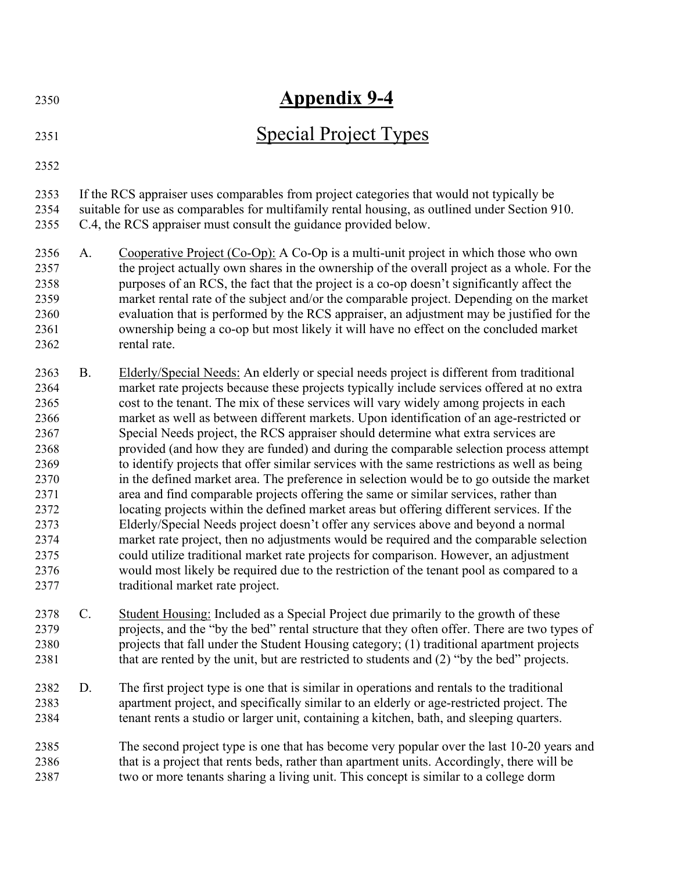| 2350                                                                                                                 | <b>Appendix 9-4</b>                                                                                                                                                                                                                                             |                                                                                                                                                                                                                                                                                                                                                                                                                                                                                                                                                                                                                                                                                                                                                                                                                                                                                                                                                                                                                                                                                                                                                                                                                                                                                                                                                        |  |  |  |
|----------------------------------------------------------------------------------------------------------------------|-----------------------------------------------------------------------------------------------------------------------------------------------------------------------------------------------------------------------------------------------------------------|--------------------------------------------------------------------------------------------------------------------------------------------------------------------------------------------------------------------------------------------------------------------------------------------------------------------------------------------------------------------------------------------------------------------------------------------------------------------------------------------------------------------------------------------------------------------------------------------------------------------------------------------------------------------------------------------------------------------------------------------------------------------------------------------------------------------------------------------------------------------------------------------------------------------------------------------------------------------------------------------------------------------------------------------------------------------------------------------------------------------------------------------------------------------------------------------------------------------------------------------------------------------------------------------------------------------------------------------------------|--|--|--|
| 2351                                                                                                                 | <b>Special Project Types</b>                                                                                                                                                                                                                                    |                                                                                                                                                                                                                                                                                                                                                                                                                                                                                                                                                                                                                                                                                                                                                                                                                                                                                                                                                                                                                                                                                                                                                                                                                                                                                                                                                        |  |  |  |
| 2352                                                                                                                 |                                                                                                                                                                                                                                                                 |                                                                                                                                                                                                                                                                                                                                                                                                                                                                                                                                                                                                                                                                                                                                                                                                                                                                                                                                                                                                                                                                                                                                                                                                                                                                                                                                                        |  |  |  |
| 2353<br>2354<br>2355                                                                                                 | If the RCS appraiser uses comparables from project categories that would not typically be<br>suitable for use as comparables for multifamily rental housing, as outlined under Section 910.<br>C.4, the RCS appraiser must consult the guidance provided below. |                                                                                                                                                                                                                                                                                                                                                                                                                                                                                                                                                                                                                                                                                                                                                                                                                                                                                                                                                                                                                                                                                                                                                                                                                                                                                                                                                        |  |  |  |
| 2356<br>2357<br>2358<br>2359<br>2360<br>2361<br>2362                                                                 | A.                                                                                                                                                                                                                                                              | Cooperative Project (Co-Op): A Co-Op is a multi-unit project in which those who own<br>the project actually own shares in the ownership of the overall project as a whole. For the<br>purposes of an RCS, the fact that the project is a co-op doesn't significantly affect the<br>market rental rate of the subject and/or the comparable project. Depending on the market<br>evaluation that is performed by the RCS appraiser, an adjustment may be justified for the<br>ownership being a co-op but most likely it will have no effect on the concluded market<br>rental rate.                                                                                                                                                                                                                                                                                                                                                                                                                                                                                                                                                                                                                                                                                                                                                                     |  |  |  |
| 2363<br>2364<br>2365<br>2366<br>2367<br>2368<br>2369<br>2370<br>2371<br>2372<br>2373<br>2374<br>2375<br>2376<br>2377 | <b>B.</b>                                                                                                                                                                                                                                                       | Elderly/Special Needs: An elderly or special needs project is different from traditional<br>market rate projects because these projects typically include services offered at no extra<br>cost to the tenant. The mix of these services will vary widely among projects in each<br>market as well as between different markets. Upon identification of an age-restricted or<br>Special Needs project, the RCS appraiser should determine what extra services are<br>provided (and how they are funded) and during the comparable selection process attempt<br>to identify projects that offer similar services with the same restrictions as well as being<br>in the defined market area. The preference in selection would be to go outside the market<br>area and find comparable projects offering the same or similar services, rather than<br>locating projects within the defined market areas but offering different services. If the<br>Elderly/Special Needs project doesn't offer any services above and beyond a normal<br>market rate project, then no adjustments would be required and the comparable selection<br>could utilize traditional market rate projects for comparison. However, an adjustment<br>would most likely be required due to the restriction of the tenant pool as compared to a<br>traditional market rate project. |  |  |  |
| 2378<br>2379<br>2380<br>2381                                                                                         | C.                                                                                                                                                                                                                                                              | Student Housing: Included as a Special Project due primarily to the growth of these<br>projects, and the "by the bed" rental structure that they often offer. There are two types of<br>projects that fall under the Student Housing category; (1) traditional apartment projects<br>that are rented by the unit, but are restricted to students and (2) "by the bed" projects.                                                                                                                                                                                                                                                                                                                                                                                                                                                                                                                                                                                                                                                                                                                                                                                                                                                                                                                                                                        |  |  |  |
| 2382<br>2383<br>2384                                                                                                 | D.                                                                                                                                                                                                                                                              | The first project type is one that is similar in operations and rentals to the traditional<br>apartment project, and specifically similar to an elderly or age-restricted project. The<br>tenant rents a studio or larger unit, containing a kitchen, bath, and sleeping quarters.                                                                                                                                                                                                                                                                                                                                                                                                                                                                                                                                                                                                                                                                                                                                                                                                                                                                                                                                                                                                                                                                     |  |  |  |
| 2385<br>2386<br>2387                                                                                                 |                                                                                                                                                                                                                                                                 | The second project type is one that has become very popular over the last 10-20 years and<br>that is a project that rents beds, rather than apartment units. Accordingly, there will be<br>two or more tenants sharing a living unit. This concept is similar to a college dorm                                                                                                                                                                                                                                                                                                                                                                                                                                                                                                                                                                                                                                                                                                                                                                                                                                                                                                                                                                                                                                                                        |  |  |  |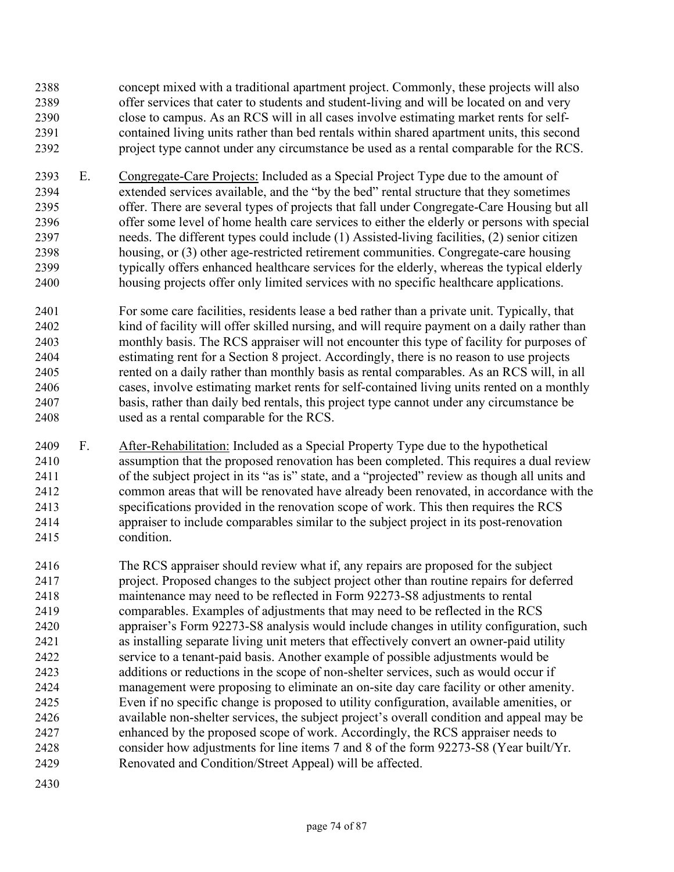concept mixed with a traditional apartment project. Commonly, these projects will also offer services that cater to students and student-living and will be located on and very close to campus. As an RCS will in all cases involve estimating market rents for self-contained living units rather than bed rentals within shared apartment units, this second project type cannot under any circumstance be used as a rental comparable for the RCS.

- E. Congregate-Care Projects: Included as a Special Project Type due to the amount of extended services available, and the "by the bed" rental structure that they sometimes offer. There are several types of projects that fall under Congregate-Care Housing but all offer some level of home health care services to either the elderly or persons with special needs. The different types could include (1) Assisted-living facilities, (2) senior citizen housing, or (3) other age-restricted retirement communities. Congregate-care housing typically offers enhanced healthcare services for the elderly, whereas the typical elderly housing projects offer only limited services with no specific healthcare applications.
- For some care facilities, residents lease a bed rather than a private unit. Typically, that kind of facility will offer skilled nursing, and will require payment on a daily rather than monthly basis. The RCS appraiser will not encounter this type of facility for purposes of estimating rent for a Section 8 project. Accordingly, there is no reason to use projects rented on a daily rather than monthly basis as rental comparables. As an RCS will, in all cases, involve estimating market rents for self-contained living units rented on a monthly basis, rather than daily bed rentals, this project type cannot under any circumstance be used as a rental comparable for the RCS.
- F. After-Rehabilitation: Included as a Special Property Type due to the hypothetical assumption that the proposed renovation has been completed. This requires a dual review of the subject project in its "as is" state, and a "projected" review as though all units and common areas that will be renovated have already been renovated, in accordance with the specifications provided in the renovation scope of work. This then requires the RCS appraiser to include comparables similar to the subject project in its post-renovation condition.
- The RCS appraiser should review what if, any repairs are proposed for the subject project. Proposed changes to the subject project other than routine repairs for deferred maintenance may need to be reflected in Form 92273-S8 adjustments to rental comparables. Examples of adjustments that may need to be reflected in the RCS appraiser's Form 92273-S8 analysis would include changes in utility configuration, such as installing separate living unit meters that effectively convert an owner-paid utility service to a tenant-paid basis. Another example of possible adjustments would be additions or reductions in the scope of non-shelter services, such as would occur if management were proposing to eliminate an on-site day care facility or other amenity. Even if no specific change is proposed to utility configuration, available amenities, or available non-shelter services, the subject project's overall condition and appeal may be enhanced by the proposed scope of work. Accordingly, the RCS appraiser needs to consider how adjustments for line items 7 and 8 of the form 92273-S8 (Year built/Yr. Renovated and Condition/Street Appeal) will be affected.
-